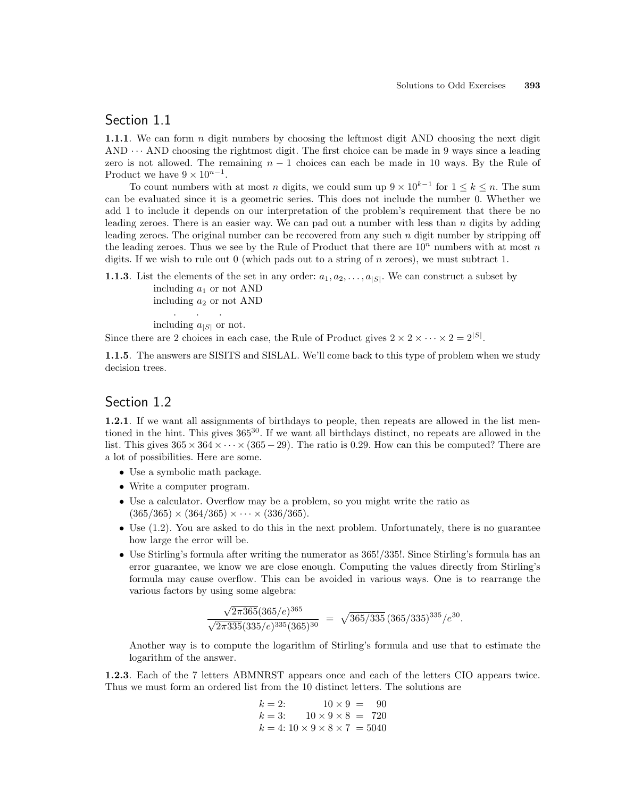### Section 1.1

1.1.1. We can form  $n$  digit numbers by choosing the leftmost digit AND choosing the next digit AND  $\cdots$  AND choosing the rightmost digit. The first choice can be made in 9 ways since a leading zero is not allowed. The remaining  $n - 1$  choices can each be made in 10 ways. By the Rule of Product we have  $9 \times 10^{n-1}$ .

To count numbers with at most n digits, we could sum up  $9 \times 10^{k-1}$  for  $1 \leq k \leq n$ . The sum can be evaluated since it is a geometric series. This does not include the number 0. Whether we add 1 to include it depends on our interpretation of the problem's requirement that there be no leading zeroes. There is an easier way. We can pad out a number with less than  $n$  digits by adding leading zeroes. The original number can be recovered from any such  $n$  digit number by stripping off the leading zeroes. Thus we see by the Rule of Product that there are  $10<sup>n</sup>$  numbers with at most n digits. If we wish to rule out  $0$  (which pads out to a string of n zeroes), we must subtract 1.

**1.1.3**. List the elements of the set in any order:  $a_1, a_2, \ldots, a_{|S|}$ . We can construct a subset by including  $a_1$  or not AND including  $a_2$  or not AND

> . . . including  $a_{|S|}$  or not.

Since there are 2 choices in each case, the Rule of Product gives  $2 \times 2 \times \cdots \times 2 = 2^{|S|}$ .

1.1.5. The answers are SISITS and SISLAL. We'll come back to this type of problem when we study decision trees.

#### Section 1.2

1.2.1. If we want all assignments of birthdays to people, then repeats are allowed in the list mentioned in the hint. This gives  $365^{30}$ . If we want all birthdays distinct, no repeats are allowed in the list. This gives  $365 \times 364 \times \cdots \times (365 - 29)$ . The ratio is 0.29. How can this be computed? There are a lot of possibilities. Here are some.

- Use a symbolic math package.
- Write a computer program.
- Use a calculator. Overflow may be a problem, so you might write the ratio as  $(365/365) \times (364/365) \times \cdots \times (336/365).$
- Use  $(1.2)$ . You are asked to do this in the next problem. Unfortunately, there is no guarantee how large the error will be.
- Use Stirling's formula after writing the numerator as 365!/335!. Since Stirling's formula has an error guarantee, we know we are close enough. Computing the values directly from Stirling's formula may cause overflow. This can be avoided in various ways. One is to rearrange the various factors by using some algebra:

$$
\frac{\sqrt{2\pi 365}(365/e)^{365}}{\sqrt{2\pi 335}(335/e)^{335}(365)^{30}} = \sqrt{365/335}(365/335)^{335}/e^{30}.
$$

Another way is to compute the logarithm of Stirling's formula and use that to estimate the logarithm of the answer.

1.2.3. Each of the 7 letters ABMNRST appears once and each of the letters CIO appears twice. Thus we must form an ordered list from the 10 distinct letters. The solutions are

$$
k = 2: \t 10 \times 9 = 90
$$
  
\n
$$
k = 3: \t 10 \times 9 \times 8 = 720
$$
  
\n
$$
k = 4: 10 \times 9 \times 8 \times 7 = 5040
$$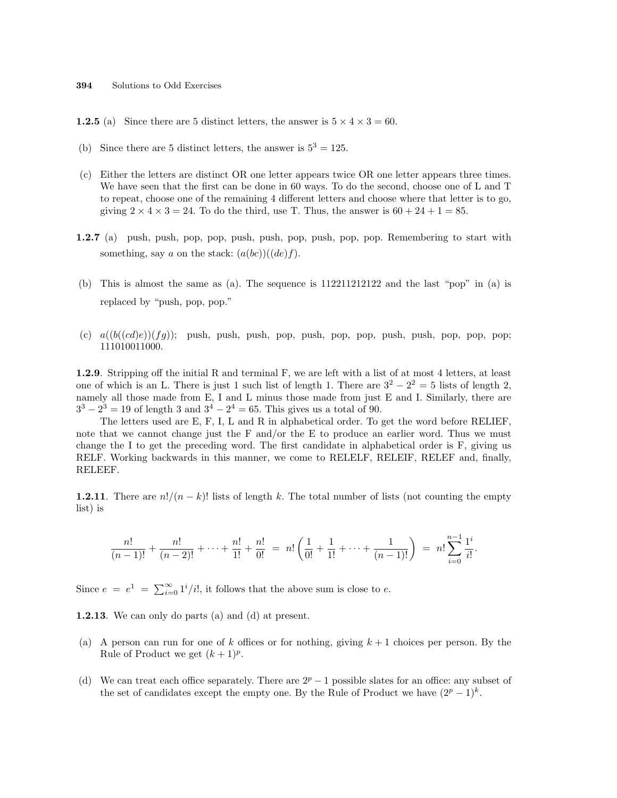**1.2.5** (a) Since there are 5 distinct letters, the answer is  $5 \times 4 \times 3 = 60$ .

- (b) Since there are 5 distinct letters, the answer is  $5^3 = 125$ .
- (c) Either the letters are distinct OR one letter appears twice OR one letter appears three times. We have seen that the first can be done in 60 ways. To do the second, choose one of L and T to repeat, choose one of the remaining 4 different letters and choose where that letter is to go, giving  $2 \times 4 \times 3 = 24$ . To do the third, use T. Thus, the answer is  $60 + 24 + 1 = 85$ .
- 1.2.7 (a) push, push, pop, pop, push, push, pop, push, pop, pop. Remembering to start with something, say a on the stack:  $(a(bc))((de)f)$ .
- (b) This is almost the same as (a). The sequence is 112211212122 and the last "pop" in (a) is replaced by "push, pop, pop."
- (c)  $a((b((cd)e))(fg))$ ; push, push, push, pop, push, pop, push, push, push, pop, pop, pop; 111010011000.

1.2.9. Stripping off the initial R and terminal F, we are left with a list of at most 4 letters, at least one of which is an L. There is just 1 such list of length 1. There are  $3^2 - 2^2 = 5$  lists of length 2, namely all those made from E, I and L minus those made from just E and I. Similarly, there are  $3^3 - 2^3 = 19$  of length 3 and  $3^4 - 2^4 = 65$ . This gives us a total of 90.

The letters used are E, F, I, L and R in alphabetical order. To get the word before RELIEF, note that we cannot change just the F and/or the E to produce an earlier word. Thus we must change the I to get the preceding word. The first candidate in alphabetical order is F, giving us RELF. Working backwards in this manner, we come to RELELF, RELEIF, RELEF and, finally, RELEEF.

**1.2.11**. There are  $n!/(n-k)!$  lists of length k. The total number of lists (not counting the empty list) is

$$
\frac{n!}{(n-1)!} + \frac{n!}{(n-2)!} + \dots + \frac{n!}{1!} + \frac{n!}{0!} = n! \left( \frac{1}{0!} + \frac{1}{1!} + \dots + \frac{1}{(n-1)!} \right) = n! \sum_{i=0}^{n-1} \frac{1^i}{i!}.
$$

Since  $e = e^1 = \sum_{i=0}^{\infty} 1^i/i!$ , it follows that the above sum is close to  $e$ .

1.2.13. We can only do parts (a) and (d) at present.

- (a) A person can run for one of k offices or for nothing, giving  $k + 1$  choices per person. By the Rule of Product we get  $(k+1)^p$ .
- (d) We can treat each office separately. There are  $2^p 1$  possible slates for an office: any subset of the set of candidates except the empty one. By the Rule of Product we have  $(2^p - 1)^k$ .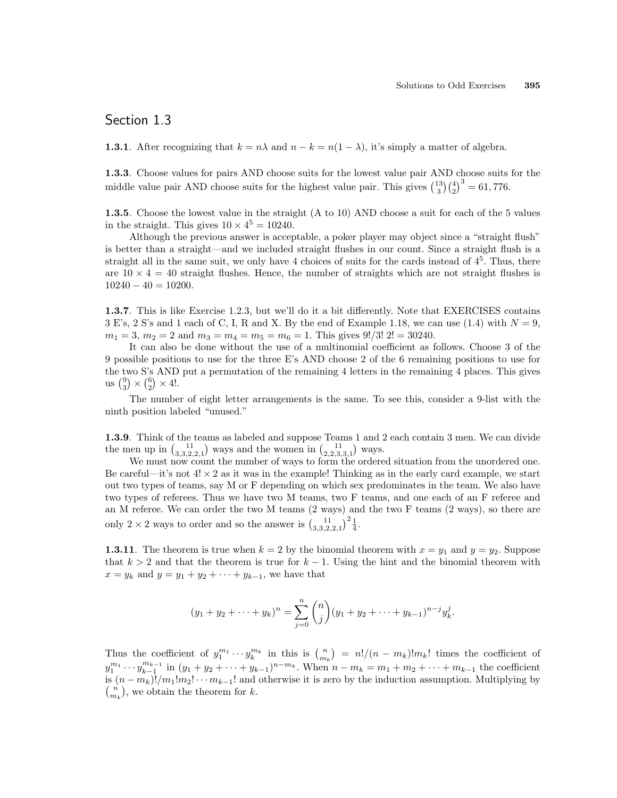# Section 1.3

**1.3.1**. After recognizing that  $k = n\lambda$  and  $n - k = n(1 - \lambda)$ , it's simply a matter of algebra.

1.3.3. Choose values for pairs AND choose suits for the lowest value pair AND choose suits for the **1.3.3**. Choose values for pairs AND choose suits for the howest value pair AND middle value pair AND choose suits for the highest value pair. This gives  $\binom{13}{3}\binom{4}{2}$  $b^3 = 61,776.$ 

1.3.5. Choose the lowest value in the straight (A to 10) AND choose a suit for each of the 5 values in the straight. This gives  $10 \times 4^5 = 10240$ .

Although the previous answer is acceptable, a poker player may object since a "straight flush" is better than a straight—and we included straight flushes in our count. Since a straight flush is a straight all in the same suit, we only have 4 choices of suits for the cards instead of  $4<sup>5</sup>$ . Thus, there are  $10 \times 4 = 40$  straight flushes. Hence, the number of straights which are not straight flushes is  $10240 - 40 = 10200.$ 

1.3.7. This is like Exercise 1.2.3, but we'll do it a bit differently. Note that EXERCISES contains  $3 \to$ 's,  $2 \text{ S}'$ 's and 1 each of C, I, R and X. By the end of Example 1.18, we can use (1.4) with  $N = 9$ ,  $m_1 = 3$ ,  $m_2 = 2$  and  $m_3 = m_4 = m_5 = m_6 = 1$ . This gives  $9!/3! 2! = 30240$ .

It can also be done without the use of a multinomial coefficient as follows. Choose 3 of the 9 possible positions to use for the three E's AND choose 2 of the 6 remaining positions to use for the two S's AND put a permutation of the remaining 4 letters in the remaining 4 places. This gives the two S's AND<br>
us  $\binom{9}{3} \times \binom{6}{2} \times 4!$ .

The number of eight letter arrangements is the same. To see this, consider a 9-list with the ninth position labeled "unused."

1.3.9. Think of the teams as labeled and suppose Teams 1 and 2 each contain 3 men. We can divide **1.3.9**. Think of the teams as labeled and suppose Teams 1 and 2 the men up in  $\binom{11}{3,3,2,2,1}$  ways and the women in  $\binom{11}{2,2,3,3,1}$  ways.

We must now count the number of ways to form the ordered situation from the unordered one. Be careful—it's not  $4! \times 2$  as it was in the example! Thinking as in the early card example, we start out two types of teams, say M or F depending on which sex predominates in the team. We also have two types of referees. Thus we have two M teams, two F teams, and one each of an F referee and an M referee. We can order the two M teams (2 ways) and the two F teams (2 ways), so there are only 2 × 2 ways to order and so the answer is  $\left(\begin{array}{c} 1 & 1 \\ 3 & 3,2,2,1 \end{array}\right)^2 \frac{1}{4}$ .

**1.3.11**. The theorem is true when  $k = 2$  by the binomial theorem with  $x = y_1$  and  $y = y_2$ . Suppose that  $k > 2$  and that the theorem is true for  $k - 1$ . Using the hint and the binomial theorem with  $x = y_k$  and  $y = y_1 + y_2 + \cdots + y_{k-1}$ , we have that

$$
(y_1 + y_2 + \dots + y_k)^n = \sum_{j=0}^n \binom{n}{j} (y_1 + y_2 + \dots + y_{k-1})^{n-j} y_k^j.
$$

Thus the coefficient of  $y_1^{m_1} \cdots y_k^{m_k}$  in this is  $\binom{n}{m_k}$ ¢  $= n!/(n - m_k)!m_k!$  times the coefficient of  $y_1^{m_1} \cdots y_{k-1}^{m_{k-1}}$  in  $(y_1 + y_2 + \cdots + y_{k-1})^{n-m_k}$ . When  $n - m_k = m_1 + m_2 + \cdots + m_{k-1}$  the coefficient is  $(n - m_k)! / m_1! m_2! \cdots m_{k-1}!$  and otherwise it is zero by the induction assumption. Multiplying by  $\binom{n}{k}$  we obtain the theorem for  $k$  $\binom{n}{m_k}$ , we obtain the theorem for k.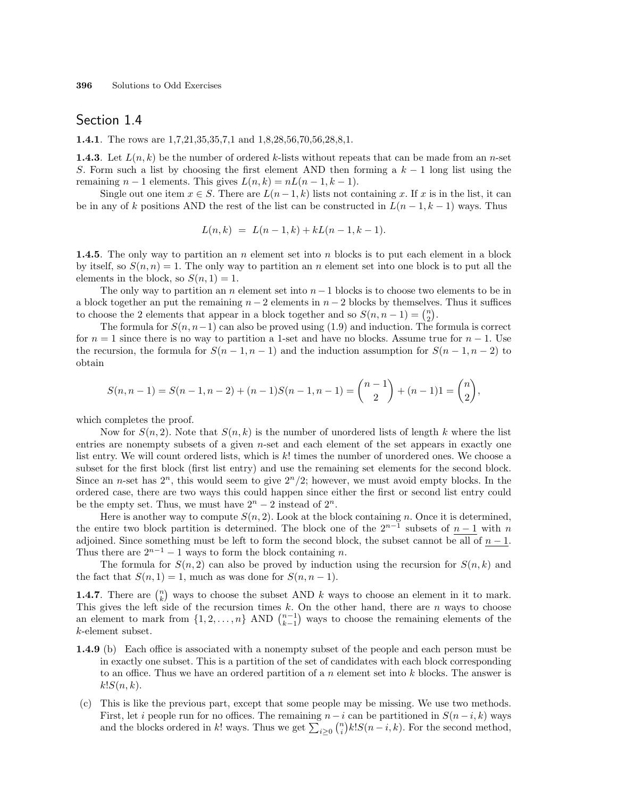### Section 1.4

**1.4.1**. The rows are 1,7,21,35,35,7,1 and 1,8,28,56,70,56,28,8,1.

**1.4.3**. Let  $L(n, k)$  be the number of ordered k-lists without repeats that can be made from an n-set S. Form such a list by choosing the first element AND then forming a  $k-1$  long list using the remaining  $n-1$  elements. This gives  $L(n, k) = nL(n-1, k-1)$ .

Single out one item  $x \in S$ . There are  $L(n-1,k)$  lists not containing x. If x is in the list, it can be in any of k positions AND the rest of the list can be constructed in  $L(n-1, k-1)$  ways. Thus

$$
L(n,k) = L(n-1,k) + kL(n-1,k-1).
$$

**1.4.5.** The only way to partition an n element set into n blocks is to put each element in a block by itself, so  $S(n, n) = 1$ . The only way to partition an n element set into one block is to put all the elements in the block, so  $S(n, 1) = 1$ .

The only way to partition an n element set into  $n-1$  blocks is to choose two elements to be in a block together an put the remaining  $n-2$  elements in  $n-2$  blocks by themselves. Thus it suffices a block together an put the remaining  $n - 2$  elements in  $n - 2$  blocks by themselves<br>to choose the 2 elements that appear in a block together and so  $S(n, n - 1) = {n \choose 2}$ .

The formula for  $S(n, n-1)$  can also be proved using (1.9) and induction. The formula is correct for  $n = 1$  since there is no way to partition a 1-set and have no blocks. Assume true for  $n - 1$ . Use the recursion, the formula for  $S(n-1, n-1)$  and the induction assumption for  $S(n-1, n-2)$  to obtain

$$
S(n, n-1) = S(n-1, n-2) + (n-1)S(n-1, n-1) = {n-1 \choose 2} + (n-1)1 = {n \choose 2},
$$

which completes the proof.

Now for  $S(n, 2)$ . Note that  $S(n, k)$  is the number of unordered lists of length k where the list entries are nonempty subsets of a given  $n$ -set and each element of the set appears in exactly one list entry. We will count ordered lists, which is k! times the number of unordered ones. We choose a subset for the first block (first list entry) and use the remaining set elements for the second block. Since an n-set has  $2^n$ , this would seem to give  $2^n/2$ ; however, we must avoid empty blocks. In the ordered case, there are two ways this could happen since either the first or second list entry could be the empty set. Thus, we must have  $2^n - 2$  instead of  $2^n$ .

Here is another way to compute  $S(n, 2)$ . Look at the block containing n. Once it is determined, the entire two block partition is determined. The block one of the  $2^{n-1}$  subsets of  $n-1$  with n adjoined. Since something must be left to form the second block, the subset cannot be all of  $n-1$ . Thus there are  $2^{n-1} - 1$  ways to form the block containing n.

The formula for  $S(n, 2)$  can also be proved by induction using the recursion for  $S(n, k)$  and the fact that  $S(n, 1) = 1$ , much as was done for  $S(n, n - 1)$ . ¢

**1.4.7**. There are  $\binom{n}{k}$ ways to choose the subset AND  $k$  ways to choose an element in it to mark. This gives the left side of the recursion times k. On the other hand, there are n ways to choose This gives the left side of the recursion times k. On the other hand, there are n ways to choose<br>an element to mark from  $\{1, 2, ..., n\}$  AND  $\binom{n-1}{k-1}$  ways to choose the remaining elements of the k-element subset.

- 1.4.9 (b) Each office is associated with a nonempty subset of the people and each person must be in exactly one subset. This is a partition of the set of candidates with each block corresponding to an office. Thus we have an ordered partition of a n element set into  $k$  blocks. The answer is  $k!S(n,k).$
- (c) This is like the previous part, except that some people may be missing. We use two methods. First, let *i* people run for no offices. The remaining  $n-i$  can be partitioned in  $S(n-i,k)$  ways First, let *i* people run for no offices. The remaining  $n - i$  can be partitioned in  $S(n - i, k)$  ways and the blocks ordered in k! ways. Thus we get  $\sum_{i \geq 0} {n \choose i} k! S(n - i, k)$ . For the second method,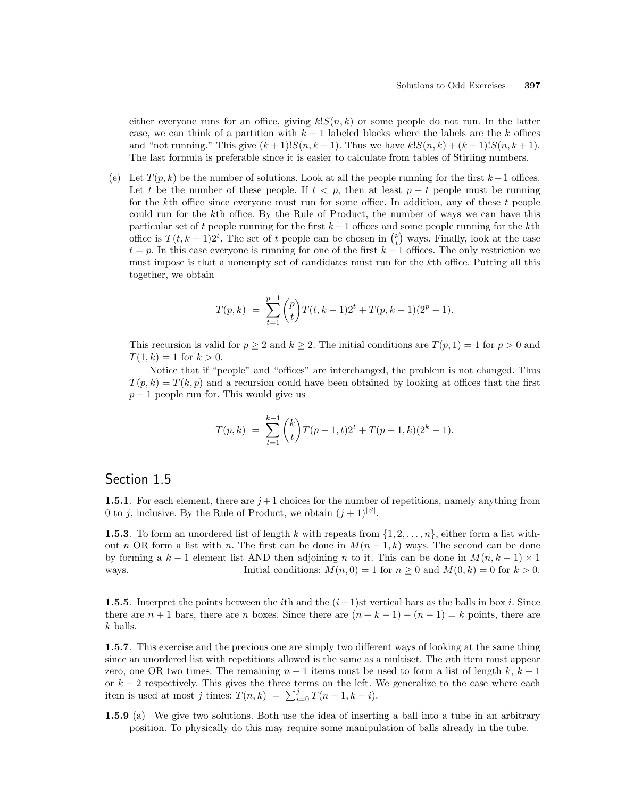either everyone runs for an office, giving  $k!S(n, k)$  or some people do not run. In the latter case, we can think of a partition with  $k + 1$  labeled blocks where the labels are the k offices and "not running." This give  $(k+1)!S(n, k+1)$ . Thus we have  $k!S(n, k) + (k+1)!S(n, k+1)$ . The last formula is preferable since it is easier to calculate from tables of Stirling numbers.

(e) Let  $T(p, k)$  be the number of solutions. Look at all the people running for the first  $k - 1$  offices. Let t be the number of these people. If  $t < p$ , then at least  $p - t$  people must be running for the kth office since everyone must run for some office. In addition, any of these  $t$  people could run for the kth office. By the Rule of Product, the number of ways we can have this particular set of t people running for the first  $k-1$  offices and some people running for the kth particular set of t people running for the first  $k-1$  offices and some people running for the  $k$ th office is  $T(t, k-1)2^t$ . The set of t people can be chosen in  $\binom{p}{t}$  ways. Finally, look at the case  $t = p$ . In this case everyone is running for one of the first  $k - 1$  offices. The only restriction we must impose is that a nonempty set of candidates must run for the kth office. Putting all this together, we obtain

$$
T(p,k) = \sum_{t=1}^{p-1} {p \choose t} T(t,k-1)2^{t} + T(p,k-1)(2^{p}-1).
$$

This recursion is valid for  $p \ge 2$  and  $k \ge 2$ . The initial conditions are  $T(p, 1) = 1$  for  $p > 0$  and  $T(1, k) = 1$  for  $k > 0$ .

Notice that if "people" and "offices" are interchanged, the problem is not changed. Thus  $T(p, k) = T(k, p)$  and a recursion could have been obtained by looking at offices that the first  $p-1$  people run for. This would give us

$$
T(p,k) = \sum_{t=1}^{k-1} {k \choose t} T(p-1,t)2^{t} + T(p-1,k)(2^{k}-1).
$$

### Section 1.5

1.5.1. For each element, there are  $j+1$  choices for the number of repetitions, namely anything from 0 to j, inclusive. By the Rule of Product, we obtain  $(j+1)^{|S|}$ .

**1.5.3.** To form an unordered list of length k with repeats from  $\{1, 2, \ldots, n\}$ , either form a list without n OR form a list with n. The first can be done in  $M(n-1,k)$  ways. The second can be done by forming a  $k-1$  element list AND then adjoining n to it. This can be done in  $M(n, k-1) \times 1$ ways. Initial conditions:  $M(n, 0) = 1$  for  $n \ge 0$  and  $M(0, k) = 0$  for  $k > 0$ .

**1.5.5.** Interpret the points between the *i*th and the  $(i+1)$ st vertical bars as the balls in box *i*. Since there are  $n + 1$  bars, there are n boxes. Since there are  $(n + k - 1) - (n - 1) = k$  points, there are k balls.

1.5.7. This exercise and the previous one are simply two different ways of looking at the same thing since an unordered list with repetitions allowed is the same as a multiset. The nth item must appear zero, one OR two times. The remaining  $n-1$  items must be used to form a list of length k,  $k-1$ or  $k-2$  respectively. This gives the three terms on the left. We generalize to the case where each or  $\kappa - \lambda$  respectively. This gives the three terms on the left. Then is used at most j times:  $T(n, k) = \sum_{i=0}^{j} T(n-1, k-i)$ .

**1.5.9** (a) We give two solutions. Both use the idea of inserting a ball into a tube in an arbitrary position. To physically do this may require some manipulation of balls already in the tube.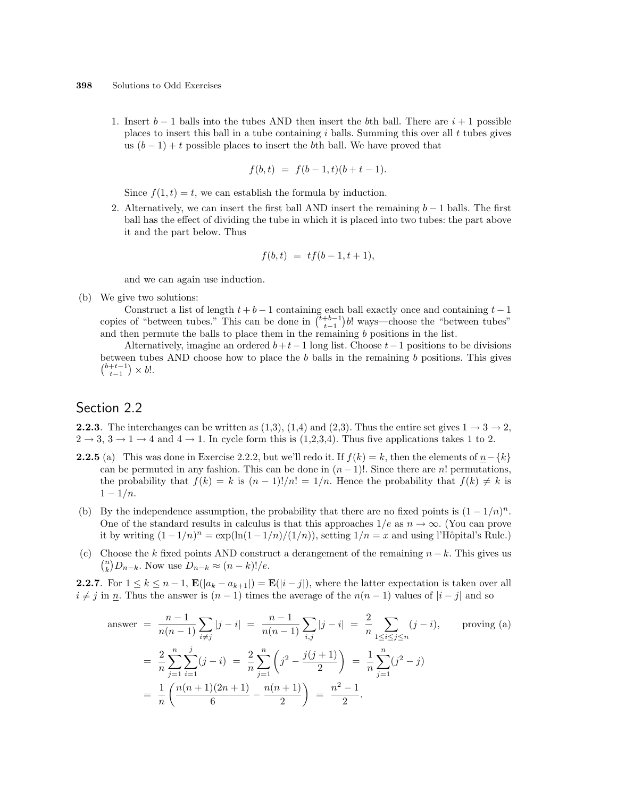1. Insert  $b-1$  balls into the tubes AND then insert the bth ball. There are  $i+1$  possible places to insert this ball in a tube containing  $i$  balls. Summing this over all  $t$  tubes gives us  $(b-1) + t$  possible places to insert the bth ball. We have proved that

$$
f(b, t) = f(b-1, t)(b+t-1).
$$

Since  $f(1, t) = t$ , we can establish the formula by induction.

2. Alternatively, we can insert the first ball AND insert the remaining  $b-1$  balls. The first ball has the effect of dividing the tube in which it is placed into two tubes: the part above it and the part below. Thus

$$
f(b,t) = tf(b-1,t+1),
$$

and we can again use induction.

(b) We give two solutions:

Construct a list of length  $t + b - 1$  containing each ball exactly once and containing  $t - 1$ Construct a list of length  $t + b - 1$  containing each ball exactly once and containing  $t - 1$  copies of "between tubes." This can be done in  $\binom{t+b-1}{t-1}b!$  ways—choose the "between tubes" and then permute the balls to place them in the remaining  $b$  positions in the list.

Alternatively, imagine an ordered  $b+t-1$  long list. Choose  $t-1$  positions to be divisions between tubes AND choose how to place the b balls in the remaining b positions. This gives  $_{t-1}^{b+t-1}$  ×  $b!$ .

# Section 2.2

**2.2.3.** The interchanges can be written as  $(1,3)$ ,  $(1,4)$  and  $(2,3)$ . Thus the entire set gives  $1 \rightarrow 3 \rightarrow 2$ ,  $2 \rightarrow 3, 3 \rightarrow 1 \rightarrow 4$  and  $4 \rightarrow 1$ . In cycle form this is  $(1,2,3,4)$ . Thus five applications takes 1 to 2.

- **2.2.5** (a) This was done in Exercise 2.2.2, but we'll redo it. If  $f(k) = k$ , then the elements of  $n \{k\}$ can be permuted in any fashion. This can be done in  $(n-1)!$ . Since there are n! permutations, the probability that  $f(k) = k$  is  $(n-1)!/n! = 1/n$ . Hence the probability that  $f(k) \neq k$  is  $1 - 1/n$ .
- (b) By the independence assumption, the probability that there are no fixed points is  $(1 1/n)^n$ . One of the standard results in calculus is that this approaches  $1/e$  as  $n \to \infty$ . (You can prove it by writing  $(1 - 1/n)^n = \exp(\ln(1 - 1/n)/(1/n))$ , setting  $1/n = x$  and using l'Hôpital's Rule.)
- (c) Choose the k fixed points AND construct a derangement of the remaining  $n k$ . This gives us  $\binom{n}{k}$  $\binom{n}{k}D_{n-k}$ . Now use  $D_{n-k}\approx (n-k)!/e$ .

**2.2.7.** For  $1 \leq k \leq n-1$ ,  $\mathbf{E}(|a_k - a_{k+1}|) = \mathbf{E}(|i-j|)$ , where the latter expectation is taken over all  $i \neq j$  in n. Thus the answer is  $(n - 1)$  times the average of the  $n(n - 1)$  values of  $|i - j|$  and so

answer 
$$
= \frac{n-1}{n(n-1)} \sum_{i \neq j} |j - i| = \frac{n-1}{n(n-1)} \sum_{i,j} |j - i| = \frac{2}{n} \sum_{1 \leq i \leq j \leq n} (j - i), \text{ proving (a)}
$$

$$
= \frac{2}{n} \sum_{j=1}^{n} \sum_{i=1}^{j} (j - i) = \frac{2}{n} \sum_{j=1}^{n} \left( j^2 - \frac{j(j+1)}{2} \right) = \frac{1}{n} \sum_{j=1}^{n} (j^2 - j)
$$

$$
= \frac{1}{n} \left( \frac{n(n+1)(2n+1)}{6} - \frac{n(n+1)}{2} \right) = \frac{n^2 - 1}{2}.
$$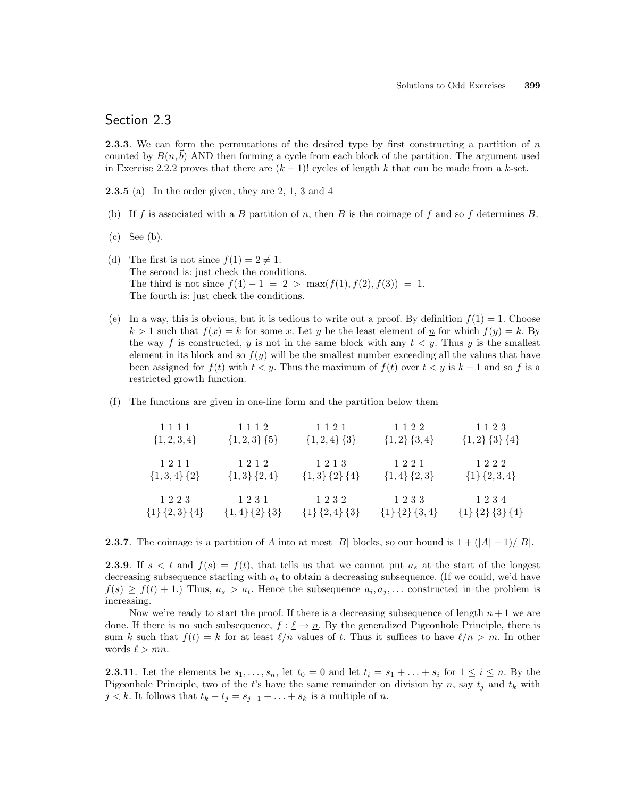### Section 2.3

**2.3.3.** We can form the permutations of the desired type by first constructing a partition of  $n$ counted by  $B(n,b)$  AND then forming a cycle from each block of the partition. The argument used in Exercise 2.2.2 proves that there are  $(k-1)!$  cycles of length k that can be made from a k-set.

**2.3.5** (a) In the order given, they are 2, 1, 3 and 4

- (b) If f is associated with a B partition of  $n$ , then B is the coimage of f and so f determines B.
- (c) See (b).
- (d) The first is not since  $f(1) = 2 \neq 1$ . The second is: just check the conditions. The third is not since  $f(4) - 1 = 2 > \max(f(1), f(2), f(3)) = 1$ . The fourth is: just check the conditions.
- (e) In a way, this is obvious, but it is tedious to write out a proof. By definition  $f(1) = 1$ . Choose  $k > 1$  such that  $f(x) = k$  for some x. Let y be the least element of n for which  $f(y) = k$ . By the way f is constructed, y is not in the same block with any  $t < y$ . Thus y is the smallest element in its block and so  $f(y)$  will be the smallest number exceeding all the values that have been assigned for  $f(t)$  with  $t < y$ . Thus the maximum of  $f(t)$  over  $t < y$  is  $k - 1$  and so f is a restricted growth function.
- (f) The functions are given in one-line form and the partition below them

| 1111                | 1112                | 1 1 2 1             | 1122                | 1123                      |
|---------------------|---------------------|---------------------|---------------------|---------------------------|
| $\{1, 2, 3, 4\}$    | $\{1,2,3\}$ $\{5\}$ | $\{1,2,4\}$ $\{3\}$ | $\{1,2\}$ $\{3,4\}$ | $\{1,2\}$ $\{3\}$ $\{4\}$ |
| 1211                | 1212                | 1213                | 1221                | 1222                      |
| $\{1,3,4\}$ $\{2\}$ | ${1,3}$ ${2,4}$     | ${1,3}$ ${2}$ ${4}$ | $\{1,4\}$ $\{2,3\}$ | ${1}{2,3,4}$              |
| 1223                | 1231                | 1232                | 1233                | 1234                      |
| ${1}{2,3}{4}$       | ${1,4}$ ${2}$ ${3}$ | ${1}{2,4}{3}$       | ${1}{2}{3,4}$       | ${1}{2}{3}{3}{4}$         |

**2.3.7**. The coimage is a partition of A into at most |B| blocks, so our bound is  $1 + (|A| - 1)/|B|$ .

**2.3.9.** If  $s < t$  and  $f(s) = f(t)$ , that tells us that we cannot put  $a_s$  at the start of the longest decreasing subsequence starting with  $a_t$  to obtain a decreasing subsequence. (If we could, we'd have  $f(s) \geq f(t) + 1$ . Thus,  $a_s > a_t$ . Hence the subsequence  $a_i, a_j, \ldots$  constructed in the problem is increasing.

Now we're ready to start the proof. If there is a decreasing subsequence of length  $n + 1$  we are done. If there is no such subsequence,  $f : \underline{\ell} \to \underline{n}$ . By the generalized Pigeonhole Principle, there is sum k such that  $f(t) = k$  for at least  $\ell/n$  values of t. Thus it suffices to have  $\ell/n > m$ . In other words  $\ell > mn$ .

**2.3.11**. Let the elements be  $s_1, \ldots, s_n$ , let  $t_0 = 0$  and let  $t_i = s_1 + \ldots + s_i$  for  $1 \le i \le n$ . By the Pigeonhole Principle, two of the t's have the same remainder on division by n, say  $t_j$  and  $t_k$  with  $j < k$ . It follows that  $t_k - t_j = s_{j+1} + \ldots + s_k$  is a multiple of n.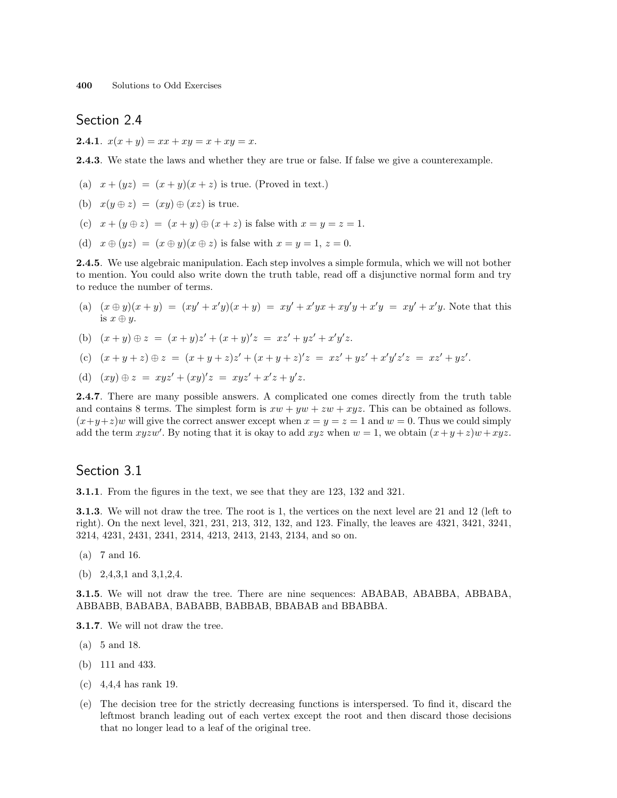# Section 2.4

**2.4.1.**  $x(x + y) = xx + xy = x + xy = x$ .

2.4.3. We state the laws and whether they are true or false. If false we give a counterexample.

- (a)  $x + (yz) = (x + y)(x + z)$  is true. (Proved in text.)
- (b)  $x(y \oplus z) = (xy) \oplus (xz)$  is true.
- (c)  $x + (y \oplus z) = (x + y) \oplus (x + z)$  is false with  $x = y = z = 1$ .
- (d)  $x \oplus (yz) = (x \oplus y)(x \oplus z)$  is false with  $x = y = 1, z = 0$ .

2.4.5. We use algebraic manipulation. Each step involves a simple formula, which we will not bother to mention. You could also write down the truth table, read off a disjunctive normal form and try to reduce the number of terms.

- (a)  $(x \oplus y)(x + y) = (xy' + x'y)(x + y) = xy' + x'yx + xy'y + x'y = xy' + x'y$ . Note that this is  $x \oplus u$ .
- (b)  $(x + y) \oplus z = (x + y)z' + (x + y)'z = xz' + yz' + x'y'z.$
- (c)  $(x+y+z) \oplus z = (x+y+z)z' + (x+y+z)'z = xz' + yz' + x'y'z'z = xz' + yz'.$
- (d)  $(xy) \oplus z = xyz' + (xy)'z = xyz' + x'z + y'z$ .

2.4.7. There are many possible answers. A complicated one comes directly from the truth table and contains 8 terms. The simplest form is  $xw + yw + zw + xyz$ . This can be obtained as follows.  $(x+y+z)w$  will give the correct answer except when  $x = y = z = 1$  and  $w = 0$ . Thus we could simply add the term xyzw'. By noting that it is okay to add xyz when  $w = 1$ , we obtain  $(x+y+z)w + xyz$ .

### Section 3.1

3.1.1. From the figures in the text, we see that they are 123, 132 and 321.

3.1.3. We will not draw the tree. The root is 1, the vertices on the next level are 21 and 12 (left to right). On the next level, 321, 231, 213, 312, 132, and 123. Finally, the leaves are 4321, 3421, 3241, 3214, 4231, 2431, 2341, 2314, 4213, 2413, 2143, 2134, and so on.

- (a) 7 and 16.
- (b) 2,4,3,1 and 3,1,2,4.

3.1.5. We will not draw the tree. There are nine sequences: ABABAB, ABABBA, ABBABA, ABBABB, BABABA, BABABB, BABBAB, BBABAB and BBABBA.

3.1.7. We will not draw the tree.

- (a) 5 and 18.
- (b) 111 and 433.
- (c) 4,4,4 has rank 19.
- (e) The decision tree for the strictly decreasing functions is interspersed. To find it, discard the leftmost branch leading out of each vertex except the root and then discard those decisions that no longer lead to a leaf of the original tree.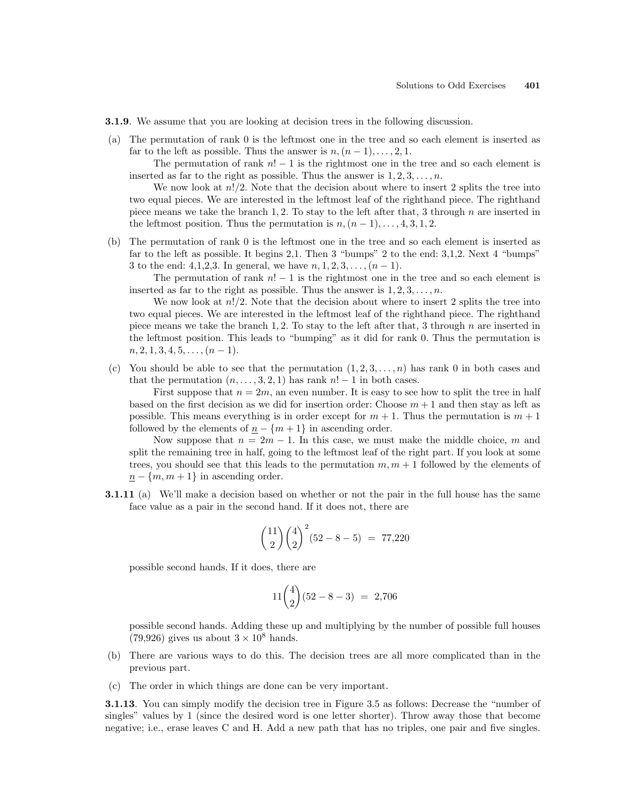- 3.1.9. We assume that you are looking at decision trees in the following discussion.
- (a) The permutation of rank 0 is the leftmost one in the tree and so each element is inserted as far to the left as possible. Thus the answer is  $n,(n-1),\ldots,2,1$ .

The permutation of rank  $n! - 1$  is the rightmost one in the tree and so each element is inserted as far to the right as possible. Thus the answer is  $1, 2, 3, \ldots, n$ .

We now look at  $n!/2$ . Note that the decision about where to insert 2 splits the tree into two equal pieces. We are interested in the leftmost leaf of the righthand piece. The righthand piece means we take the branch 1, 2. To stay to the left after that, 3 through  $n$  are inserted in the leftmost position. Thus the permutation is  $n,(n-1),\ldots,4,3,1,2.$ 

(b) The permutation of rank 0 is the leftmost one in the tree and so each element is inserted as far to the left as possible. It begins 2,1. Then 3 "bumps" 2 to the end: 3,1,2. Next 4 "bumps" 3 to the end: 4,1,2,3. In general, we have  $n, 1, 2, 3, ..., (n-1)$ .

The permutation of rank  $n! - 1$  is the rightmost one in the tree and so each element is inserted as far to the right as possible. Thus the answer is  $1, 2, 3, \ldots, n$ .

We now look at  $n!/2$ . Note that the decision about where to insert 2 splits the tree into two equal pieces. We are interested in the leftmost leaf of the righthand piece. The righthand piece means we take the branch 1, 2. To stay to the left after that, 3 through n are inserted in the leftmost position. This leads to "bumping" as it did for rank 0. Thus the permutation is  $n, 2, 1, 3, 4, 5, \ldots, (n-1).$ 

(c) You should be able to see that the permutation  $(1, 2, 3, \ldots, n)$  has rank 0 in both cases and that the permutation  $(n, \ldots, 3, 2, 1)$  has rank  $n! - 1$  in both cases.

First suppose that  $n = 2m$ , an even number. It is easy to see how to split the tree in half based on the first decision as we did for insertion order: Choose  $m + 1$  and then stay as left as possible. This means everything is in order except for  $m + 1$ . Thus the permutation is  $m + 1$ followed by the elements of  $n - \{m+1\}$  in ascending order.

Now suppose that  $n = 2m - 1$ . In this case, we must make the middle choice, m and split the remaining tree in half, going to the leftmost leaf of the right part. If you look at some trees, you should see that this leads to the permutation  $m, m + 1$  followed by the elements of  $n - \{m, m + 1\}$  in ascending order.

3.1.11 (a) We'll make a decision based on whether or not the pair in the full house has the same face value as a pair in the second hand. If it does not, there are

$$
\binom{11}{2} \binom{4}{2}^2 (52 - 8 - 5) = 77,220
$$

possible second hands. If it does, there are

$$
11\binom{4}{2}(52 - 8 - 3) = 2,706
$$

possible second hands. Adding these up and multiplying by the number of possible full houses  $(79,926)$  gives us about  $3 \times 10^8$  hands.

- (b) There are various ways to do this. The decision trees are all more complicated than in the previous part.
- (c) The order in which things are done can be very important.

3.1.13. You can simply modify the decision tree in Figure 3.5 as follows: Decrease the "number of singles" values by 1 (since the desired word is one letter shorter). Throw away those that become negative; i.e., erase leaves C and H. Add a new path that has no triples, one pair and five singles.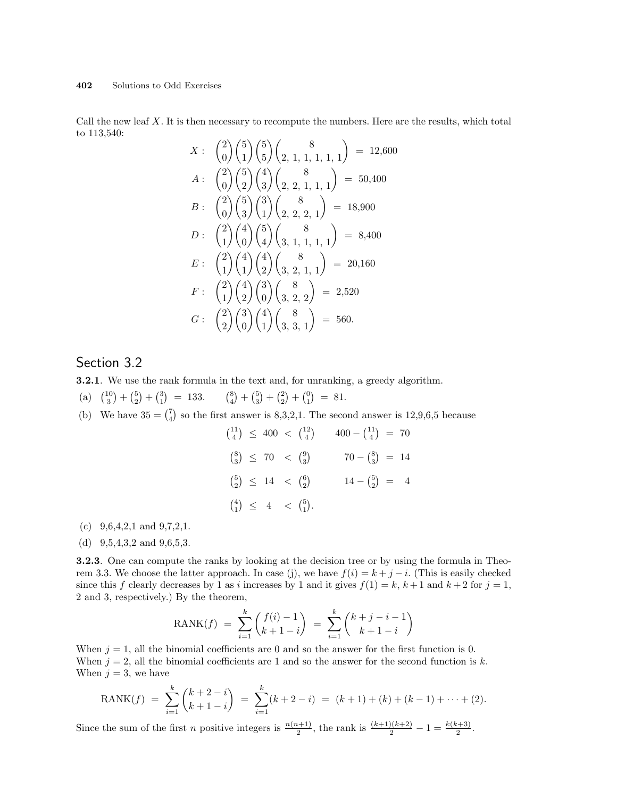Call the new leaf  $X$ . It is then necessary to recompute the numbers. Here are the results, which total to 113,540:  $\overline{a}$  $\mathbf{r}$ 

$$
X: \begin{pmatrix} 2 \\ 0 \end{pmatrix} \begin{pmatrix} 5 \\ 1 \end{pmatrix} \begin{pmatrix} 5 \\ 5 \end{pmatrix} \begin{pmatrix} 8 \\ 2, 1, 1, 1, 1, 1 \end{pmatrix} = 12,600
$$
  
\n
$$
A: \begin{pmatrix} 2 \\ 0 \end{pmatrix} \begin{pmatrix} 5 \\ 2 \end{pmatrix} \begin{pmatrix} 4 \\ 3 \end{pmatrix} \begin{pmatrix} 8 \\ 2, 2, 1, 1, 1 \end{pmatrix} = 50,400
$$
  
\n
$$
B: \begin{pmatrix} 2 \\ 0 \end{pmatrix} \begin{pmatrix} 5 \\ 3 \end{pmatrix} \begin{pmatrix} 3 \\ 1 \end{pmatrix} \begin{pmatrix} 8 \\ 2, 2, 2, 1 \end{pmatrix} = 18,900
$$
  
\n
$$
D: \begin{pmatrix} 2 \\ 1 \end{pmatrix} \begin{pmatrix} 4 \\ 0 \end{pmatrix} \begin{pmatrix} 5 \\ 4 \end{pmatrix} \begin{pmatrix} 8 \\ 3, 1, 1, 1 \end{pmatrix} = 8,400
$$
  
\n
$$
E: \begin{pmatrix} 2 \\ 1 \end{pmatrix} \begin{pmatrix} 4 \\ 1 \end{pmatrix} \begin{pmatrix} 4 \\ 2 \end{pmatrix} \begin{pmatrix} 8 \\ 3, 2, 1, 1 \end{pmatrix} = 20,160
$$
  
\n
$$
F: \begin{pmatrix} 2 \\ 1 \end{pmatrix} \begin{pmatrix} 4 \\ 2 \end{pmatrix} \begin{pmatrix} 3 \\ 0 \end{pmatrix} \begin{pmatrix} 8 \\ 3, 2, 2 \end{pmatrix} = 2,520
$$
  
\n
$$
G: \begin{pmatrix} 2 \\ 2 \end{pmatrix} \begin{pmatrix} 3 \\ 0 \end{pmatrix} \begin{pmatrix} 4 \\ 1 \end{pmatrix} \begin{pmatrix} 8 \\ 3, 3, 1 \end{pmatrix} = 560.
$$

# Section 3.2

3.2.1. We use the rank formula in the text and, for unranking, a greedy algorithm.

- (a)  $\frac{10}{3}$ ∫<br>∖  $+$  $\binom{5}{2}$ ¢  $^{+}$  $\binom{3}{1}$ ¢  $= 133.$  $\binom{8}{4}$ ¢  $^{+}$  $\binom{5}{3}$ ¢  $+$  $\binom{2}{2}$ ¢  $+$  $\binom{0}{1}$ ∫<br>∖  $= 81.$ ¢
- (b) We have  $35 = {7 \choose 4}$ so the first answer is 8,3,2,1. The second answer is 12,9,6,5 because

|  | $\binom{11}{4}$ $\leq$ 400 $\lt$ $\binom{12}{4}$ $400 - \binom{11}{4}$ = 70 |  |                                          |  |
|--|-----------------------------------------------------------------------------|--|------------------------------------------|--|
|  | $70 - {8 \choose 3} = 14$                                                   |  | $\binom{8}{3} \leq 70 < \binom{9}{3}$    |  |
|  | $14 - {5 \choose 2} = 4$                                                    |  | $\binom{5}{2} \leq 14 \leq \binom{6}{2}$ |  |
|  |                                                                             |  | $\binom{4}{1} \leq 4 \leq \binom{5}{1}.$ |  |

- (c)  $9,6,4,2,1$  and  $9,7,2,1$ .
- (d) 9,5,4,3,2 and 9,6,5,3.

3.2.3. One can compute the ranks by looking at the decision tree or by using the formula in Theorem 3.3. We choose the latter approach. In case (j), we have  $f(i) = k + j - i$ . (This is easily checked since this f clearly decreases by 1 as i increases by 1 and it gives  $f(1) = k, k+1$  and  $k+2$  for  $j = 1$ , 2 and 3, respectively.) By the theorem,

$$
RANK(f) = \sum_{i=1}^{k} {f(i) - 1 \choose k + 1 - i} = \sum_{i=1}^{k} {k + j - i - 1 \choose k + 1 - i}
$$

When  $j = 1$ , all the binomial coefficients are 0 and so the answer for the first function is 0. When  $j = 2$ , all the binomial coefficients are 1 and so the answer for the second function is k. When  $j = 3$ , we have

$$
RANK(f) = \sum_{i=1}^{k} {k+2-i \choose k+1-i} = \sum_{i=1}^{k} (k+2-i) = (k+1) + (k) + (k-1) + \dots + (2).
$$

Since the sum of the first *n* positive integers is  $\frac{n(n+1)}{2}$ , the rank is  $\frac{(k+1)(k+2)}{2} - 1 = \frac{k(k+3)}{2}$ .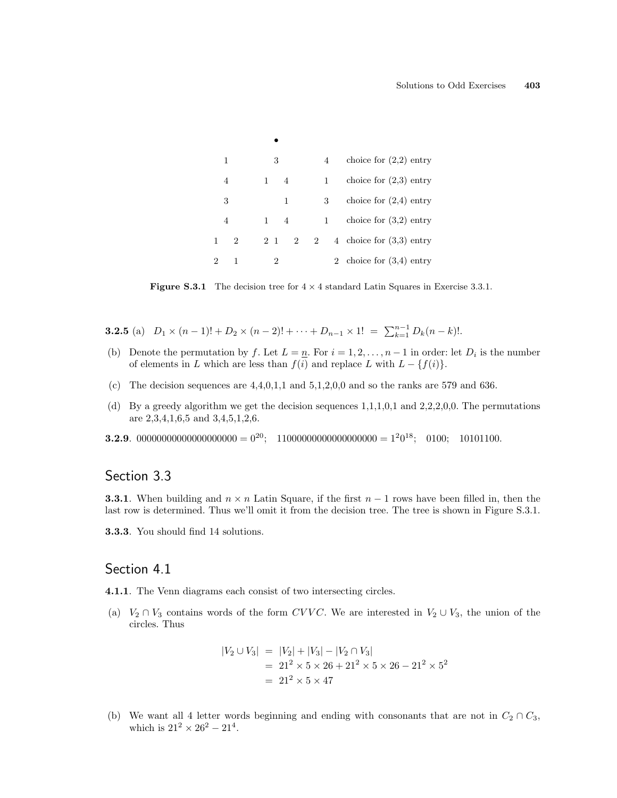| 1              | 3         |                |   | 4 | choice for $(2,2)$ entry   |
|----------------|-----------|----------------|---|---|----------------------------|
| 4              |           | $\sim$ 4       |   | 1 | choice for $(2,3)$ entry   |
| 3              |           | 1              |   | 3 | choice for $(2,4)$ entry   |
| 4              | $1 \quad$ | $\overline{4}$ |   | 1 | choice for $(3,2)$ entry   |
| $\overline{2}$ | 2 1       | $\mathcal{D}$  | 2 |   | 4 choice for $(3,3)$ entry |
|                | 2         |                |   |   | 2 choice for $(3,4)$ entry |

**Figure S.3.1** The decision tree for  $4 \times 4$  standard Latin Squares in Exercise 3.3.1.

**3.2.5** (a)  $D_1 \times (n-1)! + D_2 \times (n-2)! + \cdots + D_{n-1} \times 1! = \sum_{k=1}^{n-1} D_k (n-k)!$ .

•

- (b) Denote the permutation by f. Let  $L = \underline{n}$ . For  $i = 1, 2, ..., n-1$  in order: let  $D_i$  is the number of elements in L which are less than  $f(i)$  and replace L with  $L - \{f(i)\}.$
- (c) The decision sequences are  $4,4,0,1,1$  and  $5,1,2,0,0$  and so the ranks are 579 and 636.
- (d) By a greedy algorithm we get the decision sequences 1,1,1,0,1 and 2,2,2,0,0. The permutations are 2,3,4,1,6,5 and 3,4,5,1,2,6.
- **3.2.9**. 00000000000000000000 =  $0^{20}$ ; 11000000000000000000 =  $1^{2}0^{18}$ ; 0100; 10101100.

# Section 3.3

**3.3.1**. When building and  $n \times n$  Latin Square, if the first  $n-1$  rows have been filled in, then the last row is determined. Thus we'll omit it from the decision tree. The tree is shown in Figure S.3.1.

3.3.3. You should find 14 solutions.

#### Section 4.1

4.1.1. The Venn diagrams each consist of two intersecting circles.

(a)  $V_2 \cap V_3$  contains words of the form CVVC. We are interested in  $V_2 \cup V_3$ , the union of the circles. Thus

$$
|V_2 \cup V_3| = |V_2| + |V_3| - |V_2 \cap V_3|
$$
  
= 21<sup>2</sup> × 5 × 26 + 21<sup>2</sup> × 5 × 26 - 21<sup>2</sup> × 5<sup>2</sup>  
= 21<sup>2</sup> × 5 × 47

(b) We want all 4 letter words beginning and ending with consonants that are not in  $C_2 \cap C_3$ , which is  $21^2 \times 26^2 - 21^4$ .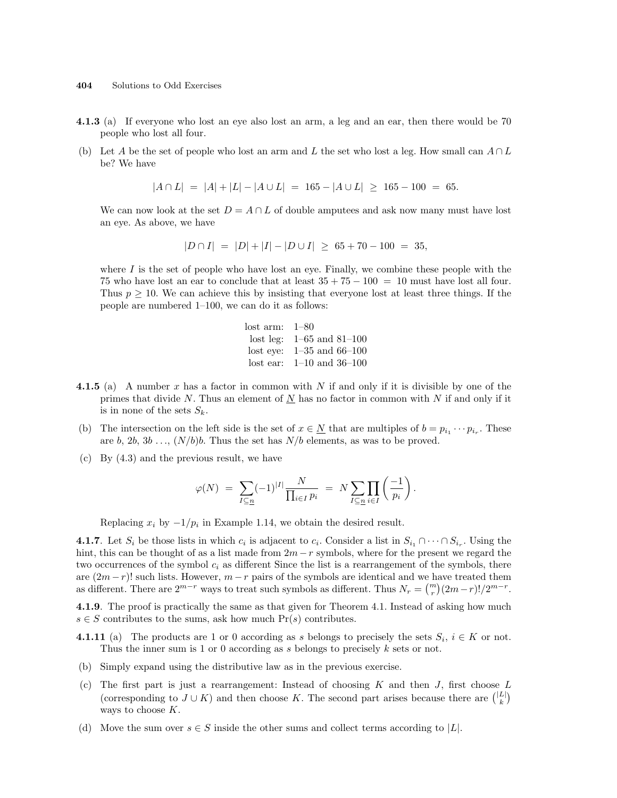- 4.1.3 (a) If everyone who lost an eye also lost an arm, a leg and an ear, then there would be 70 people who lost all four.
- (b) Let A be the set of people who lost an arm and L the set who lost a leg. How small can  $A \cap L$ be? We have

$$
|A \cap L| = |A| + |L| - |A \cup L| = 165 - |A \cup L| \ge 165 - 100 = 65.
$$

We can now look at the set  $D = A \cap L$  of double amputees and ask now many must have lost an eye. As above, we have

$$
|D \cap I| = |D| + |I| - |D \cup I| \ge 65 + 70 - 100 = 35,
$$

where  $I$  is the set of people who have lost an eye. Finally, we combine these people with the 75 who have lost an ear to conclude that at least  $35 + 75 - 100 = 10$  must have lost all four. Thus  $p \geq 10$ . We can achieve this by insisting that everyone lost at least three things. If the people are numbered 1–100, we can do it as follows:

| $\mathrm{lost}~\mathrm{arm:}~~\text{1--80}$ |                               |
|---------------------------------------------|-------------------------------|
|                                             | lost leg: $1-65$ and $81-100$ |
|                                             | lost eye: $1-35$ and $66-100$ |
|                                             | lost ear: $1-10$ and $36-100$ |

- **4.1.5** (a) A number x has a factor in common with N if and only if it is divisible by one of the primes that divide N. Thus an element of  $N$  has no factor in common with N if and only if it is in none of the sets  $S_k$ .
- (b) The intersection on the left side is the set of  $x \in \underline{N}$  that are multiples of  $b = p_{i_1} \cdots p_{i_r}$ . These are b, 2b, 3b ...,  $(N/b)b$ . Thus the set has  $N/b$  elements, as was to be proved.
- (c) By (4.3) and the previous result, we have

$$
\varphi(N) \;=\; \sum_{I \subseteq n} (-1)^{|I|} \frac{N}{\prod_{i \in I} p_i} \;=\; N \sum_{I \subseteq n} \prod_{i \in I} \left(\frac{-1}{p_i}\right).
$$

Replacing  $x_i$  by  $-1/p_i$  in Example 1.14, we obtain the desired result.

**4.1.7**. Let  $S_i$  be those lists in which  $c_i$  is adjacent to  $c_i$ . Consider a list in  $S_{i_1} \cap \cdots \cap S_{i_r}$ . Using the hint, this can be thought of as a list made from  $2m-r$  symbols, where for the present we regard the two occurrences of the symbol  $c_i$  as different Since the list is a rearrangement of the symbols, there are  $(2m-r)!$  such lists. However,  $m-r$  pairs of the symbols are identical and we have treated them<br>es different. There are  $2^{m-r}$  weight to treat such symbols as different. Thus  $N = {m \choose 2m-r} (2m-r)! (2m-r)!$ as different. There are  $2^{m-r}$  ways to treat such symbols as different. Thus  $N_r = {m \choose r} (2m-r)!/2^{m-r}$ .

4.1.9. The proof is practically the same as that given for Theorem 4.1. Instead of asking how much  $s \in S$  contributes to the sums, ask how much  $Pr(s)$  contributes.

- **4.1.11** (a) The products are 1 or 0 according as s belongs to precisely the sets  $S_i$ ,  $i \in K$  or not. Thus the inner sum is 1 or 0 according as s belongs to precisely  $k$  sets or not.
- (b) Simply expand using the distributive law as in the previous exercise.
- (c) The first part is just a rearrangement: Instead of choosing K and then J, first choose L The first part is just a rearrangement: instead of choosing  $K$  and then  $J$ , first choose  $\Gamma$  ( $\lfloor k \rfloor$  (corresponding to  $J \cup K$ ) and then choose K. The second part arises because there are  $\binom{|L|}{k}$ ways to choose K.
- (d) Move the sum over  $s \in S$  inside the other sums and collect terms according to |L|.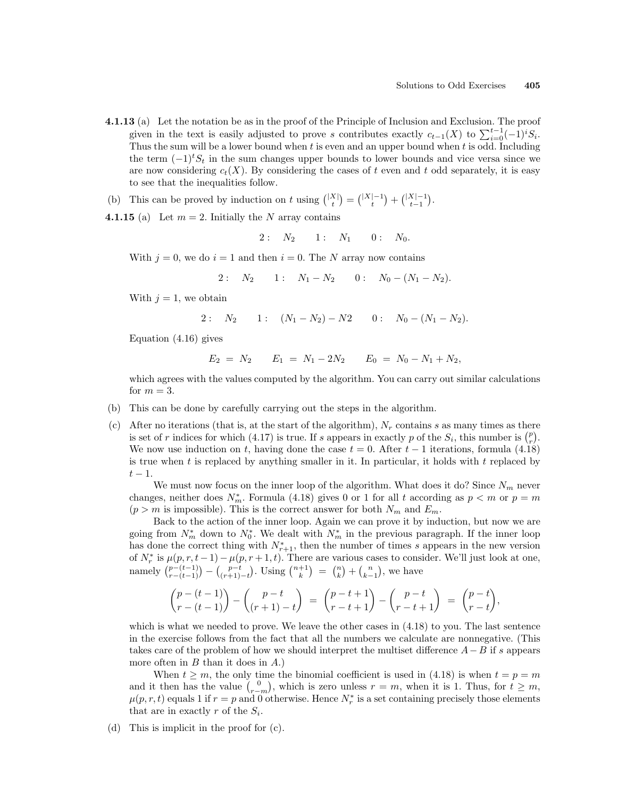- 4.1.13 (a) Let the notation be as in the proof of the Principle of Inclusion and Exclusion. The proof  $\mathbf{g}$  (a) Let the hotation be as in the proof of the 1 finciple of inclusion and Exclusion. The proof given in the text is easily adjusted to prove s contributes exactly  $c_{t-1}(X)$  to  $\sum_{i=0}^{t-1}(-1)^iS_i$ . Thus the sum will be a lower bound when  $t$  is even and an upper bound when  $t$  is odd. Including the term  $(-1)^{t}S_{t}$  in the sum changes upper bounds to lower bounds and vice versa since we are now considering  $c_t(X)$ . By considering the cases of t even and t odd separately, it is easy to see that the inequalities follow.
- (b) This can be proved by induction on t using  $\binom{|X|}{t}$ ¢ =  $\binom{|X|-1}{t}$ ¢  $^{+}$  $\binom{|X|-1}{t-1}$ ¢ .
- **4.1.15** (a) Let  $m = 2$ . Initially the N array contains

$$
2: N_2 \qquad 1: N_1 \qquad 0: N_0.
$$

With  $j = 0$ , we do  $i = 1$  and then  $i = 0$ . The N array now contains

2: 
$$
N_2
$$
 1:  $N_1 - N_2$  0:  $N_0 - (N_1 - N_2)$ .

With  $j = 1$ , we obtain

2: 
$$
N_2
$$
 1:  $(N_1 - N_2) - N_2$  0:  $N_0 - (N_1 - N_2)$ .

Equation (4.16) gives

$$
E_2 = N_2 \qquad E_1 = N_1 - 2N_2 \qquad E_0 = N_0 - N_1 + N_2,
$$

which agrees with the values computed by the algorithm. You can carry out similar calculations for  $m = 3$ .

- (b) This can be done by carefully carrying out the steps in the algorithm.
- (c) After no iterations (that is, at the start of the algorithm),  $N_r$  contains s as many times as there After no iterations (that is, at the start of the algorithm),  $N_r$  contains s as many times as there is set of r indices for which (4.17) is true. If s appears in exactly p of the  $S_i$ , this number is  $\binom{p}{r}$ . We now use induction on t, having done the case  $t = 0$ . After  $t - 1$  iterations, formula (4.18) is true when t is replaced by anything smaller in it. In particular, it holds with  $t$  replaced by  $t-1$ .

We must now focus on the inner loop of the algorithm. What does it do? Since  $N_m$  never changes, neither does  $N_m^*$ . Formula (4.18) gives 0 or 1 for all t according as  $p < m$  or  $p = m$  $(p > m$  is impossible). This is the correct answer for both  $N_m$  and  $E_m$ .

Back to the action of the inner loop. Again we can prove it by induction, but now we are going from  $N_m^*$  down to  $N_0^*$ . We dealt with  $N_m^*$  in the previous paragraph. If the inner loop has done the correct thing with  $N_{r+1}^*$ , then the number of times s appears in the new version of  $N_r^*$  is  $\mu(p, r, t-1) - \mu(p, r+1, t)$ . There are various cases to consider. We'll just look at one,<br>namely  $\binom{p-(t-1)}{r-(t-1)} - \binom{p-t}{(r+1)-t}$ . Using  $\binom{n+1}{k} = \binom{n}{k} + \binom{n}{k-1}$ , we have  $r-(t-1)$  $\overline{a}$ −  $\mu(p,$ <br>  $\binom{p-t}{(r+1)-t}$  $\left( \begin{array}{c} n+1, & i \end{array} \right)$ . Using  $\left( \begin{array}{c} n+1 \\ k \end{array} \right)$ ⊂<br>∖  $=$  $\binom{n}{k}$ t. ous cas<br>+  $\binom{n}{k-1}$ ∘<br>∕ , we have

$$
\binom{p-(t-1)}{r-(t-1)} - \binom{p-t}{(r+1)-t} = \binom{p-t+1}{r-t+1} - \binom{p-t}{r-t+1} = \binom{p-t}{r-t},
$$

which is what we needed to prove. We leave the other cases in  $(4.18)$  to you. The last sentence in the exercise follows from the fact that all the numbers we calculate are nonnegative. (This takes care of the problem of how we should interpret the multiset difference  $A-B$  if s appears more often in  $B$  than it does in  $A$ .)

When  $t \geq m$ , the only time the binomial coefficient is used in (4.18) is when  $t = p = m$ when  $t \geq m$ , the only time the binomial coefficient is used in (4.18) is when  $t = p = m$  and it then has the value  $\binom{0}{r-m}$ , which is zero unless  $r = m$ , when it is 1. Thus, for  $t \geq m$ ,  $\mu(p,r,t)$  equals 1 if  $r = p$  and 0 otherwise. Hence  $N_r^*$  is a set containing precisely those elements that are in exactly r of the  $S_i$ .

(d) This is implicit in the proof for (c).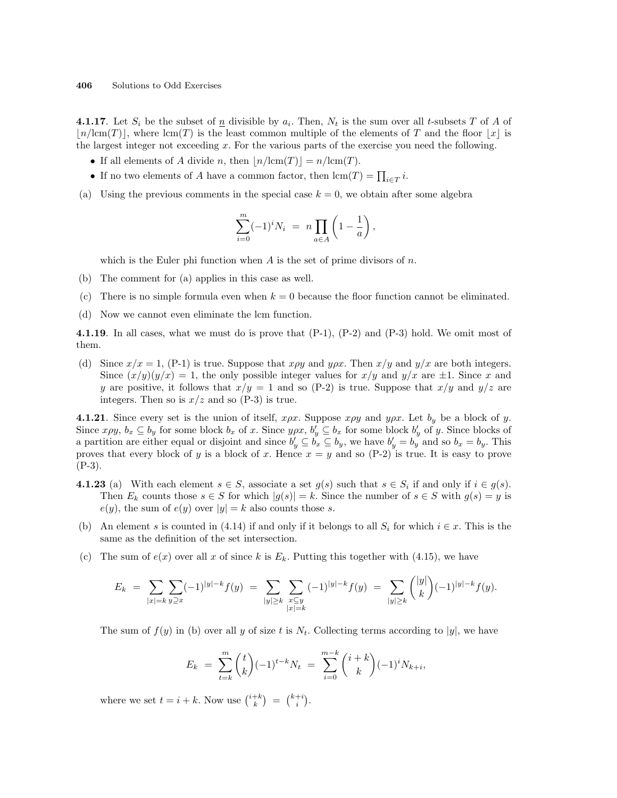**4.1.17**. Let  $S_i$  be the subset of  $\underline{n}$  divisible by  $a_i$ . Then,  $N_t$  is the sum over all t-subsets T of A of  $\lfloor n/(\mathrm{cm}(T)) \rfloor$ , where  $\mathrm{lcm}(T)$  is the least common multiple of the elements of T and the floor  $\lfloor x \rfloor$  is the largest integer not exceeding  $x$ . For the various parts of the exercise you need the following.

- If all elements of A divide n, then  $\lfloor n/\text{lcm}(T)\rfloor = n/\text{lcm}(T)$ .
- If no two elements of A have a common factor, then  $\text{ lcm}(T) = \prod_{i \in T} i$ .
- (a) Using the previous comments in the special case  $k = 0$ , we obtain after some algebra

$$
\sum_{i=0}^{m} (-1)^{i} N_{i} = n \prod_{a \in A} \left( 1 - \frac{1}{a} \right),
$$

which is the Euler phi function when  $A$  is the set of prime divisors of  $n$ .

- (b) The comment for (a) applies in this case as well.
- (c) There is no simple formula even when  $k = 0$  because the floor function cannot be eliminated.
- (d) Now we cannot even eliminate the lcm function.

4.1.19. In all cases, what we must do is prove that (P-1), (P-2) and (P-3) hold. We omit most of them.

(d) Since  $x/x = 1$ , (P-1) is true. Suppose that  $x\rho y$  and  $y\rho x$ . Then  $x/y$  and  $y/x$  are both integers. Since  $(x/y)(y/x) = 1$ , the only possible integer values for  $x/y$  and  $y/x$  are  $\pm 1$ . Since x and y are positive, it follows that  $x/y = 1$  and so (P-2) is true. Suppose that  $x/y$  and  $y/z$  are integers. Then so is  $x/z$  and so (P-3) is true.

**4.1.21**. Since every set is the union of itself,  $x \rho x$ . Suppose  $x \rho y$  and  $y \rho x$ . Let  $b_y$  be a block of y. Since  $x \rho y$ ,  $b_x \subseteq b_y$  for some block  $b_x$  of x. Since  $y \rho x$ ,  $b'_y \subseteq b_x$  for some block  $b'_y$  of y. Since blocks of a partition are either equal or disjoint and since  $b'_y \subseteq b'_x \subseteq b_y$ , we have  $b'_y = b'_y$  and so  $b_x = b_y$ . This proves that every block of y is a block of x. Hence  $x = y$  and so  $(P-2)$  is true. It is easy to prove (P-3).

- **4.1.23** (a) With each element  $s \in S$ , associate a set  $g(s)$  such that  $s \in S_i$  if and only if  $i \in g(s)$ . Then  $E_k$  counts those  $s \in S$  for which  $|g(s)| = k$ . Since the number of  $s \in S$  with  $g(s) = y$  is  $e(y)$ , the sum of  $e(y)$  over  $|y| = k$  also counts those s.
- (b) An element s is counted in (4.14) if and only if it belongs to all  $S_i$  for which  $i \in \mathcal{x}$ . This is the same as the definition of the set intersection.
- (c) The sum of  $e(x)$  over all x of since k is  $E_k$ . Putting this together with (4.15), we have

$$
E_k = \sum_{|x|=k} \sum_{y \supseteq x} (-1)^{|y|-k} f(y) = \sum_{|y| \ge k} \sum_{\substack{x \subseteq y \\ |x|=k}} (-1)^{|y|-k} f(y) = \sum_{|y| \ge k} { |y| \choose k} (-1)^{|y|-k} f(y).
$$

The sum of  $f(y)$  in (b) over all y of size t is  $N_t$ . Collecting terms according to |y|, we have

$$
E_k = \sum_{t=k}^{m} {t \choose k} (-1)^{t-k} N_t = \sum_{i=0}^{m-k} {i+k \choose k} (-1)^i N_{k+i},
$$

where we set  $t = i + k$ . Now use  $\binom{i+k}{k}$ ¢ =  $\binom{k+i}{i}$ ¢ .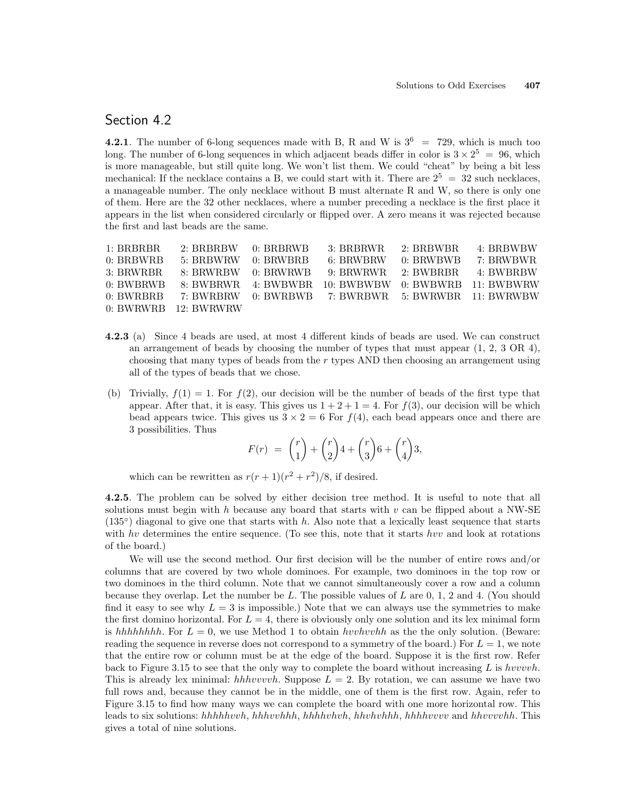### Section 4.2

4.2.1. The number of 6-long sequences made with B, R and W is  $3^6$  = 729, which is much too long. The number of 6-long sequences in which adjacent beads differ in color is  $3 \times 2^5 = 96$ , which is more manageable, but still quite long. We won't list them. We could "cheat" by being a bit less mechanical: If the necklace contains a B, we could start with it. There are  $2^5 = 32$  such necklaces, a manageable number. The only necklace without B must alternate R and W, so there is only one of them. Here are the 32 other necklaces, where a number preceding a necklace is the first place it appears in the list when considered circularly or flipped over. A zero means it was rejected because the first and last beads are the same.

| 1: BRBRBR   | $2: BRBRBW = 0: BRBRWB$ | 3: BRBRWR                                           | 2: BRBWBR | 4: BRBWBW           |
|-------------|-------------------------|-----------------------------------------------------|-----------|---------------------|
| $0:$ BRBWRB | $5:$ BRBWRW $0:$ BRWBRB | 6: BRWBRW                                           | 0: BRWBWB | 7: BRWBWR           |
| 3: BRWRBR   | 8: BRWRBW 0: BRWRWB     | 9: BRWRWR                                           |           | 2: BWBRBR 4: BWBRBW |
| 0: BWRRWB   |                         | 8: BWBRWR 4: BWBWBR 10: BWBWBW 0: BWBWRB 11: BWBWRW |           |                     |
| 0: BWRBBB   |                         | 7: BWRBRW 0: BWRBWB 7: BWRBWR 5: BWRWBR 11: BWRWBW  |           |                     |
|             | $0: BWRWRB$ 12: BWRWRW  |                                                     |           |                     |

- 4.2.3 (a) Since 4 beads are used, at most 4 different kinds of beads are used. We can construct an arrangement of beads by choosing the number of types that must appear  $(1, 2, 3 \text{ OR } 4)$ , choosing that many types of beads from the r types AND then choosing an arrangement using all of the types of beads that we chose.
- (b) Trivially,  $f(1) = 1$ . For  $f(2)$ , our decision will be the number of beads of the first type that appear. After that, it is easy. This gives us  $1 + 2 + 1 = 4$ . For  $f(3)$ , our decision will be which bead appears twice. This gives us  $3 \times 2 = 6$  For  $f(4)$ , each bead appears once and there are 3 possibilities. Thus

$$
F(r) = {r \choose 1} + {r \choose 2}4 + {r \choose 3}6 + {r \choose 4}3,
$$

which can be rewritten as  $r(r+1)(r^2+r^2)/8$ , if desired.

4.2.5. The problem can be solved by either decision tree method. It is useful to note that all solutions must begin with h because any board that starts with  $v$  can be flipped about a NW-SE  $(135°)$  diagonal to give one that starts with h. Also note that a lexically least sequence that starts with hv determines the entire sequence. (To see this, note that it starts hvv and look at rotations of the board.)

We will use the second method. Our first decision will be the number of entire rows and/or columns that are covered by two whole dominoes. For example, two dominoes in the top row or two dominoes in the third column. Note that we cannot simultaneously cover a row and a column because they overlap. Let the number be L. The possible values of L are  $0, 1, 2$  and  $4$ . (You should find it easy to see why  $L = 3$  is impossible.) Note that we can always use the symmetries to make the first domino horizontal. For  $L = 4$ , there is obviously only one solution and its lex minimal form is hhhhhhhh. For  $L = 0$ , we use Method 1 to obtain hvvhvvhh as the the only solution. (Beware: reading the sequence in reverse does not correspond to a symmetry of the board.) For  $L = 1$ , we note that the entire row or column must be at the edge of the board. Suppose it is the first row. Refer back to Figure 3.15 to see that the only way to complete the board without increasing  $L$  is hvvvvh. This is already lex minimal: hhhvvvvh. Suppose  $L = 2$ . By rotation, we can assume we have two full rows and, because they cannot be in the middle, one of them is the first row. Again, refer to Figure 3.15 to find how many ways we can complete the board with one more horizontal row. This leads to six solutions: hhhhhvvh, hhhvvhhh, hhhhvhvh, hhvhvhh, hhhhvvvv and hhvvvvhh. This gives a total of nine solutions.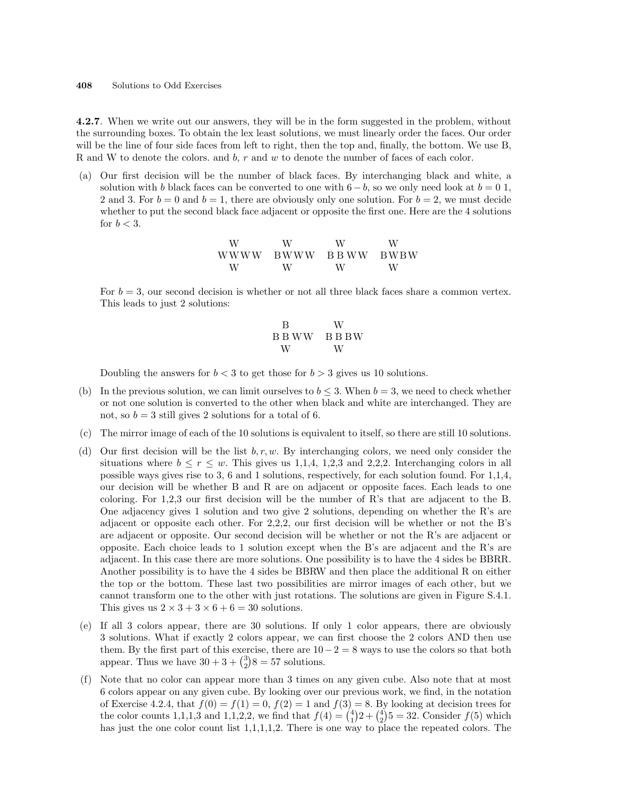4.2.7. When we write out our answers, they will be in the form suggested in the problem, without the surrounding boxes. To obtain the lex least solutions, we must linearly order the faces. Our order will be the line of four side faces from left to right, then the top and, finally, the bottom. We use B, R and W to denote the colors. and  $b, r$  and  $w$  to denote the number of faces of each color.

(a) Our first decision will be the number of black faces. By interchanging black and white, a solution with b black faces can be converted to one with  $6-b$ , so we only need look at  $b=0,1$ , 2 and 3. For  $b = 0$  and  $b = 1$ , there are obviously only one solution. For  $b = 2$ , we must decide whether to put the second black face adjacent or opposite the first one. Here are the 4 solutions for  $b < 3$ .

| W | W         | W         |  |
|---|-----------|-----------|--|
|   | WWWW BWWW | BBWW BWBW |  |
| W | W         | W         |  |

For  $b = 3$ , our second decision is whether or not all three black faces share a common vertex. This leads to just 2 solutions:

$$
\begin{array}{cc}\n\text{B} & \text{W} \\
\text{B B W W} & \text{B B B W} \\
\text{W} & \text{W}\n\end{array}
$$

Doubling the answers for  $b < 3$  to get those for  $b > 3$  gives us 10 solutions.

- (b) In the previous solution, we can limit ourselves to  $b \leq 3$ . When  $b = 3$ , we need to check whether or not one solution is converted to the other when black and white are interchanged. They are not, so  $b = 3$  still gives 2 solutions for a total of 6.
- (c) The mirror image of each of the 10 solutions is equivalent to itself, so there are still 10 solutions.
- (d) Our first decision will be the list  $b, r, w$ . By interchanging colors, we need only consider the situations where  $b \leq r \leq w$ . This gives us 1,1,4, 1,2,3 and 2,2,2. Interchanging colors in all possible ways gives rise to 3, 6 and 1 solutions, respectively, for each solution found. For 1,1,4, our decision will be whether B and R are on adjacent or opposite faces. Each leads to one coloring. For 1,2,3 our first decision will be the number of R's that are adjacent to the B. One adjacency gives 1 solution and two give 2 solutions, depending on whether the R's are adjacent or opposite each other. For 2,2,2, our first decision will be whether or not the B's are adjacent or opposite. Our second decision will be whether or not the R's are adjacent or opposite. Each choice leads to 1 solution except when the B's are adjacent and the R's are adjacent. In this case there are more solutions. One possibility is to have the 4 sides be BBRR. Another possibility is to have the 4 sides be BBRW and then place the additional R on either the top or the bottom. These last two possibilities are mirror images of each other, but we cannot transform one to the other with just rotations. The solutions are given in Figure S.4.1. This gives us  $2 \times 3 + 3 \times 6 + 6 = 30$  solutions.
- (e) If all 3 colors appear, there are 30 solutions. If only 1 color appears, there are obviously 3 solutions. What if exactly 2 colors appear, we can first choose the 2 colors AND then use them. By the first part of this exercise, there are  $10-2=8$  ways to use the colors so that both them. By the first part of this exercise, there are 10<br>appear. Thus we have  $30 + 3 + {3 \choose 2}8 = 57$  solutions.
- (f) Note that no color can appear more than 3 times on any given cube. Also note that at most 6 colors appear on any given cube. By looking over our previous work, we find, in the notation of Exercise 4.2.4, that  $f(0) = f(1) = 0$ ,  $f(2) = 1$  and  $f(3) = 8$ . By looking at decision trees for of Exercise 4.2.4, that  $f(0) = f(1) = 0$ ,  $f(2) = 1$  and  $f(3) = 8$ . By looking at decision trees for the color counts 1,1,1,3 and 1,1,2,2, we find that  $f(4) = {4 \choose 1}2 + {4 \choose 2}5 = 32$ . Consider  $f(5)$  which has just the one color count list 1,1,1,1,2. There is one way to place the repeated colors. The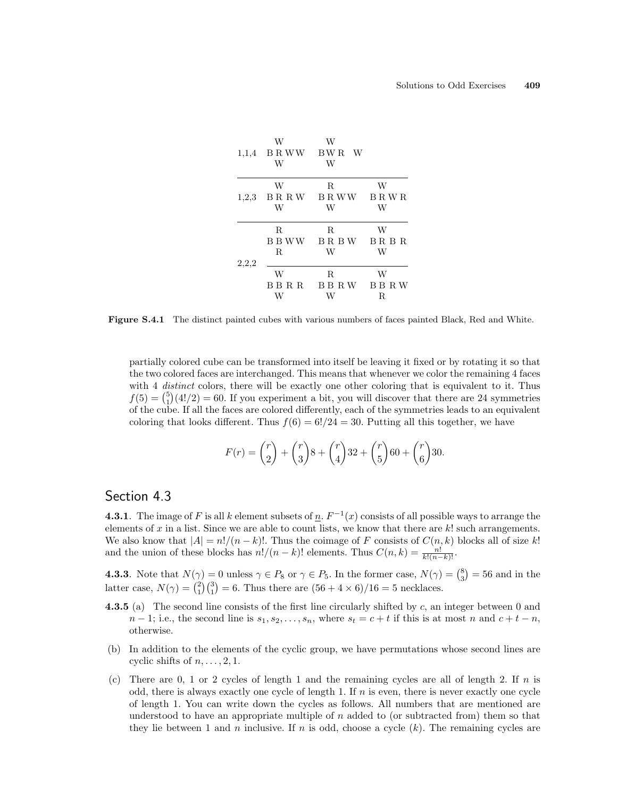

Figure S.4.1 The distinct painted cubes with various numbers of faces painted Black, Red and White.

partially colored cube can be transformed into itself be leaving it fixed or by rotating it so that the two colored faces are interchanged. This means that whenever we color the remaining 4 faces with 4 distinct colors, there will be exactly one other coloring that is equivalent to it. Thus with 4 *aistinct* colors, there will be exactly one other coloring that is equivalent to it. Thus  $f(5) = {5 \choose 1}(4!/2) = 60$ . If you experiment a bit, you will discover that there are 24 symmetries of the cube. If all the faces are colored differently, each of the symmetries leads to an equivalent coloring that looks different. Thus  $f(6) = 6!/24 = 30$ . Putting all this together, we have

$$
F(r) = {r \choose 2} + {r \choose 3}8 + {r \choose 4}32 + {r \choose 5}60 + {r \choose 6}30.
$$

# Section 4.3

**4.3.1**. The image of F is all k element subsets of  $\underline{n}$ .  $F^{-1}(x)$  consists of all possible ways to arrange the elements of x in a list. Since we are able to count lists, we know that there are  $k!$  such arrangements. We also know that  $|A| = n!/(n - k)!$ . Thus the coimage of F consists of  $C(n, k)$  blocks all of size k! and the union of these blocks has  $n!/(n-k)!$  elements. Thus  $C(n,k) = \frac{n!}{k!(n-k)!}$ .

**4.3.3**. Note that  $N(\gamma) = 0$  unless  $\gamma \in P_8$  or  $\gamma \in P_5$ . In the former case,  $N(\gamma) = \binom{8}{3}$ ¢  $\phi: 0$  unless  $\gamma \in P_8$  or  $\gamma \in P_5$ . In the former case,  $N(\gamma) = \binom{8}{3} = 56$  and in the **4.3.3.** Note that  $N(\gamma) = 0$  different are  $\gamma \in T_8$  or  $\gamma \in T_5$ . In the former case,  $N(\gamma)$  latter case,  $N(\gamma) = {2 \choose 1}{3 \choose 1} = 6$ . Thus there are  $(56 + 4 \times 6)/16 = 5$  necklaces.

- **4.3.5** (a) The second line consists of the first line circularly shifted by  $c$ , an integer between 0 and  $n-1$ ; i.e., the second line is  $s_1, s_2, \ldots, s_n$ , where  $s_t = c + t$  if this is at most n and  $c + t - n$ , otherwise.
- (b) In addition to the elements of the cyclic group, we have permutations whose second lines are cyclic shifts of  $n, \ldots, 2, 1$ .
- (c) There are  $0, 1$  or 2 cycles of length 1 and the remaining cycles are all of length 2. If n is odd, there is always exactly one cycle of length 1. If  $n$  is even, there is never exactly one cycle of length 1. You can write down the cycles as follows. All numbers that are mentioned are understood to have an appropriate multiple of  $n$  added to (or subtracted from) them so that they lie between 1 and n inclusive. If n is odd, choose a cycle  $(k)$ . The remaining cycles are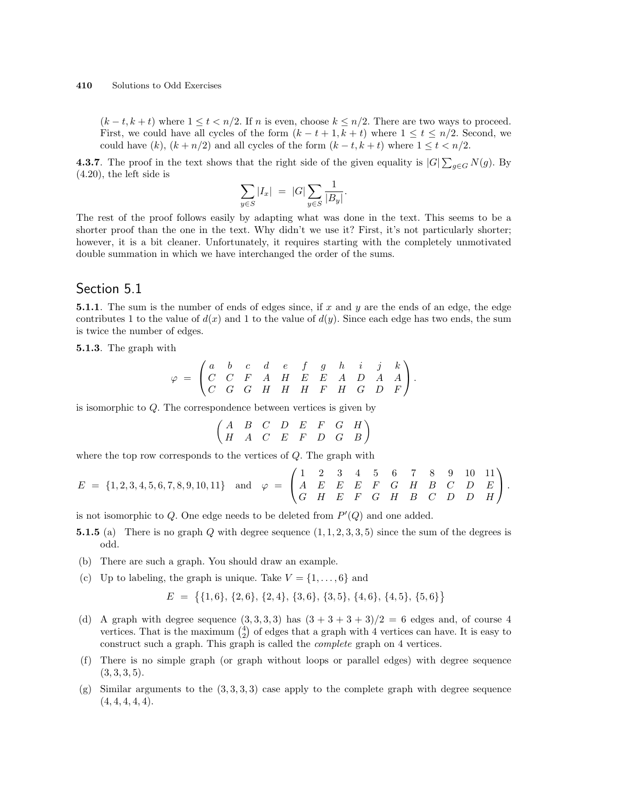$(k-t, k+t)$  where  $1 \le t < n/2$ . If n is even, choose  $k \le n/2$ . There are two ways to proceed. First, we could have all cycles of the form  $(k - t + 1, k + t)$  where  $1 \le t \le n/2$ . Second, we could have  $(k)$ ,  $(k + n/2)$  and all cycles of the form  $(k - t, k + t)$  where  $1 \le t < n/2$ .

**4.3.7**. The proof in the text shows that the right side of the given equality is  $|G| \sum_{g \in G} N(g)$ . By (4.20), the left side is

$$
\sum_{y \in S} |I_x| \ = \ |G| \sum_{y \in S} \frac{1}{|B_y|}.
$$

The rest of the proof follows easily by adapting what was done in the text. This seems to be a shorter proof than the one in the text. Why didn't we use it? First, it's not particularly shorter; however, it is a bit cleaner. Unfortunately, it requires starting with the completely unmotivated double summation in which we have interchanged the order of the sums.

# Section 5.1

**5.1.1**. The sum is the number of ends of edges since, if x and y are the ends of an edge, the edge contributes 1 to the value of  $d(x)$  and 1 to the value of  $d(y)$ . Since each edge has two ends, the sum is twice the number of edges.

5.1.3. The graph with

$$
\varphi \;=\; \begin{pmatrix} a & b & c & d & e & f & g & h & i & j & k \\ C & C & F & A & H & E & E & A & D & A & A \\ C & G & G & H & H & H & F & H & G & D & F \end{pmatrix}.
$$

is isomorphic to Q. The correspondence between vertices is given by

$$
\begin{pmatrix} A & B & C & D & E & F & G & H \\ H & A & C & E & F & D & G & B \end{pmatrix}
$$

where the top row corresponds to the vertices of  $Q$ . The graph with

$$
E = \{1, 2, 3, 4, 5, 6, 7, 8, 9, 10, 11\} \text{ and } \varphi = \begin{pmatrix} 1 & 2 & 3 & 4 & 5 & 6 & 7 & 8 & 9 & 10 & 11 \\ A & E & E & E & F & G & H & B & C & D & E \\ G & H & E & F & G & H & B & C & D & D & H \end{pmatrix}.
$$

is not isomorphic to  $Q$ . One edge needs to be deleted from  $P'(Q)$  and one added.

- **5.1.5** (a) There is no graph Q with degree sequence  $(1, 1, 2, 3, 3, 5)$  since the sum of the degrees is odd.
- (b) There are such a graph. You should draw an example.
- (c) Up to labeling, the graph is unique. Take  $V = \{1, \ldots, 6\}$  and

$$
E = \{ \{1,6\}, \{2,6\}, \{2,4\}, \{3,6\}, \{3,5\}, \{4,6\}, \{4,5\}, \{5,6\} \}
$$

- (d) A graph with degree sequence  $(3,3,3,3)$  has  $(3+3+3+3)/2 = 6$  edges and, of course 4 A graph with degree sequence  $(3, 3, 3, 3)$  has  $(3 + 3 + 3 + 3)/2 = 6$  edges and, or course 4 vertices. That is the maximum  $\binom{4}{2}$  of edges that a graph with 4 vertices can have. It is easy to construct such a graph. This graph is called the complete graph on 4 vertices.
- (f) There is no simple graph (or graph without loops or parallel edges) with degree sequence  $(3, 3, 3, 5)$ .
- (g) Similar arguments to the  $(3, 3, 3, 3)$  case apply to the complete graph with degree sequence  $(4, 4, 4, 4, 4).$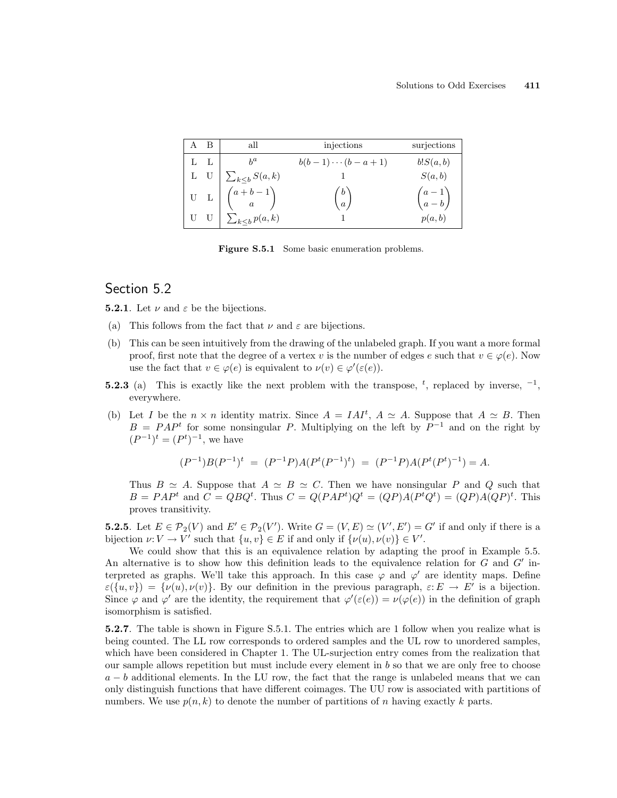| A B   | all                                                           | injections            | surjections        |
|-------|---------------------------------------------------------------|-----------------------|--------------------|
| L L   |                                                               | $b(b-1)\cdots(b-a+1)$ | b!S(a,b)           |
| $L$ U | $\sum_{k\leq b} S(a,k)$                                       |                       | S(a,b)             |
|       | U L $\left( \begin{array}{cc} a+b-1 \\ a \end{array} \right)$ | $\binom{b}{a}$        | $\binom{a-1}{a-b}$ |
|       | $\sum_{k$                                                     |                       | p(a,b)             |

Figure S.5.1 Some basic enumeration problems.

**5.2.1**. Let  $\nu$  and  $\varepsilon$  be the bijections.

- (a) This follows from the fact that  $\nu$  and  $\varepsilon$  are bijections.
- (b) This can be seen intuitively from the drawing of the unlabeled graph. If you want a more formal proof, first note that the degree of a vertex v is the number of edges e such that  $v \in \varphi(e)$ . Now use the fact that  $v \in \varphi(e)$  is equivalent to  $\nu(v) \in \varphi'(\varepsilon(e))$ .
- **5.2.3** (a) This is exactly like the next problem with the transpose, <sup>t</sup>, replaced by inverse,  $^{-1}$ , everywhere.
- (b) Let I be the  $n \times n$  identity matrix. Since  $A = I A I^t$ ,  $A \simeq A$ . Suppose that  $A \simeq B$ . Then  $B = PAP<sup>t</sup>$  for some nonsingular P. Multiplying on the left by  $P<sup>-1</sup>$  and on the right by  $(P^{-1})^t = (P^t)^{-1}$ , we have

$$
(P^{-1})B(P^{-1})^t = (P^{-1}P)A(P^t(P^{-1})^t) = (P^{-1}P)A(P^t(P^t)^{-1}) = A.
$$

Thus  $B \simeq A$ . Suppose that  $A \simeq B \simeq C$ . Then we have nonsingular P and Q such that  $B = PAP^t$  and  $C = QBQ^t$ . Thus  $C = Q(PAP^t)Q^t = (QP)A(P^tQ^t) = (QP)A(QP)^t$ . This proves transitivity.

**5.2.5**. Let  $E \in \mathcal{P}_2(V)$  and  $E' \in \mathcal{P}_2(V')$ . Write  $G = (V, E) \simeq (V', E') = G'$  if and only if there is a bijection  $\nu: V \to V'$  such that  $\{u, v\} \in E$  if and only if  $\{\nu(u), \nu(v)\} \in V'.$ 

We could show that this is an equivalence relation by adapting the proof in Example 5.5. An alternative is to show how this definition leads to the equivalence relation for  $G$  and  $G'$  interpreted as graphs. We'll take this approach. In this case  $\varphi$  and  $\varphi'$  are identity maps. Define  $\varepsilon(\{u, v\}) = \{\nu(u), \nu(v)\}.$  By our definition in the previous paragraph,  $\varepsilon: E \to E'$  is a bijection. Since  $\varphi$  and  $\varphi'$  are the identity, the requirement that  $\varphi'(\varepsilon(e)) = \nu(\varphi(e))$  in the definition of graph isomorphism is satisfied.

5.2.7. The table is shown in Figure S.5.1. The entries which are 1 follow when you realize what is being counted. The LL row corresponds to ordered samples and the UL row to unordered samples, which have been considered in Chapter 1. The UL-surjection entry comes from the realization that our sample allows repetition but must include every element in  $b$  so that we are only free to choose  $a - b$  additional elements. In the LU row, the fact that the range is unlabeled means that we can only distinguish functions that have different coimages. The UU row is associated with partitions of numbers. We use  $p(n, k)$  to denote the number of partitions of n having exactly k parts.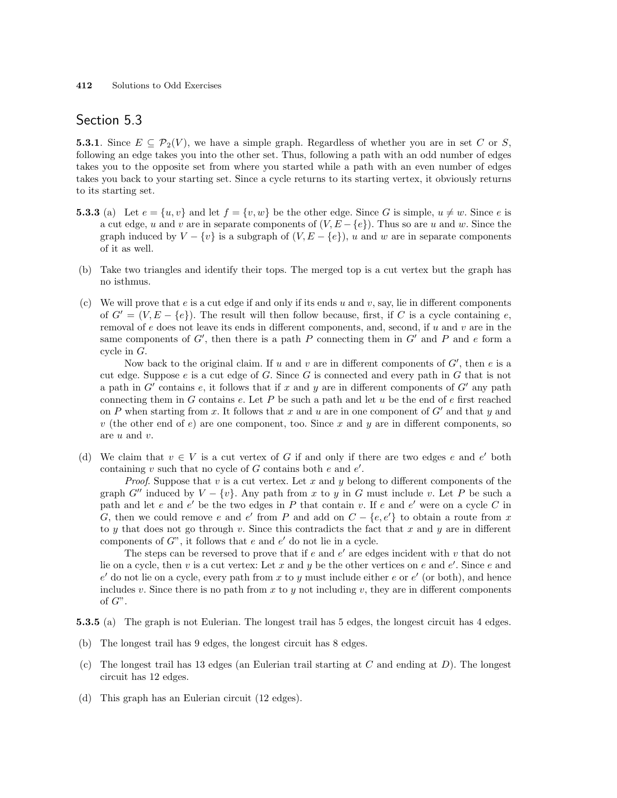**5.3.1**. Since  $E \subseteq \mathcal{P}_2(V)$ , we have a simple graph. Regardless of whether you are in set C or S, following an edge takes you into the other set. Thus, following a path with an odd number of edges takes you to the opposite set from where you started while a path with an even number of edges takes you back to your starting set. Since a cycle returns to its starting vertex, it obviously returns to its starting set.

- **5.3.3** (a) Let  $e = \{u, v\}$  and let  $f = \{v, w\}$  be the other edge. Since G is simple,  $u \neq w$ . Since e is a cut edge, u and v are in separate components of  $(V, E - \{e\})$ . Thus so are u and w. Since the graph induced by  $V - \{v\}$  is a subgraph of  $(V, E - \{e\})$ , u and w are in separate components of it as well.
- (b) Take two triangles and identify their tops. The merged top is a cut vertex but the graph has no isthmus.
- (c) We will prove that e is a cut edge if and only if its ends u and v, say, lie in different components of  $G' = (V, E - \{e\})$ . The result will then follow because, first, if C is a cycle containing e, removal of e does not leave its ends in different components, and, second, if  $u$  and  $v$  are in the same components of  $G'$ , then there is a path P connecting them in  $G'$  and P and e form a cycle in G.

Now back to the original claim. If u and v are in different components of  $G'$ , then e is a cut edge. Suppose  $e$  is a cut edge of  $G$ . Since  $G$  is connected and every path in  $G$  that is not a path in  $G'$  contains e, it follows that if x and y are in different components of  $G'$  any path connecting them in G contains  $e$ . Let P be such a path and let  $u$  be the end of  $e$  first reached on P when starting from x. It follows that x and u are in one component of  $G'$  and that y and v (the other end of  $e$ ) are one component, too. Since x and y are in different components, so are u and v.

(d) We claim that  $v \in V$  is a cut vertex of G if and only if there are two edges e and e' both containing  $v$  such that no cycle of  $G$  contains both  $e$  and  $e'$ .

*Proof.* Suppose that v is a cut vertex. Let x and y belong to different components of the graph G<sup> $\prime\prime$ </sup> induced by  $V - \{v\}$ . Any path from x to y in G must include v. Let P be such a path and let e and e' be the two edges in P that contain v. If e and e' were on a cycle C in G, then we could remove e and e' from P and add on  $C - \{e, e'\}$  to obtain a route from x to y that does not go through v. Since this contradicts the fact that x and y are in different components of  $G$ ", it follows that  $e$  and  $e'$  do not lie in a cycle.

The steps can be reversed to prove that if  $e$  and  $e'$  are edges incident with  $v$  that do not lie on a cycle, then v is a cut vertex: Let x and y be the other vertices on e and  $e'$ . Since e and  $e'$  do not lie on a cycle, every path from x to y must include either e or  $e'$  (or both), and hence includes v. Since there is no path from x to y not including v, they are in different components of  $G$ ".

5.3.5 (a) The graph is not Eulerian. The longest trail has 5 edges, the longest circuit has 4 edges.

- (b) The longest trail has 9 edges, the longest circuit has 8 edges.
- (c) The longest trail has 13 edges (an Eulerian trail starting at  $C$  and ending at  $D$ ). The longest circuit has 12 edges.
- (d) This graph has an Eulerian circuit (12 edges).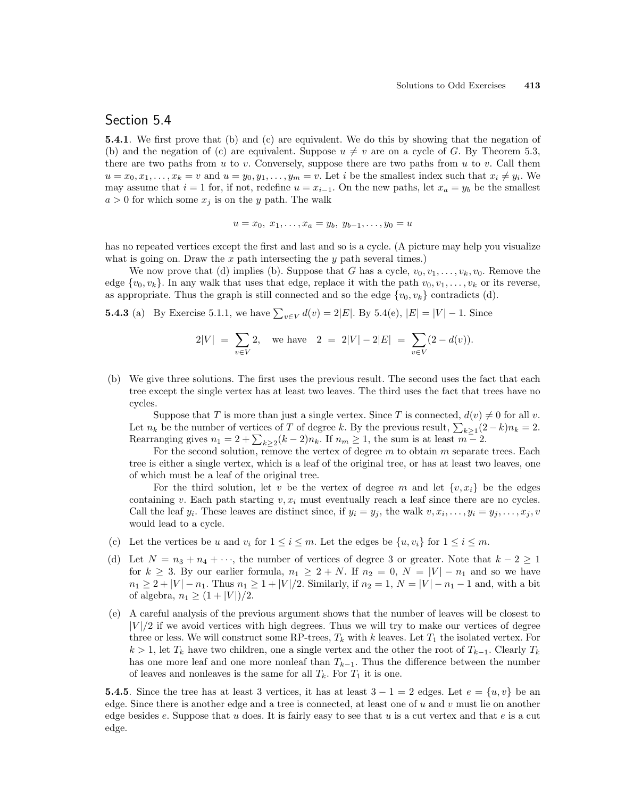5.4.1. We first prove that (b) and (c) are equivalent. We do this by showing that the negation of (b) and the negation of (c) are equivalent. Suppose  $u \neq v$  are on a cycle of G. By Theorem 5.3, there are two paths from u to v. Conversely, suppose there are two paths from u to v. Call them  $u = x_0, x_1, \ldots, x_k = v$  and  $u = y_0, y_1, \ldots, y_m = v$ . Let i be the smallest index such that  $x_i \neq y_i$ . We may assume that  $i = 1$  for, if not, redefine  $u = x_{i-1}$ . On the new paths, let  $x_a = y_b$  be the smallest  $a > 0$  for which some  $x_j$  is on the y path. The walk

$$
u = x_0, x_1, \dots, x_a = y_b, y_{b-1}, \dots, y_0 = u
$$

has no repeated vertices except the first and last and so is a cycle. (A picture may help you visualize what is going on. Draw the  $x$  path intersecting the  $y$  path several times.)

We now prove that (d) implies (b). Suppose that G has a cycle,  $v_0, v_1, \ldots, v_k, v_0$ . Remove the edge  $\{v_0, v_k\}$ . In any walk that uses that edge, replace it with the path  $v_0, v_1, \ldots, v_k$  or its reverse, as appropriate. Thus the graph is still connected and so the edge  $\{v_0, v_k\}$  contradicts (d).

**5.4.3** (a) By Exercise 5.1.1, we have  $\sum_{v \in V} d(v) = 2|E|$ . By 5.4(e),  $|E| = |V| - 1$ . Since

$$
2|V| = \sum_{v \in V} 2
$$
, we have  $2 = 2|V| - 2|E| = \sum_{v \in V} (2 - d(v)).$ 

(b) We give three solutions. The first uses the previous result. The second uses the fact that each tree except the single vertex has at least two leaves. The third uses the fact that trees have no cycles.

Suppose that T is more than just a single vertex. Since T is connected,  $d(v) \neq 0$  for all v. Suppose that T is more than just a single vertex. Since T is connected,  $a(v) \neq 0$  for an v.<br>Let  $n_k$  be the number of vertices of T of degree k. By the previous result,  $\sum_{k\geq 1}(2-k)n_k = 2$ . Let  $n_k$  be the number of vertices of 1 of degree k. By the previous result,  $\sum_{k\geq 1}$  (2)<br>Rearranging gives  $n_1 = 2 + \sum_{k\geq 2} (k-2)n_k$ . If  $n_m \geq 1$ , the sum is at least  $m-2$ .

For the second solution, remove the vertex of degree  $m$  to obtain  $m$  separate trees. Each tree is either a single vertex, which is a leaf of the original tree, or has at least two leaves, one of which must be a leaf of the original tree.

For the third solution, let v be the vertex of degree m and let  $\{v, x_i\}$  be the edges containing v. Each path starting  $v, x_i$  must eventually reach a leaf since there are no cycles. Call the leaf  $y_i$ . These leaves are distinct since, if  $y_i = y_j$ , the walk  $v, x_i, \ldots, y_i = y_j, \ldots, x_j, v$ would lead to a cycle.

- (c) Let the vertices be u and  $v_i$  for  $1 \leq i \leq m$ . Let the edges be  $\{u, v_i\}$  for  $1 \leq i \leq m$ .
- (d) Let  $N = n_3 + n_4 + \cdots$ , the number of vertices of degree 3 or greater. Note that  $k 2 \ge 1$ for  $k \geq 3$ . By our earlier formula,  $n_1 \geq 2 + N$ . If  $n_2 = 0$ ,  $N = |V| - n_1$  and so we have  $n_1 \geq 2 + |V| - n_1$ . Thus  $n_1 \geq 1 + |V|/2$ . Similarly, if  $n_2 = 1, N = |V| - n_1 - 1$  and, with a bit of algebra,  $n_1 \ge (1 + |V|)/2$ .
- (e) A careful analysis of the previous argument shows that the number of leaves will be closest to  $|V|/2$  if we avoid vertices with high degrees. Thus we will try to make our vertices of degree three or less. We will construct some RP-trees,  $T_k$  with k leaves. Let  $T_1$  the isolated vertex. For  $k > 1$ , let  $T_k$  have two children, one a single vertex and the other the root of  $T_{k-1}$ . Clearly  $T_k$ has one more leaf and one more nonleaf than  $T_{k-1}$ . Thus the difference between the number of leaves and nonleaves is the same for all  $T_k$ . For  $T_1$  it is one.

**5.4.5**. Since the tree has at least 3 vertices, it has at least  $3 - 1 = 2$  edges. Let  $e = \{u, v\}$  be an edge. Since there is another edge and a tree is connected, at least one of  $u$  and  $v$  must lie on another edge besides e. Suppose that u does. It is fairly easy to see that u is a cut vertex and that e is a cut edge.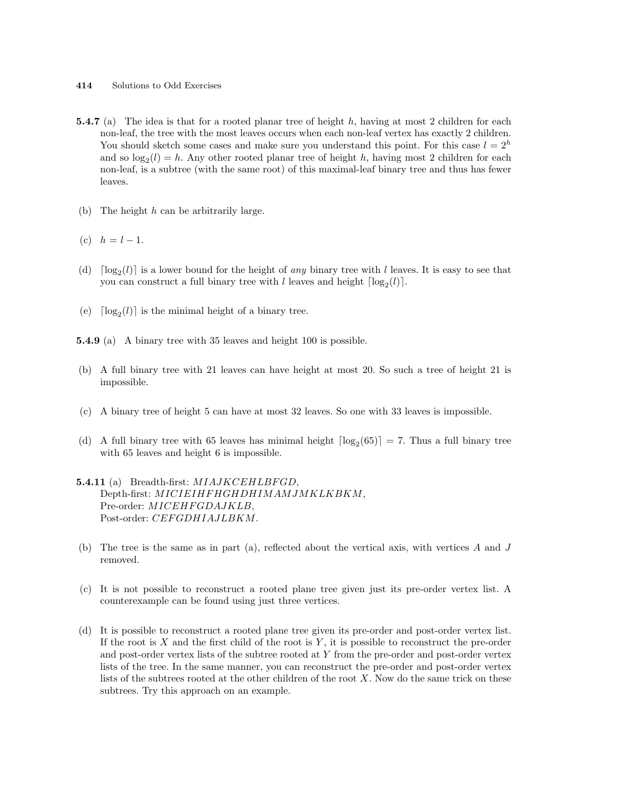- 414 Solutions to Odd Exercises
- **5.4.7** (a) The idea is that for a rooted planar tree of height h, having at most 2 children for each non-leaf, the tree with the most leaves occurs when each non-leaf vertex has exactly 2 children. You should sketch some cases and make sure you understand this point. For this case  $l = 2<sup>h</sup>$ and so  $log_2(l) = h$ . Any other rooted planar tree of height h, having most 2 children for each non-leaf, is a subtree (with the same root) of this maximal-leaf binary tree and thus has fewer leaves.
- (b) The height  $h$  can be arbitrarily large.
- (c)  $h = l 1$ .
- (d)  $\lceil \log_2(l) \rceil$  is a lower bound for the height of any binary tree with l leaves. It is easy to see that you can construct a full binary tree with l leaves and height  $\lceil \log_2(l) \rceil$ .
- (e)  $\lceil \log_2(l) \rceil$  is the minimal height of a binary tree.

5.4.9 (a) A binary tree with 35 leaves and height 100 is possible.

- (b) A full binary tree with 21 leaves can have height at most 20. So such a tree of height 21 is impossible.
- (c) A binary tree of height 5 can have at most 32 leaves. So one with 33 leaves is impossible.
- (d) A full binary tree with 65 leaves has minimal height  $\lceil \log_2(65) \rceil = 7$ . Thus a full binary tree with 65 leaves and height 6 is impossible.

#### 5.4.11 (a) Breadth-first: MIAJKCEHLBFGD, Depth-first: MICIEIHF HGHDHIMAMJMKLKBKM, Pre-order: MICEHFGDAJKLB. Post-order: CEFGDHIAJLBKM.

- (b) The tree is the same as in part (a), reflected about the vertical axis, with vertices A and J removed.
- (c) It is not possible to reconstruct a rooted plane tree given just its pre-order vertex list. A counterexample can be found using just three vertices.
- (d) It is possible to reconstruct a rooted plane tree given its pre-order and post-order vertex list. If the root is  $X$  and the first child of the root is  $Y$ , it is possible to reconstruct the pre-order and post-order vertex lists of the subtree rooted at Y from the pre-order and post-order vertex lists of the tree. In the same manner, you can reconstruct the pre-order and post-order vertex lists of the subtrees rooted at the other children of the root  $X$ . Now do the same trick on these subtrees. Try this approach on an example.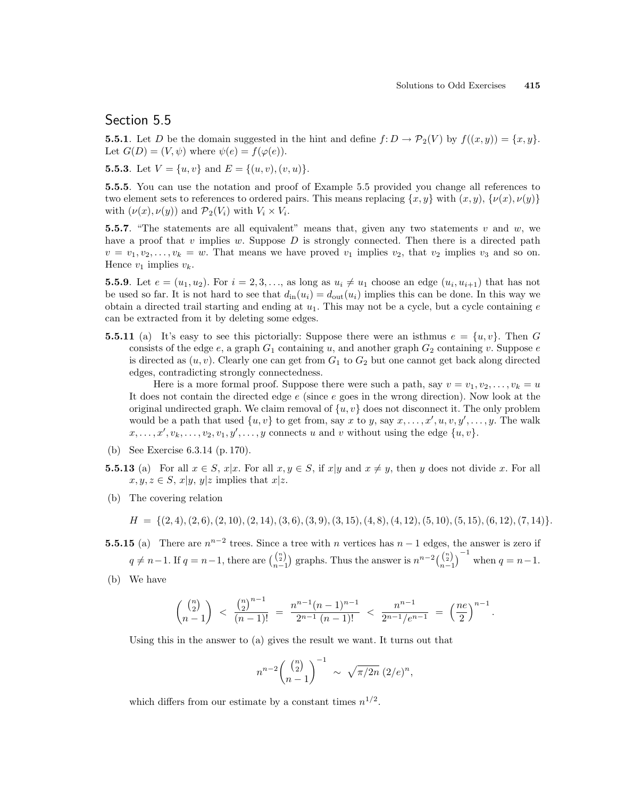**5.5.1**. Let D be the domain suggested in the hint and define  $f: D \to \mathcal{P}_2(V)$  by  $f((x, y)) = \{x, y\}.$ Let  $G(D) = (V, \psi)$  where  $\psi(e) = f(\varphi(e)).$ 

**5.5.3**. Let  $V = \{u, v\}$  and  $E = \{(u, v), (v, u)\}.$ 

5.5.5. You can use the notation and proof of Example 5.5 provided you change all references to two element sets to references to ordered pairs. This means replacing  $\{x, y\}$  with  $(x, y)$ ,  $\{\nu(x), \nu(y)\}$ with  $(\nu(x), \nu(y))$  and  $\mathcal{P}_2(V_i)$  with  $V_i \times V_i$ .

**5.5.7.** "The statements are all equivalent" means that, given any two statements v and w, we have a proof that  $v$  implies  $w$ . Suppose  $D$  is strongly connected. Then there is a directed path  $v = v_1, v_2, \ldots, v_k = w$ . That means we have proved  $v_1$  implies  $v_2$ , that  $v_2$  implies  $v_3$  and so on. Hence  $v_1$  implies  $v_k$ .

**5.5.9**. Let  $e = (u_1, u_2)$ . For  $i = 2, 3, ...,$  as long as  $u_i \neq u_1$  choose an edge  $(u_i, u_{i+1})$  that has not be used so far. It is not hard to see that  $d_{\text{in}}(u_i) = d_{\text{out}}(u_i)$  implies this can be done. In this way we obtain a directed trail starting and ending at  $u_1$ . This may not be a cycle, but a cycle containing  $e$ can be extracted from it by deleting some edges.

**5.5.11** (a) It's easy to see this pictorially: Suppose there were an isthmus  $e = \{u, v\}$ . Then G consists of the edge  $e$ , a graph  $G_1$  containing u, and another graph  $G_2$  containing v. Suppose  $e$ is directed as  $(u, v)$ . Clearly one can get from  $G_1$  to  $G_2$  but one cannot get back along directed edges, contradicting strongly connectedness.

Here is a more formal proof. Suppose there were such a path, say  $v = v_1, v_2, \ldots, v_k = u$ It does not contain the directed edge  $e$  (since  $e$  goes in the wrong direction). Now look at the original undirected graph. We claim removal of  $\{u, v\}$  does not disconnect it. The only problem would be a path that used  $\{u, v\}$  to get from, say x to y, say  $x, \ldots, x', u, v, y', \ldots, y$ . The walk  $x, \ldots, x', v_k, \ldots, v_2, v_1, y', \ldots, y$  connects u and v without using the edge  $\{u, v\}$ .

- (b) See Exercise 6.3.14 (p. 170).
- **5.5.13** (a) For all  $x \in S$ ,  $x|x$ . For all  $x, y \in S$ , if  $x|y$  and  $x \neq y$ , then y does not divide x. For all  $x, y, z \in S$ ,  $x|y, y|z$  implies that  $x|z$ .
- (b) The covering relation

$$
H = \{(2,4), (2,6), (2,10), (2,14), (3,6), (3,9), (3,15), (4,8), (4,12), (5,10), (5,15), (6,12), (7,14)\}.
$$

- **5.5.15** (a) There are  $n^{n-2}$  trees. Since a tree with n vertices has  $n-1$  edges, the answer is zero if  $q \neq n-1$ . If  $q = n-1$ , there are  $\binom{n}{n-1}$ ¢ graphs. Thus the answer is  $n^{n-2} {n \choose n-1}$  $\sqrt{-1}$ when  $q = n-1$ .
- (b) We have

$$
\binom{\binom{n}{2}}{n-1} < \frac{\binom{n}{2}^{n-1}}{(n-1)!} = \frac{n^{n-1}(n-1)^{n-1}}{2^{n-1}(n-1)!} < \frac{n^{n-1}}{2^{n-1}/e^{n-1}} = \left(\frac{ne}{2}\right)^{n-1}.
$$

Using this in the answer to (a) gives the result we want. It turns out that

$$
n^{n-2} \binom{\binom{n}{2}}{n-1}^{-1} \sim \sqrt{\pi/2n} (2/e)^n,
$$

which differs from our estimate by a constant times  $n^{1/2}$ .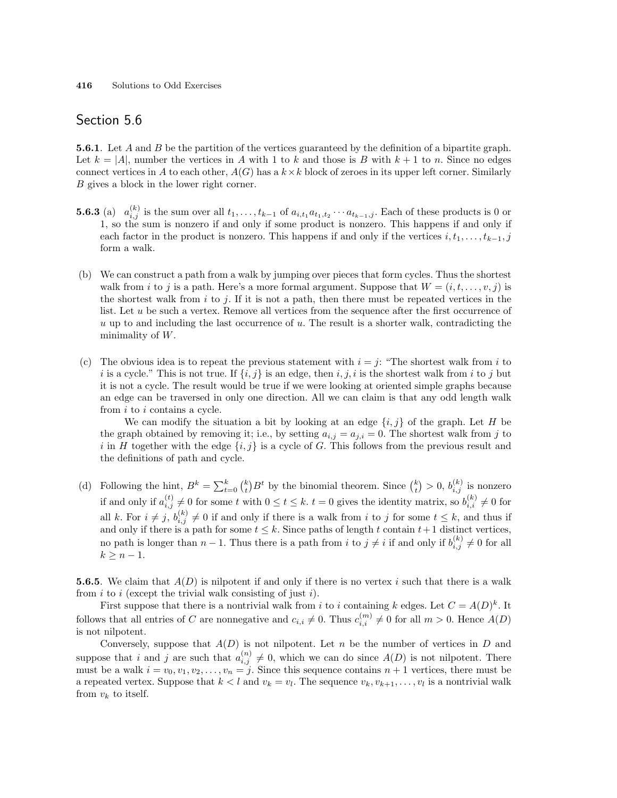**5.6.1**. Let A and B be the partition of the vertices guaranteed by the definition of a bipartite graph. Let  $k = |A|$ , number the vertices in A with 1 to k and those is B with  $k + 1$  to n. Since no edges connect vertices in A to each other,  $A(G)$  has a  $k \times k$  block of zeroes in its upper left corner. Similarly B gives a block in the lower right corner.

- **5.6.3** (a)  $a_{i,j}^{(k)}$  is the sum over all  $t_1, \ldots, t_{k-1}$  of  $a_{i,t_1} a_{t_1,t_2} \cdots a_{t_{k-1},j}$ . Each of these products is 0 or 1, so the sum is nonzero if and only if some product is nonzero. This happens if and only if each factor in the product is nonzero. This happens if and only if the vertices  $i, t_1, \ldots, t_{k-1}, j$ form a walk.
- (b) We can construct a path from a walk by jumping over pieces that form cycles. Thus the shortest walk from i to j is a path. Here's a more formal argument. Suppose that  $W = (i, t, \ldots, v, j)$  is the shortest walk from  $i$  to  $j$ . If it is not a path, then there must be repeated vertices in the list. Let u be such a vertex. Remove all vertices from the sequence after the first occurrence of  $u$  up to and including the last occurrence of  $u$ . The result is a shorter walk, contradicting the minimality of  $W$ .
- (c) The obvious idea is to repeat the previous statement with  $i = j$ : "The shortest walk from i to i is a cycle." This is not true. If  $\{i, j\}$  is an edge, then i, j, i is the shortest walk from i to j but it is not a cycle. The result would be true if we were looking at oriented simple graphs because an edge can be traversed in only one direction. All we can claim is that any odd length walk from i to i contains a cycle.

We can modify the situation a bit by looking at an edge  $\{i, j\}$  of the graph. Let H be the graph obtained by removing it; i.e., by setting  $a_{i,j} = a_{j,i} = 0$ . The shortest walk from j to i in H together with the edge  $\{i, j\}$  is a cycle of G. This follows from the previous result and the definitions of path and cycle.

(d) Following the hint,  $B^k = \sum_{t=0}^k {k \choose t}$  $B^t$  by the binomial theorem. Since  $\binom{k}{t}$ ¢  $> 0, b_{i,j}^{(k)}$  is nonzero if and only if  $a_{i,j}^{(t)} \neq 0$  for some t with  $0 \le t \le k$ .  $t = 0$  gives the identity matrix, so  $b_{i,i}^{(k)} \neq 0$  for all k. For  $i \neq j$ ,  $b_{i,j}^{(k)} \neq 0$  if and only if there is a walk from i to j for some  $t \leq k$ , and thus if and only if there is a path for some  $t \leq k$ . Since paths of length t contain  $t+1$  distinct vertices, no path is longer than  $n-1$ . Thus there is a path from i to  $j \neq i$  if and only if  $b_{i,j}^{(k)} \neq 0$  for all  $k \geq n-1$ .

**5.6.5**. We claim that  $A(D)$  is nilpotent if and only if there is no vertex i such that there is a walk from  $i$  to  $i$  (except the trivial walk consisting of just  $i$ ).

First suppose that there is a nontrivial walk from i to i containing k edges. Let  $C = A(D)^k$ . It follows that all entries of C are nonnegative and  $c_{i,i} \neq 0$ . Thus  $c_{i,i}^{(m)} \neq 0$  for all  $m > 0$ . Hence  $A(D)$ is not nilpotent.

Conversely, suppose that  $A(D)$  is not nilpotent. Let n be the number of vertices in D and suppose that i and j are such that  $a_{i,j}^{(n)} \neq 0$ , which we can do since  $A(D)$  is not nilpotent. There must be a walk  $i = v_0, v_1, v_2, \ldots, v_n = j$ . Since this sequence contains  $n + 1$  vertices, there must be a repeated vertex. Suppose that  $k < l$  and  $v_k = v_l$ . The sequence  $v_k, v_{k+1}, \ldots, v_l$  is a nontrivial walk from  $v_k$  to itself.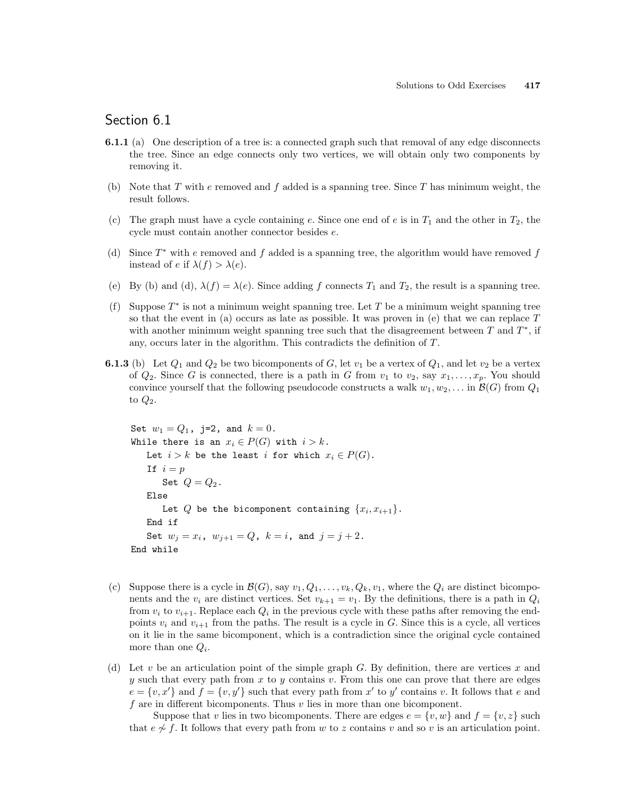## Section 6.1

- 6.1.1 (a) One description of a tree is: a connected graph such that removal of any edge disconnects the tree. Since an edge connects only two vertices, we will obtain only two components by removing it.
- (b) Note that  $T$  with  $e$  removed and  $f$  added is a spanning tree. Since  $T$  has minimum weight, the result follows.
- (c) The graph must have a cycle containing e. Since one end of e is in  $T_1$  and the other in  $T_2$ , the cycle must contain another connector besides e.
- (d) Since  $T^*$  with e removed and f added is a spanning tree, the algorithm would have removed f instead of e if  $\lambda(f) > \lambda(e)$ .
- (e) By (b) and (d),  $\lambda(f) = \lambda(e)$ . Since adding f connects  $T_1$  and  $T_2$ , the result is a spanning tree.
- (f) Suppose  $T^*$  is not a minimum weight spanning tree. Let T be a minimum weight spanning tree so that the event in (a) occurs as late as possible. It was proven in (e) that we can replace  $T$ with another minimum weight spanning tree such that the disagreement between  $T$  and  $T^*$ , if any, occurs later in the algorithm. This contradicts the definition of T.
- **6.1.3** (b) Let  $Q_1$  and  $Q_2$  be two bicomponents of G, let  $v_1$  be a vertex of  $Q_1$ , and let  $v_2$  be a vertex of  $Q_2$ . Since G is connected, there is a path in G from  $v_1$  to  $v_2$ , say  $x_1, \ldots, x_p$ . You should convince yourself that the following pseudocode constructs a walk  $w_1, w_2, \ldots$  in  $\mathcal{B}(G)$  from  $Q_1$ to  $Q_2$ .

```
Set w_1 = Q_1, j=2, and k = 0.
While there is an x_i \in P(G) with i > k.
   Let i > k be the least i for which x_i \in P(G).
   If i = pSet Q = Q_2.
   Else
       Let Q be the bicomponent containing \{x_i, x_{i+1}\}.End if
   Set w_j = x_i, w_{j+1} = Q, k = i, and j = j + 2.
End while
```
- (c) Suppose there is a cycle in  $\mathcal{B}(G)$ , say  $v_1, Q_1, \ldots, v_k, Q_k, v_1$ , where the  $Q_i$  are distinct bicomponents and the  $v_i$  are distinct vertices. Set  $v_{k+1} = v_1$ . By the definitions, there is a path in  $Q_i$ from  $v_i$  to  $v_{i+1}$ . Replace each  $Q_i$  in the previous cycle with these paths after removing the endpoints  $v_i$  and  $v_{i+1}$  from the paths. The result is a cycle in G. Since this is a cycle, all vertices on it lie in the same bicomponent, which is a contradiction since the original cycle contained more than one  $Q_i$ .
- (d) Let v be an articulation point of the simple graph  $G$ . By definition, there are vertices x and y such that every path from x to y contains v. From this one can prove that there are edges  $e = \{v, x'\}$  and  $f = \{v, y'\}$  such that every path from x' to y' contains v. It follows that e and f are in different bicomponents. Thus  $v$  lies in more than one bicomponent.

Suppose that v lies in two bicomponents. There are edges  $e = \{v, w\}$  and  $f = \{v, z\}$  such that  $e \not\sim f$ . It follows that every path from w to z contains v and so v is an articulation point.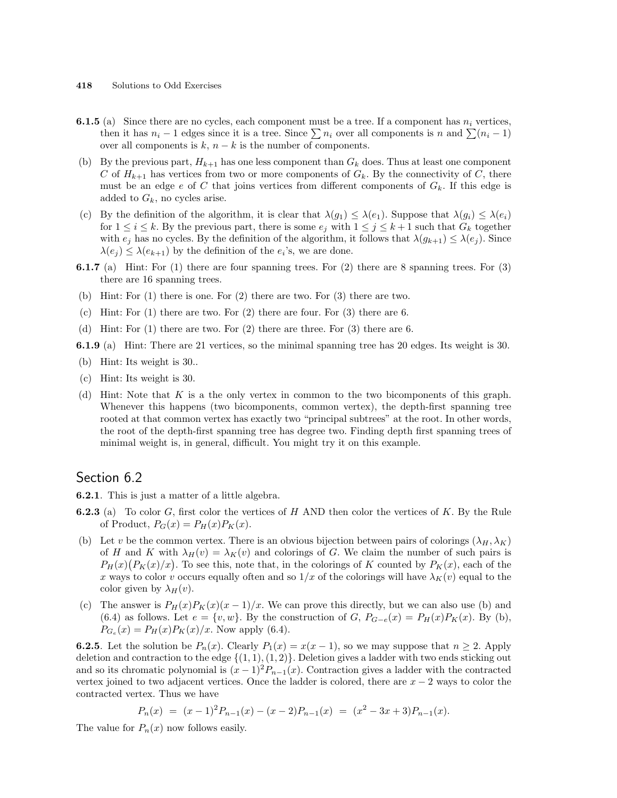#### 418 Solutions to Odd Exercises

- **6.1.5** (a) Since there are no cycles, each component must be a tree. If a component has  $n_i$  vertices, then it has  $n_i - 1$  edges since it is a tree. Since  $\sum n_i$  over all components is n and  $\sum (n_i - 1)$ over all components is  $k$ ,  $n - k$  is the number of components.
- (b) By the previous part,  $H_{k+1}$  has one less component than  $G_k$  does. Thus at least one component C of  $H_{k+1}$  has vertices from two or more components of  $G_k$ . By the connectivity of C, there must be an edge  $e$  of  $C$  that joins vertices from different components of  $G_k$ . If this edge is added to  $G_k$ , no cycles arise.
- (c) By the definition of the algorithm, it is clear that  $\lambda(g_1) \leq \lambda(e_1)$ . Suppose that  $\lambda(g_i) \leq \lambda(e_i)$ for  $1 \leq i \leq k$ . By the previous part, there is some  $e_j$  with  $1 \leq j \leq k+1$  such that  $G_k$  together with  $e_i$  has no cycles. By the definition of the algorithm, it follows that  $\lambda(g_{k+1}) \leq \lambda(e_i)$ . Since  $\lambda(e_j) \leq \lambda(e_{k+1})$  by the definition of the  $e_i$ 's, we are done.
- 6.1.7 (a) Hint: For (1) there are four spanning trees. For (2) there are 8 spanning trees. For (3) there are 16 spanning trees.
- (b) Hint: For (1) there is one. For (2) there are two. For (3) there are two.
- (c) Hint: For (1) there are two. For (2) there are four. For (3) there are 6.
- (d) Hint: For (1) there are two. For (2) there are three. For (3) there are 6.

6.1.9 (a) Hint: There are 21 vertices, so the minimal spanning tree has 20 edges. Its weight is 30.

- (b) Hint: Its weight is 30..
- (c) Hint: Its weight is 30.
- (d) Hint: Note that K is a the only vertex in common to the two bicomponents of this graph. Whenever this happens (two bicomponents, common vertex), the depth-first spanning tree rooted at that common vertex has exactly two "principal subtrees" at the root. In other words, the root of the depth-first spanning tree has degree two. Finding depth first spanning trees of minimal weight is, in general, difficult. You might try it on this example.

### Section 6.2

6.2.1. This is just a matter of a little algebra.

- **6.2.3** (a) To color G, first color the vertices of H AND then color the vertices of K. By the Rule of Product,  $P_G(x) = P_H(x)P_K(x)$ .
- (b) Let v be the common vertex. There is an obvious bijection between pairs of colorings  $(\lambda_H, \lambda_K)$ of H and K with  $\lambda_H(v) = \lambda_K(v)$  and colorings of G. We claim the number of such pairs is or *H* and *K* with  $\lambda_H(v) = \lambda_K(v)$  and colorings of *G*. We claim the number of such pairs is  $P_H(x)(P_K(x)/x)$ . To see this, note that, in the colorings of *K* counted by  $P_K(x)$ , each of the x ways to color v occurs equally often and so  $1/x$  of the colorings will have  $\lambda_K(v)$  equal to the color given by  $\lambda_H(v)$ .
- (c) The answer is  $P_H(x)P_K(x)(x-1)/x$ . We can prove this directly, but we can also use (b) and (6.4) as follows. Let  $e = \{v, w\}$ . By the construction of G,  $P_{G-e}(x) = P_H(x)P_K(x)$ . By (b),  $P_{G_e}(x) = P_H(x)P_K(x)/x$ . Now apply (6.4).

**6.2.5**. Let the solution be  $P_n(x)$ . Clearly  $P_1(x) = x(x - 1)$ , so we may suppose that  $n \ge 2$ . Apply deletion and contraction to the edge  $\{(1, 1), (1, 2)\}.$  Deletion gives a ladder with two ends sticking out and so its chromatic polynomial is  $(x - 1)^2 P_{n-1}(x)$ . Contraction gives a ladder with the contracted vertex joined to two adjacent vertices. Once the ladder is colored, there are  $x - 2$  ways to color the contracted vertex. Thus we have

$$
P_n(x) = (x-1)^2 P_{n-1}(x) - (x-2) P_{n-1}(x) = (x^2 - 3x + 3) P_{n-1}(x).
$$

The value for  $P_n(x)$  now follows easily.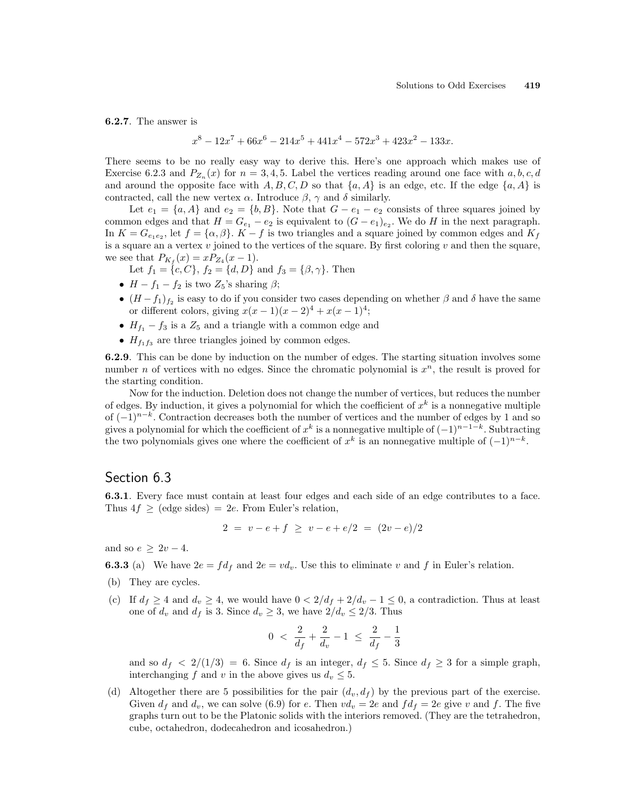6.2.7. The answer is

$$
x^8 - 12x^7 + 66x^6 - 214x^5 + 441x^4 - 572x^3 + 423x^2 - 133x.
$$

There seems to be no really easy way to derive this. Here's one approach which makes use of Exercise 6.2.3 and  $P_{Z_n}(x)$  for  $n = 3, 4, 5$ . Label the vertices reading around one face with  $a, b, c, d$ and around the opposite face with  $A, B, C, D$  so that  $\{a, A\}$  is an edge, etc. If the edge  $\{a, A\}$  is contracted, call the new vertex  $\alpha$ . Introduce  $\beta$ ,  $\gamma$  and  $\delta$  similarly.

Let  $e_1 = \{a, A\}$  and  $e_2 = \{b, B\}$ . Note that  $G - e_1 - e_2$  consists of three squares joined by common edges and that  $H = G_{e_1} - e_2$  is equivalent to  $(G - e_1)_{e_2}$ . We do H in the next paragraph. In  $K = G_{e_1e_2}$ , let  $f = {\alpha, \beta}$ .  $K - f$  is two triangles and a square joined by common edges and  $K_f$ is a square an a vertex  $v$  joined to the vertices of the square. By first coloring  $v$  and then the square, we see that  $P_{K_f}(x) = x P_{Z_4}(x-1)$ .

Let  $f_1 = \{c, C\}, f_2 = \{d, D\}$  and  $f_3 = \{\beta, \gamma\}.$  Then

- $H f_1 f_2$  is two  $Z_5$ 's sharing  $\beta$ ;
- $(H f_1)_{f_2}$  is easy to do if you consider two cases depending on whether  $\beta$  and  $\delta$  have the same or different colors, giving  $x(x-1)(x-2)^4 + x(x-1)^4$ ;
- $H_{f_1} f_3$  is a  $Z_5$  and a triangle with a common edge and
- $H_{f_1f_3}$  are three triangles joined by common edges.

6.2.9. This can be done by induction on the number of edges. The starting situation involves some number *n* of vertices with no edges. Since the chromatic polynomial is  $x^n$ , the result is proved for the starting condition.

Now for the induction. Deletion does not change the number of vertices, but reduces the number of edges. By induction, it gives a polynomial for which the coefficient of  $x^k$  is a nonnegative multiple of  $(-1)^{n-k}$ . Contraction decreases both the number of vertices and the number of edges by 1 and so gives a polynomial for which the coefficient of  $x^k$  is a nonnegative multiple of  $(-1)^{n-1-k}$ . Subtracting the two polynomials gives one where the coefficient of  $x^k$  is an nonnegative multiple of  $(-1)^{n-k}$ .

### Section 6.3

6.3.1. Every face must contain at least four edges and each side of an edge contributes to a face. Thus  $4f \geq$  (edge sides) = 2e. From Euler's relation,

$$
2 = v - e + f \ge v - e + e/2 = (2v - e)/2
$$

and so  $e \geq 2v - 4$ .

**6.3.3** (a) We have  $2e = fd_f$  and  $2e = vd_v$ . Use this to eliminate v and f in Euler's relation.

- (b) They are cycles.
- (c) If  $d_f \geq 4$  and  $d_v \geq 4$ , we would have  $0 < 2/d_f + 2/d_v 1 \leq 0$ , a contradiction. Thus at least one of  $d_v$  and  $d_f$  is 3. Since  $d_v \geq 3$ , we have  $2/d_v \leq 2/3$ . Thus

$$
0 \ < \ \frac{2}{d_f} + \frac{2}{d_v} - 1 \ \le \ \frac{2}{d_f} - \frac{1}{3}
$$

and so  $d_f < 2/(1/3) = 6$ . Since  $d_f$  is an integer,  $d_f \leq 5$ . Since  $d_f \geq 3$  for a simple graph, interchanging f and v in the above gives us  $d_v \leq 5$ .

(d) Altogether there are 5 possibilities for the pair  $(d_v, d_f)$  by the previous part of the exercise. Given  $d_f$  and  $d_v$ , we can solve (6.9) for e. Then  $vd_v = 2e$  and  $fd_f = 2e$  give v and f. The five graphs turn out to be the Platonic solids with the interiors removed. (They are the tetrahedron, cube, octahedron, dodecahedron and icosahedron.)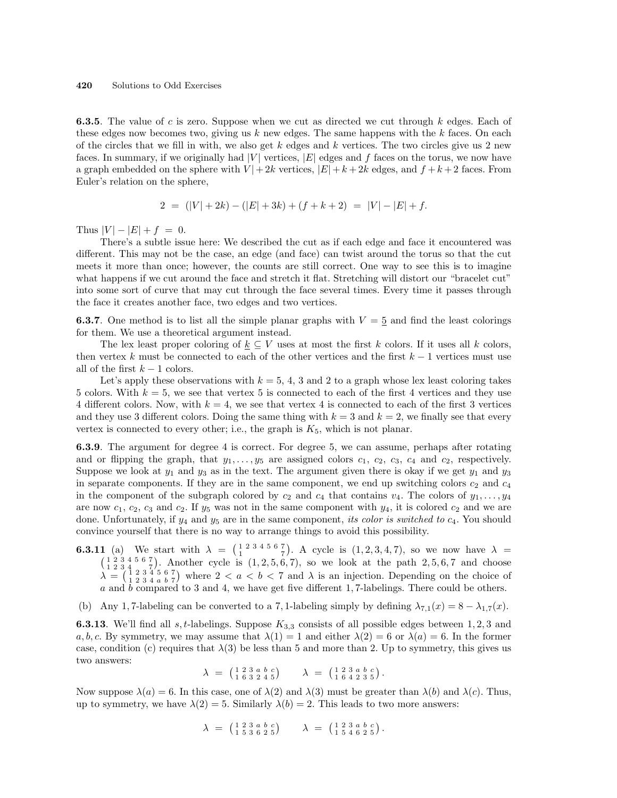**6.3.5.** The value of c is zero. Suppose when we cut as directed we cut through k edges. Each of these edges now becomes two, giving us  $k$  new edges. The same happens with the  $k$  faces. On each of the circles that we fill in with, we also get k edges and k vertices. The two circles give us 2 new faces. In summary, if we originally had  $|V|$  vertices,  $|E|$  edges and f faces on the torus, we now have a graph embedded on the sphere with  $V | + 2k$  vertices,  $|E| + k + 2k$  edges, and  $f + k + 2$  faces. From Euler's relation on the sphere,

$$
2 = (|V| + 2k) - (|E| + 3k) + (f + k + 2) = |V| - |E| + f.
$$

Thus  $|V| - |E| + f = 0$ .

There's a subtle issue here: We described the cut as if each edge and face it encountered was different. This may not be the case, an edge (and face) can twist around the torus so that the cut meets it more than once; however, the counts are still correct. One way to see this is to imagine what happens if we cut around the face and stretch it flat. Stretching will distort our "bracelet cut" into some sort of curve that may cut through the face several times. Every time it passes through the face it creates another face, two edges and two vertices.

**6.3.7.** One method is to list all the simple planar graphs with  $V = 5$  and find the least colorings for them. We use a theoretical argument instead.

The lex least proper coloring of  $k \subseteq V$  uses at most the first k colors. If it uses all k colors, then vertex k must be connected to each of the other vertices and the first  $k-1$  vertices must use all of the first  $k-1$  colors.

Let's apply these observations with  $k = 5, 4, 3$  and 2 to a graph whose lex least coloring takes 5 colors. With  $k = 5$ , we see that vertex 5 is connected to each of the first 4 vertices and they use 4 different colors. Now, with  $k = 4$ , we see that vertex 4 is connected to each of the first 3 vertices and they use 3 different colors. Doing the same thing with  $k = 3$  and  $k = 2$ , we finally see that every vertex is connected to every other; i.e., the graph is  $K_5$ , which is not planar.

6.3.9. The argument for degree 4 is correct. For degree 5, we can assume, perhaps after rotating and or flipping the graph, that  $y_1, \ldots, y_5$  are assigned colors  $c_1, c_2, c_3, c_4$  and  $c_2$ , respectively. Suppose we look at  $y_1$  and  $y_3$  as in the text. The argument given there is okay if we get  $y_1$  and  $y_3$ in separate components. If they are in the same component, we end up switching colors  $c_2$  and  $c_4$ in the component of the subgraph colored by  $c_2$  and  $c_4$  that contains  $v_4$ . The colors of  $y_1, \ldots, y_4$ are now  $c_1$ ,  $c_2$ ,  $c_3$  and  $c_2$ . If  $y_5$  was not in the same component with  $y_4$ , it is colored  $c_2$  and we are done. Unfortunately, if  $y_4$  and  $y_5$  are in the same component, its color is switched to  $c_4$ . You should convince yourself that there is no way to arrange things to avoid this possibility.

- **6.3.11** (a) We start with  $\lambda =$  $\begin{pmatrix} 1 & 2 & 3 & 4 & 5 & 6 & 7 \\ 1 & & & & 7 & \\ 1 & & & & & \end{pmatrix}$ ¢ 1 (a) We start with  $\lambda = \begin{pmatrix} 1 & 2 & 3 & 4 & 5 & 6 & 7 \\ 1 & 2 & 3 & 4 & 5 & 6 & 7 \end{pmatrix}$ . A cycle is  $(1, 2, 3, 4, 7)$ , so we now have  $\lambda = \begin{pmatrix} 1 & 2 & 3 & 4 & 5 & 6 & 7 \\ 1 & 2 & 3 & 4 & 5 & 7 \end{pmatrix}$ . Another cycle is  $(1, 2, 5, 6, 7)$ , so ອັ∖ . Another cycle is  $(1, 2, 5, 6, 7)$ , so we look at the path  $2, 5, 6, 7$  and choose  $\lambda =$  $\left(\begin{smallmatrix} 1 & 2 & 3 & 4 & 5 & 6 & 7 \\ 1 & 2 & 3 & 4 & 5 & 6 & 7 \\ 1 & 2 & 3 & 4 & a & b & 7 \end{smallmatrix}\right)$ µ<br>∕ where  $2 < a < b < 7$  and  $\lambda$  is an injection. Depending on the choice of a and  $\bar{b}$  compared to 3 and 4, we have get five different 1, 7-labelings. There could be others.
- (b) Any 1,7-labeling can be converted to a 7,1-labeling simply by defining  $\lambda_{7,1}(x) = 8 \lambda_{1,7}(x)$ .

**6.3.13**. We'll find all s, t-labelings. Suppose  $K_{3,3}$  consists of all possible edges between 1, 2, 3 and a, b, c. By symmetry, we may assume that  $\lambda(1) = 1$  and either  $\lambda(2) = 6$  or  $\lambda(a) = 6$ . In the former case, condition (c) requires that  $\lambda(3)$  be less than 5 and more than 2. Up to symmetry, this gives us two answers: ¡ ¢ ¡ ¢

$$
\lambda = \begin{pmatrix} 1 & 2 & 3 & a & b & c \\ 1 & 6 & 3 & 2 & 4 & 5 \end{pmatrix} \qquad \lambda = \begin{pmatrix} 1 & 2 & 3 & a & b & c \\ 1 & 6 & 4 & 2 & 3 & 5 \end{pmatrix}.
$$

Now suppose  $\lambda(a) = 6$ . In this case, one of  $\lambda(2)$  and  $\lambda(3)$  must be greater than  $\lambda(b)$  and  $\lambda(c)$ . Thus, up to symmetry, we have  $\lambda(2) = 5$ . Similarly  $\lambda(b) = 2$ . This leads to two more answers:

$$
\lambda = \begin{pmatrix} 1 & 2 & 3 & a & b & c \\ 1 & 5 & 3 & 6 & 2 & 5 \end{pmatrix} \qquad \lambda = \begin{pmatrix} 1 & 2 & 3 & a & b & c \\ 1 & 5 & 4 & 6 & 2 & 5 \end{pmatrix}.
$$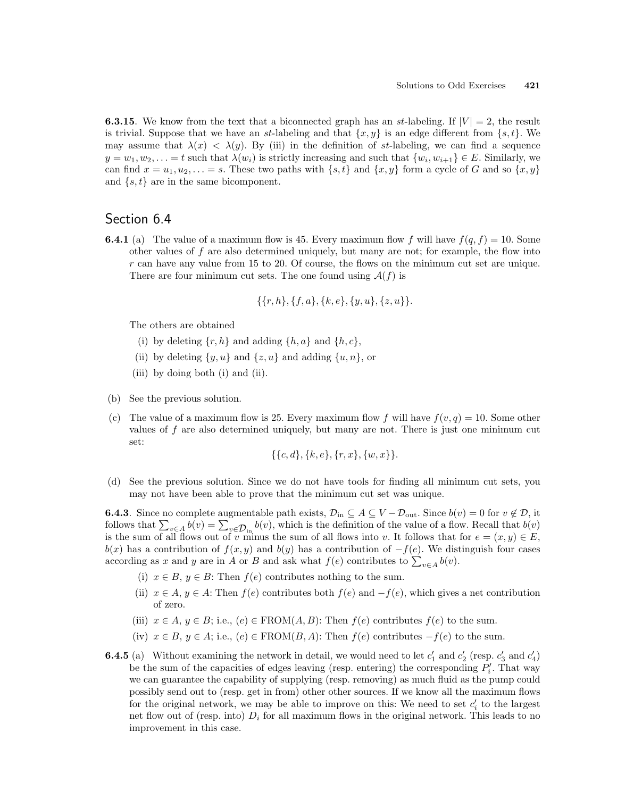**6.3.15**. We know from the text that a biconnected graph has an st-labeling. If  $|V| = 2$ , the result is trivial. Suppose that we have an st-labeling and that  $\{x, y\}$  is an edge different from  $\{s, t\}$ . We may assume that  $\lambda(x) < \lambda(y)$ . By (iii) in the definition of st-labeling, we can find a sequence  $y = w_1, w_2, \ldots = t$  such that  $\lambda(w_i)$  is strictly increasing and such that  $\{w_i, w_{i+1}\} \in E$ . Similarly, we can find  $x = u_1, u_2, \ldots = s$ . These two paths with  $\{s, t\}$  and  $\{x, y\}$  form a cycle of G and so  $\{x, y\}$ and  $\{s, t\}$  are in the same bicomponent.

### Section 6.4

**6.4.1** (a) The value of a maximum flow is 45. Every maximum flow f will have  $f(q, f) = 10$ . Some other values of  $f$  are also determined uniquely, but many are not; for example, the flow into  $r$  can have any value from 15 to 20. Of course, the flows on the minimum cut set are unique. There are four minimum cut sets. The one found using  $\mathcal{A}(f)$  is

$$
\{\{r,h\},\{f,a\},\{k,e\},\{y,u\},\{z,u\}\}.
$$

The others are obtained

- (i) by deleting  $\{r, h\}$  and adding  $\{h, a\}$  and  $\{h, c\}$ ,
- (ii) by deleting  $\{y, u\}$  and  $\{z, u\}$  and adding  $\{u, n\}$ , or
- (iii) by doing both (i) and (ii).
- (b) See the previous solution.
- (c) The value of a maximum flow is 25. Every maximum flow f will have  $f(v, q) = 10$ . Some other values of  $f$  are also determined uniquely, but many are not. There is just one minimum cut set:

$$
\{\{c,d\},\{k,e\},\{r,x\},\{w,x\}\}.
$$

(d) See the previous solution. Since we do not have tools for finding all minimum cut sets, you may not have been able to prove that the minimum cut set was unique.

**6.4.3**. Since no complete augmentable path exists,  $\mathcal{D}_{in} \subseteq A \subseteq V - \mathcal{D}_{out}$ . Since  $b(v) = 0$  for  $v \notin \mathcal{D}$ , it **6.4.3**. Since no complete augmentable pain exists,  $\nu_{\text{in}} \subseteq A \subseteq V - D_{\text{out}}$ . Since  $v(v) = 0$  for  $v \notin D$ , it follows that  $\sum_{v \in A} b(v) = \sum_{v \in \mathcal{D}_{\text{in}}} b(v)$ , which is the definition of the value of a flow. Recall that  $b(v)$ is the sum of all flows out of v minus the sum of all flows into v. It follows that for  $e = (x, y) \in E$ ,  $b(x)$  has a contribution of  $f(x, y)$  and  $b(y)$  has a contribution of  $-f(e)$ . We distinguish four cases  $a(x)$  has a contribution of  $f(x, y)$  and  $a(y)$  has a contribution of  $-f(e)$ . We distance according as x and y are in A or B and ask what  $f(e)$  contributes to  $\sum_{v \in A} b(v)$ .

- (i)  $x \in B$ ,  $y \in B$ : Then  $f(e)$  contributes nothing to the sum.
- (ii)  $x \in A$ ,  $y \in A$ : Then  $f(e)$  contributes both  $f(e)$  and  $-f(e)$ , which gives a net contribution of zero.
- (iii)  $x \in A, y \in B$ ; i.e.,  $(e) \in \text{FROM}(A, B)$ : Then  $f(e)$  contributes  $f(e)$  to the sum.
- (iv)  $x \in B$ ,  $y \in A$ ; i.e.,  $(e) \in \text{FROM}(B, A)$ : Then  $f(e)$  contributes  $-f(e)$  to the sum.
- **6.4.5** (a) Without examining the network in detail, we would need to let  $c'_1$  and  $c'_2$  (resp.  $c'_3$  and  $c'_4$ ) be the sum of the capacities of edges leaving (resp. entering) the corresponding  $P'_i$ . That way we can guarantee the capability of supplying (resp. removing) as much fluid as the pump could possibly send out to (resp. get in from) other other sources. If we know all the maximum flows for the original network, we may be able to improve on this: We need to set  $c_i'$  to the largest net flow out of (resp. into)  $D_i$  for all maximum flows in the original network. This leads to no improvement in this case.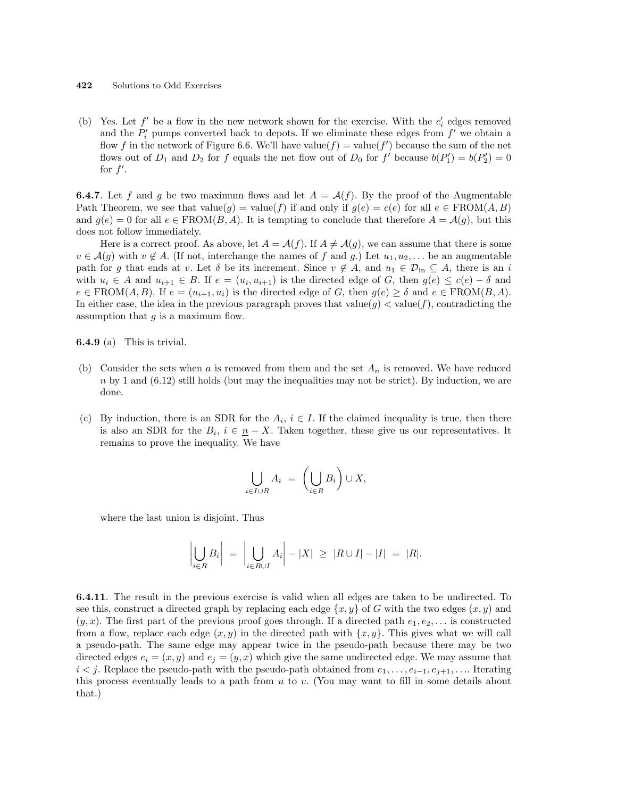(b) Yes. Let  $f'$  be a flow in the new network shown for the exercise. With the  $c'_i$  edges removed and the  $P_i'$  pumps converted back to depots. If we eliminate these edges from  $f'$  we obtain a flow f in the network of Figure 6.6. We'll have value $(f) =$  value $(f')$  because the sum of the net flows out of  $D_1$  and  $D_2$  for f equals the net flow out of  $D_0$  for f' because  $b(P'_1) = b(P'_2) = 0$ for  $f'$ .

**6.4.7.** Let f and g be two maximum flows and let  $A = \mathcal{A}(f)$ . By the proof of the Augmentable Path Theorem, we see that  $value(g) = value(f)$  if and only if  $g(e) = c(e)$  for all  $e \in \text{FROM}(A, B)$ and  $g(e) = 0$  for all  $e \in \text{FROM}(B, A)$ . It is tempting to conclude that therefore  $A = \mathcal{A}(g)$ , but this does not follow immediately.

Here is a correct proof. As above, let  $A = \mathcal{A}(f)$ . If  $A \neq \mathcal{A}(g)$ , we can assume that there is some  $v \in \mathcal{A}(g)$  with  $v \notin A$ . (If not, interchange the names of f and g.) Let  $u_1, u_2, \ldots$  be an augmentable path for g that ends at v. Let  $\delta$  be its increment. Since  $v \notin A$ , and  $u_1 \in \mathcal{D}_{\text{in}} \subseteq A$ , there is an i with  $u_i \in A$  and  $u_{i+1} \in B$ . If  $e = (u_i, u_{i+1})$  is the directed edge of G, then  $g(e) \leq c(e) - \delta$  and  $e \in \text{FROM}(A, B)$ . If  $e = (u_{i+1}, u_i)$  is the directed edge of G, then  $g(e) \geq \delta$  and  $e \in \text{FROM}(B, A)$ . In either case, the idea in the previous paragraph proves that  $value(g) < value(f)$ , contradicting the assumption that  $g$  is a maximum flow.

6.4.9 (a) This is trivial.

- (b) Consider the sets when a is removed from them and the set  $A_n$  is removed. We have reduced  $n$  by 1 and  $(6.12)$  still holds (but may the inequalities may not be strict). By induction, we are done.
- (c) By induction, there is an SDR for the  $A_i$ ,  $i \in I$ . If the claimed inequality is true, then there is also an SDR for the  $B_i$ ,  $i \in \underline{n} - X$ . Taken together, these give us our representatives. It remains to prove the inequality. We have

$$
\bigcup_{i \in I \cup R} A_i = \left( \bigcup_{i \in R} B_i \right) \cup X,
$$

where the last union is disjoint. Thus

$$
\left|\bigcup_{i\in R} B_i\right| = \left|\bigcup_{i\in R\cup I} A_i\right| - |X| \geq |R\cup I| - |I| = |R|.
$$

6.4.11. The result in the previous exercise is valid when all edges are taken to be undirected. To see this, construct a directed graph by replacing each edge  $\{x, y\}$  of G with the two edges  $(x, y)$  and  $(y, x)$ . The first part of the previous proof goes through. If a directed path  $e_1, e_2, \ldots$  is constructed from a flow, replace each edge  $(x, y)$  in the directed path with  $\{x, y\}$ . This gives what we will call a pseudo-path. The same edge may appear twice in the pseudo-path because there may be two directed edges  $e_i = (x, y)$  and  $e_j = (y, x)$  which give the same undirected edge. We may assume that  $i < j$ . Replace the pseudo-path with the pseudo-path obtained from  $e_1, \ldots, e_{i-1}, e_{j+1}, \ldots$  Iterating this process eventually leads to a path from  $u$  to  $v$ . (You may want to fill in some details about that.)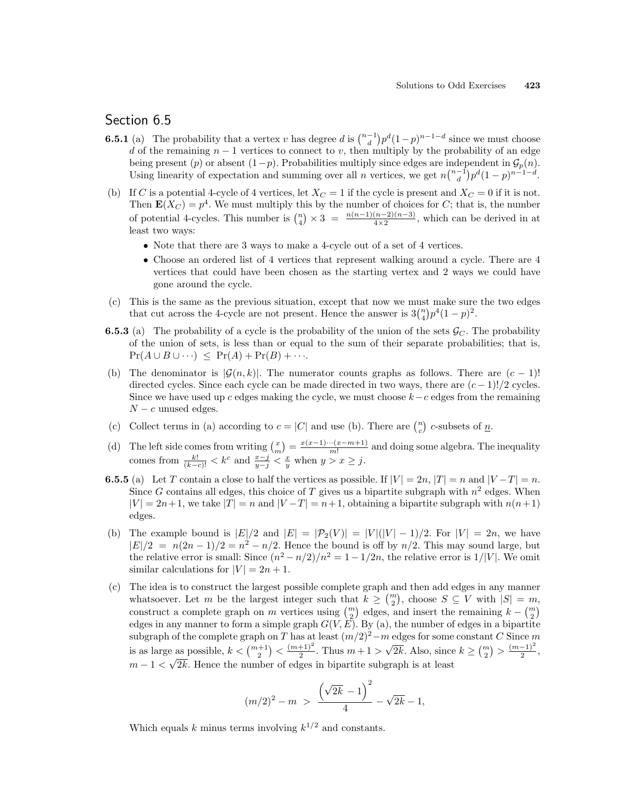# Section 6.5

- **6.5.1** (a) The probability that a vertex v has degree d is  $\binom{n-1}{d}$ ¢  $p^{d}(1-p)^{n-1-d}$  since we must choose d of the remaining  $n-1$  vertices to connect to v, then multiply by the probability of an edge being present (p) or absent  $(1-p)$ . Probabilities multiply since edges are independent in  $\mathcal{G}_p(n)$ . being present (*p*) or absent  $(1-p)$ . Probabilities multiply since edges are independently of expectation and summing over all *n* vertices, we get  $n\binom{n-1}{d}$ )د<br>∖  $p^d(1-p)^{n-1-d}$ .
- (b) If C is a potential 4-cycle of 4 vertices, let  $X_C = 1$  if the cycle is present and  $X_C = 0$  if it is not. Then  $\mathbf{E}(X_C) = p^4$ . We must multiply this by the number of choices for C; that is, the number of potential 4-cycles. This number is  $\binom{n}{4}$  $\phi$   $\times$  3 =  $\frac{n(n-1)(n-2)(n-3)}{4\times2}$ , which can be derived in at least two ways:
	- Note that there are 3 ways to make a 4-cycle out of a set of 4 vertices.
	- Choose an ordered list of 4 vertices that represent walking around a cycle. There are 4 vertices that could have been chosen as the starting vertex and 2 ways we could have gone around the cycle.
- (c) This is the same as the previous situation, except that now we must make sure the two edges This is the same as the previous situation, except that now we must make sure<br>that cut across the 4-cycle are not present. Hence the answer is  $3\binom{n}{4}p^4(1-p)^2$ .
- **6.5.3** (a) The probability of a cycle is the probability of the union of the sets  $\mathcal{G}_C$ . The probability of the union of sets, is less than or equal to the sum of their separate probabilities; that is,  $Pr(A \cup B \cup \cdots) \leq Pr(A) + Pr(B) + \cdots$
- (b) The denominator is  $|\mathcal{G}(n, k)|$ . The numerator counts graphs as follows. There are  $(c 1)!$ directed cycles. Since each cycle can be made directed in two ways, there are  $(c-1)!/2$  cycles. Since we have used up c edges making the cycle, we must choose  $k-c$  edges from the remaining  $N - c$  unused edges.
- (c) Collect terms in (a) according to  $c = |C|$  and use (b). There are  $\binom{n}{c}$ ¢ c-subsets of  $\underline{n}$ .
- (d) The left side comes from writing  $\binom{x}{m}$ ¢  $=\frac{x(x-1)\cdots(x-m+1)}{m!}$  $\frac{m(n-m+1)}{m!}$  and doing some algebra. The inequality comes from  $\frac{k!}{(k-c)!} < k^c$  and  $\frac{x-j}{y-j} < \frac{x}{y}$  when  $y > x \geq j$ .
- **6.5.5** (a) Let T contain a close to half the vertices as possible. If  $|V| = 2n$ ,  $|T| = n$  and  $|V T| = n$ . Since G contains all edges, this choice of T gives us a bipartite subgraph with  $n^2$  edges. When  $|V| = 2n+1$ , we take  $|T| = n$  and  $|V - T| = n+1$ , obtaining a bipartite subgraph with  $n(n+1)$ edges.
- (b) The example bound is  $|E|/2$  and  $|E| = |\mathcal{P}_2(V)| = |V|(|V|-1)/2$ . For  $|V| = 2n$ , we have  $|E|/2 = n(2n-1)/2 = n^2 - n/2$ . Hence the bound is off by  $n/2$ . This may sound large, but the relative error is small: Since  $(n^2 - n/2)/n^2 = 1 - 1/2n$ , the relative error is  $1/|V|$ . We omit similar calculations for  $|V| = 2n + 1$ .
- (c) The idea is to construct the largest possible complete graph and then add edges in any manner The idea is to construct the largest possible complete graph and then add edges in any manner<br>whatsoever. Let m be the largest integer such that  $k \geq {m \choose 2}$ , choose  $S \subseteq V$  with  $|S| = m$ , whatsoever. Let *m* be the largest integer such that  $\kappa \geq \binom{2}{2}$ , choose  $\beta \subseteq V$  with  $|\beta| = m$  construct a complete graph on *m* vertices using  $\binom{m}{2}$  edges, and insert the remaining  $k - \binom{m}{2}$ edges in any manner to form a simple graph  $G(V, E)$ . By (a), the number of edges in a bipartite subgraph of the complete graph on T has at least  $(m/2)^2-m$  edges for some constant C Since m is as large as possible,  $k < \binom{m+1}{2}$  $\check{\phantom{a}}$  $\frac{(m+1)^2}{2}$  $\frac{+1}{2}$ . Thus  $m+1$ √  $\overline{2k}$ . Also, since  $k \geq {m \choose 2}$ ¢  $> \frac{(m-1)^2}{2}$ e as possible,  $k < \binom{m+1}{2} < \frac{(m+1)^2}{2}$ . Thus  $m+1 > \sqrt{2k}$ . Also, since  $k \geq \binom{m}{2} > \frac{(m-1)^2}{2}$ ,  $m-1 < \sqrt{2k}$ . Hence the number of edges in bipartite subgraph is at least

$$
(m/2)^2 - m > \frac{(\sqrt{2k} - 1)^2}{4} - \sqrt{2k} - 1,
$$

Which equals k minus terms involving  $k^{1/2}$  and constants.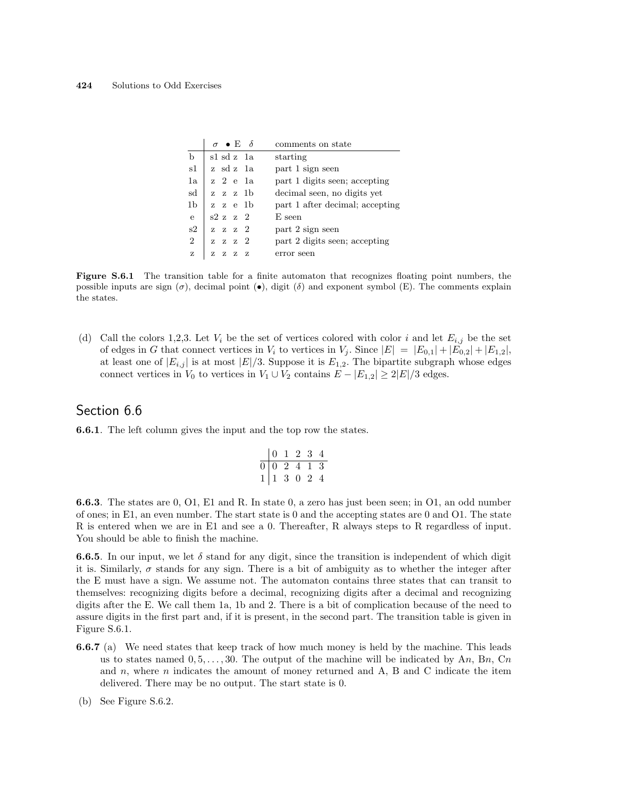|                | $\sigma \bullet E \quad \delta$ | comments on state               |
|----------------|---------------------------------|---------------------------------|
| $\mathbf b$    | sl sd z la                      | starting                        |
| s1             | z sd z 1a                       | part 1 sign seen                |
| 1a             | z 2 e 1a                        | part 1 digits seen; accepting   |
| sd             | z z z 1b                        | decimal seen, no digits yet     |
| 1b             | zze 1 b                         | part 1 after decimal; accepting |
| $\mathbf{e}$   | s2 z z 2                        | E seen                          |
| s2             | $z \, z \, z \, 2$              | part 2 sign seen                |
| $\overline{2}$ | $z \, z \, z \, 2$              | part 2 digits seen; accepting   |
| z              | z<br>$Z - Z$<br>- 7             | error seen                      |

Figure S.6.1 The transition table for a finite automaton that recognizes floating point numbers, the possible inputs are sign  $(\sigma)$ , decimal point  $(\bullet)$ , digit  $(\delta)$  and exponent symbol (E). The comments explain the states.

(d) Call the colors 1,2,3. Let  $V_i$  be the set of vertices colored with color i and let  $E_{i,j}$  be the set of edges in G that connect vertices in  $V_i$  to vertices in  $V_j$ . Since  $|E| = |E_{0,1}| + |E_{0,2}| + |E_{1,2}|$ , at least one of  $|E_{i,j}|$  is at most  $|E|/3$ . Suppose it is  $E_{1,2}$ . The bipartite subgraph whose edges connect vertices in  $V_0$  to vertices in  $V_1 \cup V_2$  contains  $E - |E_{1,2}| \geq 2|E|/3$  edges.

### Section 6.6

6.6.1. The left column gives the input and the top row the states.

$$
\begin{array}{c|cccc}\n & 0 & 1 & 2 & 3 & 4 \\
\hline\n0 & 0 & 2 & 4 & 1 & 3 \\
1 & 1 & 3 & 0 & 2 & 4\n\end{array}
$$

6.6.3. The states are 0, O1, E1 and R. In state 0, a zero has just been seen; in O1, an odd number of ones; in E1, an even number. The start state is 0 and the accepting states are 0 and O1. The state R is entered when we are in E1 and see a 0. Thereafter, R always steps to R regardless of input. You should be able to finish the machine.

**6.6.5**. In our input, we let  $\delta$  stand for any digit, since the transition is independent of which digit it is. Similarly,  $\sigma$  stands for any sign. There is a bit of ambiguity as to whether the integer after the E must have a sign. We assume not. The automaton contains three states that can transit to themselves: recognizing digits before a decimal, recognizing digits after a decimal and recognizing digits after the E. We call them 1a, 1b and 2. There is a bit of complication because of the need to assure digits in the first part and, if it is present, in the second part. The transition table is given in Figure S.6.1.

- 6.6.7 (a) We need states that keep track of how much money is held by the machine. This leads us to states named  $0, 5, \ldots, 30$ . The output of the machine will be indicated by An, Bn, Cn and  $n$ , where  $n$  indicates the amount of money returned and A, B and C indicate the item delivered. There may be no output. The start state is 0.
- (b) See Figure S.6.2.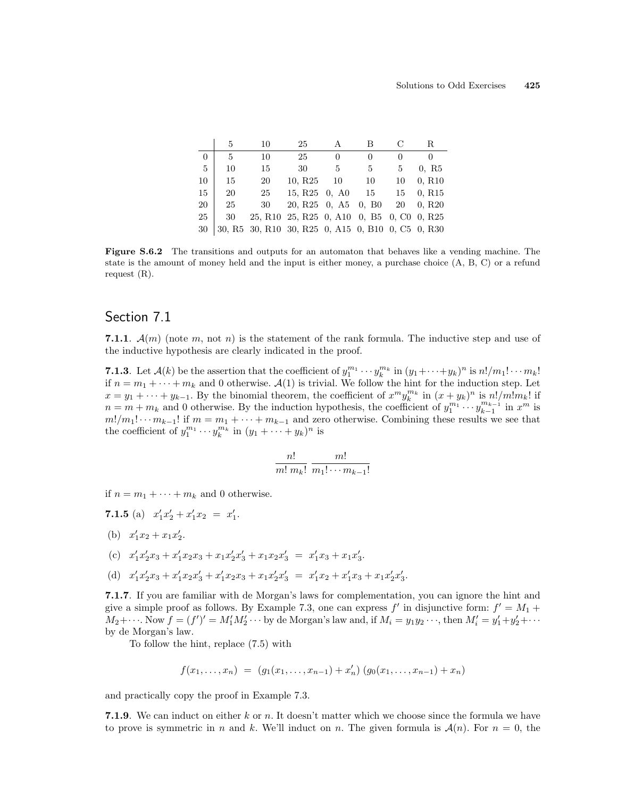|                | 5  | 10                                                | 25                                                      |              |              |    | R                  |
|----------------|----|---------------------------------------------------|---------------------------------------------------------|--------------|--------------|----|--------------------|
| $\overline{0}$ | 5  | 10                                                | 25                                                      | $\mathbf{0}$ | $\mathbf{0}$ |    |                    |
| -5             | 10 | 15                                                | 30                                                      | 5            | 5            | 5  | 0, R5              |
| 10             | 15 | 20                                                | 10, R <sub>25</sub>                                     | 10           | 10           | 10 | 0, R10             |
| 15             | 20 | 25                                                | 15, R <sub>25</sub> 0, A <sub>0</sub>                   |              | 15           | 15 | 0, R <sub>15</sub> |
| 20             | 25 | 30                                                | 20, R <sub>25</sub> 0, A <sub>5</sub> 0, B <sub>0</sub> |              |              | 20 | 0, R <sub>20</sub> |
| 25             | 30 |                                                   | 25, R10 25, R25 0, A10 0, B5 0, C0 0, R25               |              |              |    |                    |
| 30             |    | 30, R5 30, R10 30, R25 0, A15 0, B10 0, C5 0, R30 |                                                         |              |              |    |                    |

Figure S.6.2 The transitions and outputs for an automaton that behaves like a vending machine. The state is the amount of money held and the input is either money, a purchase choice (A, B, C) or a refund request (R).

# Section 7.1

7.1.1.  $\mathcal{A}(m)$  (note m, not n) is the statement of the rank formula. The inductive step and use of the inductive hypothesis are clearly indicated in the proof.

**7.1.3**. Let  $\mathcal{A}(k)$  be the assertion that the coefficient of  $y_1^{m_1} \cdots y_k^{m_k}$  in  $(y_1 + \cdots + y_k)^n$  is  $n!/m_1! \cdots m_k!$ if  $n = m_1 + \cdots + m_k$  and 0 otherwise.  $\mathcal{A}(1)$  is trivial. We follow the hint for the induction step. Let  $x = y_1 + \cdots + y_{k-1}$ . By the binomial theorem, the coefficient of  $x^m y_k^{m_k}$  in  $(x + y_k)^n$  is  $n!/m!m_k!$  if  $n = m + m_k$  and 0 otherwise. By the induction hypothesis, the coefficient of  $y_1^{m_1} \cdots y_{k-1}^{m_{k-1}}$  in  $x^m$  is  $m!/m_1! \cdots m_{k-1}!$  if  $m = m_1 + \cdots + m_{k-1}$  and zero otherwise. Combining these results we see that the coefficient of  $y_1^{m_1} \cdots y_k^{m_k}$  in  $(y_1 + \cdots + y_k)^n$  is

$$
\frac{n!}{m! \; m_k!} \; \frac{m!}{m_1! \cdots m_{k-1}!}
$$

if  $n = m_1 + \cdots + m_k$  and 0 otherwise.

- 7.1.5 (a)  $x'_1x'_2 + x'_1x_2 = x'_1.$
- (b)  $x'_1x_2 + x_1x'_2$ .
- (c)  $x'_1x'_2x_3 + x'_1x_2x_3 + x_1x'_2x'_3 + x_1x_2x'_3 = x'_1x_3 + x_1x'_3.$
- (d)  $x'_1x'_2x_3 + x'_1x_2x'_3 + x'_1x_2x_3 + x_1x'_2x'_3 = x'_1x_2 + x'_1x_3 + x_1x'_2x'_3.$

7.1.7. If you are familiar with de Morgan's laws for complementation, you can ignore the hint and give a simple proof as follows. By Example 7.3, one can express  $f'$  in disjunctive form:  $f' = M_1 +$  $M_2+\cdots$ . Now  $f=(f')'=M'_1M'_2\cdots$  by de Morgan's law and, if  $M_i=y_1y_2\cdots$ , then  $M'_i=y'_1+y'_2+\cdots$ by de Morgan's law.

To follow the hint, replace (7.5) with

$$
f(x_1,...,x_n) = (g_1(x_1,...,x_{n-1}) + x'_n) (g_0(x_1,...,x_{n-1}) + x_n)
$$

and practically copy the proof in Example 7.3.

7.1.9. We can induct on either k or n. It doesn't matter which we choose since the formula we have to prove is symmetric in n and k. We'll induct on n. The given formula is  $\mathcal{A}(n)$ . For  $n = 0$ , the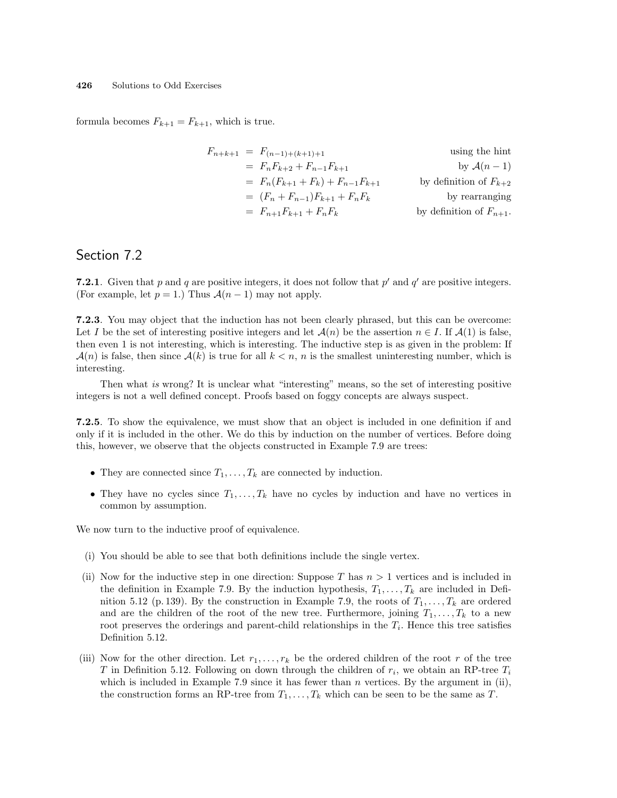formula becomes  $F_{k+1} = F_{k+1}$ , which is true.

$$
F_{n+k+1} = F_{(n-1)+(k+1)+1}
$$
 using the hint  
\n
$$
= F_n F_{k+2} + F_{n-1} F_{k+1}
$$
 by  $A(n - 1)$   
\n
$$
= F_n (F_{k+1} + F_k) + F_{n-1} F_{k+1}
$$
 by definition of  $F_{k+2}$   
\n
$$
= (F_n + F_{n-1}) F_{k+1} + F_n F_k
$$
 by definition of  $F_{n+1}$ .

### Section 7.2

**7.2.1**. Given that p and q are positive integers, it does not follow that  $p'$  and  $q'$  are positive integers. (For example, let  $p = 1$ .) Thus  $\mathcal{A}(n-1)$  may not apply.

7.2.3. You may object that the induction has not been clearly phrased, but this can be overcome: Let I be the set of interesting positive integers and let  $\mathcal{A}(n)$  be the assertion  $n \in I$ . If  $\mathcal{A}(1)$  is false, then even 1 is not interesting, which is interesting. The inductive step is as given in the problem: If  $\mathcal{A}(n)$  is false, then since  $\mathcal{A}(k)$  is true for all  $k < n$ , n is the smallest uninteresting number, which is interesting.

Then what is wrong? It is unclear what "interesting" means, so the set of interesting positive integers is not a well defined concept. Proofs based on foggy concepts are always suspect.

7.2.5. To show the equivalence, we must show that an object is included in one definition if and only if it is included in the other. We do this by induction on the number of vertices. Before doing this, however, we observe that the objects constructed in Example 7.9 are trees:

- They are connected since  $T_1, \ldots, T_k$  are connected by induction.
- They have no cycles since  $T_1, \ldots, T_k$  have no cycles by induction and have no vertices in common by assumption.

We now turn to the inductive proof of equivalence.

- (i) You should be able to see that both definitions include the single vertex.
- (ii) Now for the inductive step in one direction: Suppose T has  $n > 1$  vertices and is included in the definition in Example 7.9. By the induction hypothesis,  $T_1, \ldots, T_k$  are included in Definition 5.12 (p. 139). By the construction in Example 7.9, the roots of  $T_1, \ldots, T_k$  are ordered and are the children of the root of the new tree. Furthermore, joining  $T_1, \ldots, T_k$  to a new root preserves the orderings and parent-child relationships in the  $T_i$ . Hence this tree satisfies Definition 5.12.
- (iii) Now for the other direction. Let  $r_1, \ldots, r_k$  be the ordered children of the root r of the tree T in Definition 5.12. Following on down through the children of  $r_i$ , we obtain an RP-tree  $T_i$ which is included in Example 7.9 since it has fewer than  $n$  vertices. By the argument in (ii), the construction forms an RP-tree from  $T_1, \ldots, T_k$  which can be seen to be the same as T.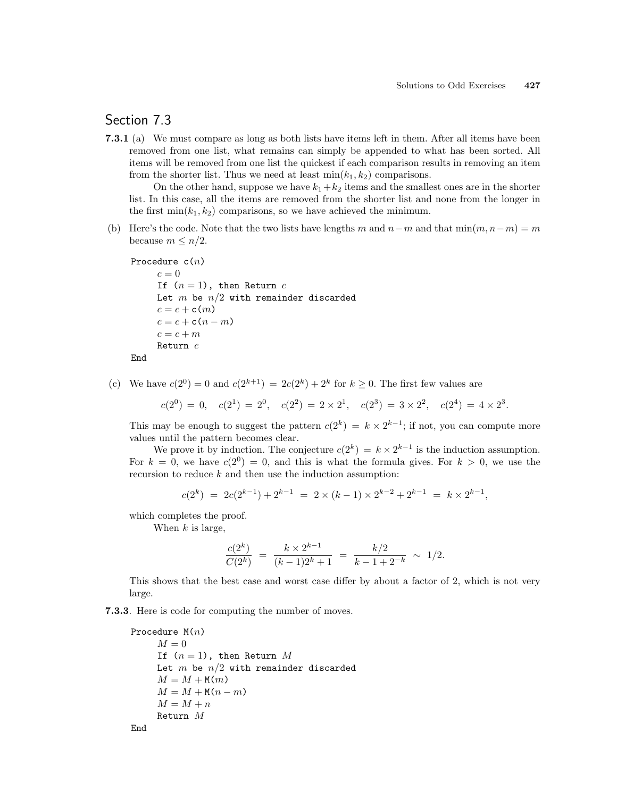# Section 7.3

7.3.1 (a) We must compare as long as both lists have items left in them. After all items have been removed from one list, what remains can simply be appended to what has been sorted. All items will be removed from one list the quickest if each comparison results in removing an item from the shorter list. Thus we need at least  $\min(k_1, k_2)$  comparisons.

On the other hand, suppose we have  $k_1+k_2$  items and the smallest ones are in the shorter list. In this case, all the items are removed from the shorter list and none from the longer in the first  $\min(k_1, k_2)$  comparisons, so we have achieved the minimum.

(b) Here's the code. Note that the two lists have lengths m and  $n-m$  and that  $\min(m, n-m) = m$ because  $m \leq n/2$ .

```
Procedure c(n)c=0If (n = 1), then Return c
     Let m be n/2 with remainder discarded
     c = c + c(m)c = c + c(n-m)c = c + mReturn c
End
```
(c) We have  $c(2^0) = 0$  and  $c(2^{k+1}) = 2c(2^k) + 2^k$  for  $k \ge 0$ . The first few values are

 $c(2^0) = 0$ ,  $c(2^1) = 2^0$ ,  $c(2^2) = 2 \times 2^1$ ,  $c(2^3) = 3 \times 2^2$ ,  $c(2^4) = 4 \times 2^3$ .

This may be enough to suggest the pattern  $c(2^k) = k \times 2^{k-1}$ ; if not, you can compute more values until the pattern becomes clear.

We prove it by induction. The conjecture  $c(2^k) = k \times 2^{k-1}$  is the induction assumption. For  $k = 0$ , we have  $c(2^0) = 0$ , and this is what the formula gives. For  $k > 0$ , we use the recursion to reduce  $k$  and then use the induction assumption:

$$
c(2^k) = 2c(2^{k-1}) + 2^{k-1} = 2 \times (k-1) \times 2^{k-2} + 2^{k-1} = k \times 2^{k-1},
$$

which completes the proof.

When  $k$  is large,

$$
\frac{c(2^k)}{C(2^k)} = \frac{k \times 2^{k-1}}{(k-1)2^k + 1} = \frac{k/2}{k-1+2^{-k}} \sim 1/2.
$$

This shows that the best case and worst case differ by about a factor of 2, which is not very large.

7.3.3. Here is code for computing the number of moves.

```
Procedure M(n)M = 0If (n = 1), then Return M
    Let m be n/2 with remainder discarded
    M = M + M(m)M = M + M(n-m)M = M + nReturn M
End
```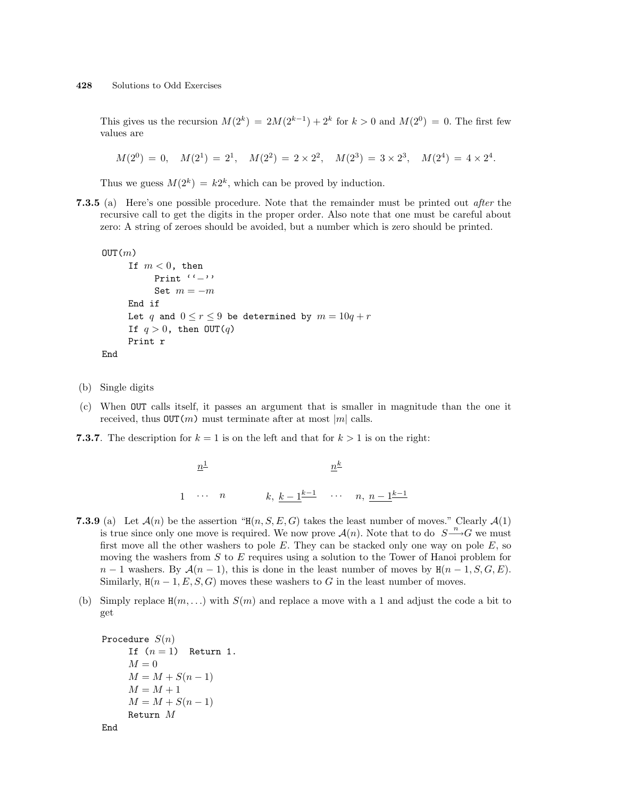This gives us the recursion  $M(2^k) = 2M(2^{k-1}) + 2^k$  for  $k > 0$  and  $M(2^0) = 0$ . The first few values are

 $M(2^0) = 0$ ,  $M(2^1) = 2^1$ ,  $M(2^2) = 2 \times 2^2$ ,  $M(2^3) = 3 \times 2^3$ ,  $M(2^4) = 4 \times 2^4$ .

Thus we guess  $M(2^k) = k2^k$ , which can be proved by induction.

7.3.5 (a) Here's one possible procedure. Note that the remainder must be printed out *after* the recursive call to get the digits in the proper order. Also note that one must be careful about zero: A string of zeroes should be avoided, but a number which is zero should be printed.

```
OUT(m)If m < 0, then
          Print ''−''
          Set m = -mEnd if
     Let q and 0 \le r \le 9 be determined by m = 10q + rIf q > 0, then OUT(q)
     Print r
End
```
- (b) Single digits
- (c) When OUT calls itself, it passes an argument that is smaller in magnitude than the one it received, thus  $OUT(m)$  must terminate after at most  $|m|$  calls.
- **7.3.7**. The description for  $k = 1$  is on the left and that for  $k > 1$  is on the right:

 $n^{\underline{1}}$ 1 ··· *n*  $k, k-1$ <u>k-1</u> ··· *n*,  $n-1$ k-1  $n^k$ 

- **7.3.9** (a) Let  $\mathcal{A}(n)$  be the assertion "H $(n, S, E, G)$  takes the least number of moves." Clearly  $\mathcal{A}(1)$ is true since only one move is required. We now prove  $\mathcal{A}(n)$ . Note that to do  $S \longrightarrow G$  we must first move all the other washers to pole  $E$ . They can be stacked only one way on pole  $E$ , so moving the washers from S to E requires using a solution to the Tower of Hanoi problem for  $n-1$  washers. By  $\mathcal{A}(n-1)$ , this is done in the least number of moves by  $H(n-1, S, G, E)$ . Similarly,  $H(n-1, E, S, G)$  moves these washers to G in the least number of moves.
- (b) Simply replace  $H(m, \ldots)$  with  $S(m)$  and replace a move with a 1 and adjust the code a bit to get

```
Procedure S(n)If (n = 1) Return 1.
    M = 0M = M + S(n - 1)M = M + 1M = M + S(n - 1)Return M
```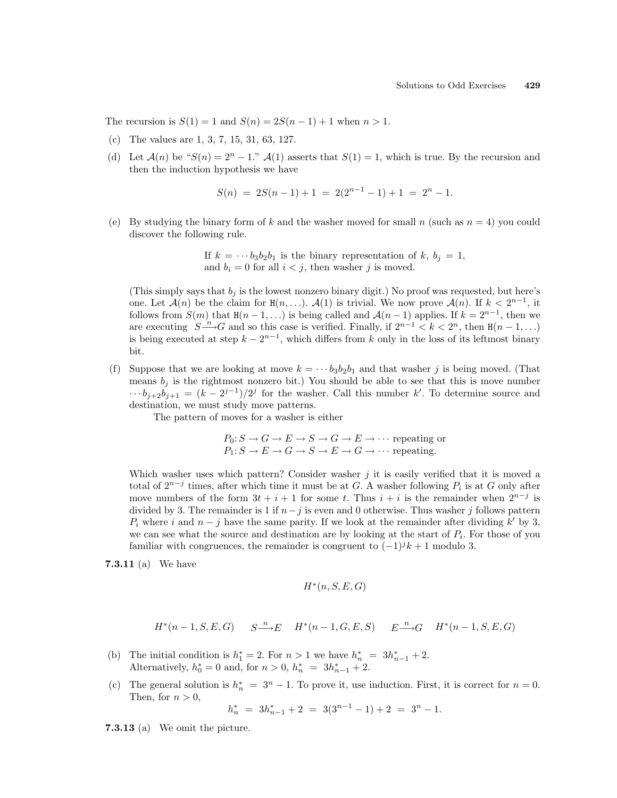The recursion is  $S(1) = 1$  and  $S(n) = 2S(n-1) + 1$  when  $n > 1$ .

- (c) The values are 1, 3, 7, 15, 31, 63, 127.
- (d) Let  $\mathcal{A}(n)$  be " $S(n) = 2^n 1$ ."  $\mathcal{A}(1)$  asserts that  $S(1) = 1$ , which is true. By the recursion and then the induction hypothesis we have

$$
S(n) = 2S(n-1) + 1 = 2(2^{n-1} - 1) + 1 = 2^n - 1.
$$

(e) By studying the binary form of k and the washer moved for small n (such as  $n = 4$ ) you could discover the following rule.

> If  $k = \cdots b_3b_2b_1$  is the binary representation of k,  $b_i = 1$ , and  $b_i = 0$  for all  $i < j$ , then washer j is moved.

(This simply says that  $b_i$  is the lowest nonzero binary digit.) No proof was requested, but here's one. Let  $\mathcal{A}(n)$  be the claim for  $H(n, \ldots)$ .  $\mathcal{A}(1)$  is trivial. We now prove  $\mathcal{A}(n)$ . If  $k < 2^{n-1}$ , it follows from  $S(m)$  that  $H(n-1,...)$  is being called and  $\mathcal{A}(n-1)$  applies. If  $k=2^{n-1}$ , then we are executing  $S \xrightarrow{n} G$  and so this case is verified. Finally, if  $2^{n-1} < k < 2^n$ , then  $H(n-1,...)$ is being executed at step  $k - 2^{n-1}$ , which differs from k only in the loss of its leftmost binary bit.

(f) Suppose that we are looking at move  $k = \cdots b_3 b_2 b_1$  and that washer j is being moved. (That means  $b_j$  is the rightmost nonzero bit.) You should be able to see that this is move number  $\cdots b_{j+2}b_{j+1} = (k-2^{j-1})/2^j$  for the washer. Call this number k'. To determine source and destination, we must study move patterns.

The pattern of moves for a washer is either

$$
P_0: S \to G \to E \to S \to G \to E \to \cdots
$$
 repeating or  
 $P_1: S \to E \to G \to S \to E \to G \to \cdots$  repeating.

Which washer uses which pattern? Consider washer  $j$  it is easily verified that it is moved a total of  $2^{n-j}$  times, after which time it must be at G. A washer following  $P_i$  is at G only after move numbers of the form  $3t + i + 1$  for some t. Thus  $i + i$  is the remainder when  $2^{n-j}$  is divided by 3. The remainder is 1 if  $n-j$  is even and 0 otherwise. Thus washer j follows pattern  $P_i$  where i and  $n - j$  have the same parity. If we look at the remainder after dividing k' by 3, we can see what the source and destination are by looking at the start of  $P_i$ . For those of you familiar with congruences, the remainder is congruent to  $(-1)^{j}k+1$  modulo 3.

7.3.11 (a) We have

$$
H^*(n, S, E, G)
$$

$$
H^*(n-1, S, E, G) \qquad S \xrightarrow{n} E \qquad H^*(n-1, G, E, S) \qquad E \xrightarrow{n} G \qquad H^*(n-1, S, E, G)
$$

- (b) The initial condition is  $h_1^* = 2$ . For  $n > 1$  we have  $h_n^* = 3h_{n-1}^* + 2$ . Alternatively,  $h_0^* = 0$  and, for  $n > 0$ ,  $h_n^* = 3h_{n-1}^* + 2$ .
- (c) The general solution is  $h_n^* = 3^n 1$ . To prove it, use induction. First, it is correct for  $n = 0$ . Then, for  $n > 0$ ,

$$
h_n^* = 3h_{n-1}^* + 2 = 3(3^{n-1} - 1) + 2 = 3^n - 1.
$$

7.3.13 (a) We omit the picture.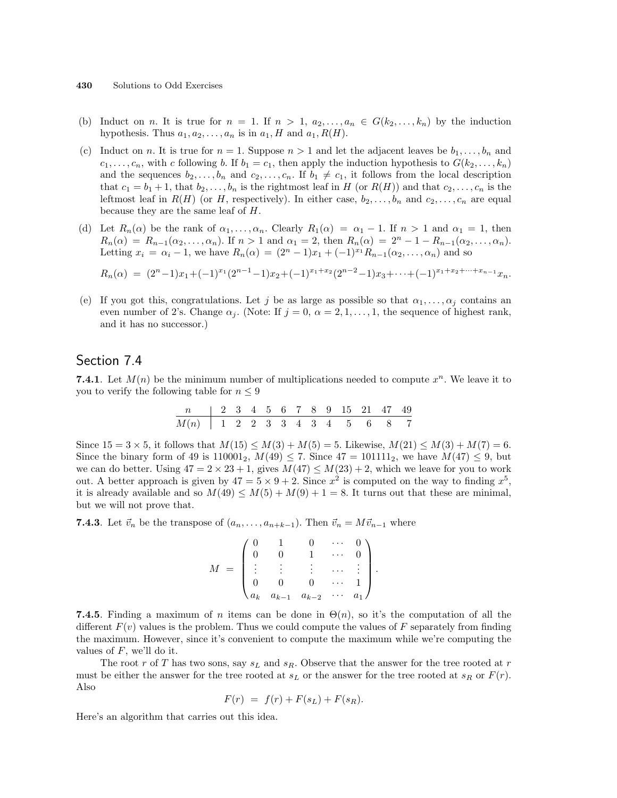- (b) Induct on n. It is true for  $n = 1$ . If  $n > 1$ ,  $a_2, \ldots, a_n \in G(k_2, \ldots, k_n)$  by the induction hypothesis. Thus  $a_1, a_2, \ldots, a_n$  is in  $a_1, H$  and  $a_1, R(H)$ .
- (c) Induct on n. It is true for  $n = 1$ . Suppose  $n > 1$  and let the adjacent leaves be  $b_1, \ldots, b_n$  and  $c_1, \ldots, c_n$ , with c following b. If  $b_1 = c_1$ , then apply the induction hypothesis to  $G(k_2, \ldots, k_n)$ and the sequences  $b_2, \ldots, b_n$  and  $c_2, \ldots, c_n$ . If  $b_1 \neq c_1$ , it follows from the local description that  $c_1 = b_1 + 1$ , that  $b_2, \ldots, b_n$  is the rightmost leaf in H (or  $R(H)$ ) and that  $c_2, \ldots, c_n$  is the leftmost leaf in  $R(H)$  (or H, respectively). In either case,  $b_2, \ldots, b_n$  and  $c_2, \ldots, c_n$  are equal because they are the same leaf of H.
- (d) Let  $R_n(\alpha)$  be the rank of  $\alpha_1, \ldots, \alpha_n$ . Clearly  $R_1(\alpha) = \alpha_1 1$ . If  $n > 1$  and  $\alpha_1 = 1$ , then  $R_n(\alpha) = R_{n-1}(\alpha_2,\ldots,\alpha_n)$ . If  $n > 1$  and  $\alpha_1 = 2$ , then  $R_n(\alpha) = 2^n - 1 - R_{n-1}(\alpha_2,\ldots,\alpha_n)$ . Letting  $x_i = \alpha_i - 1$ , we have  $R_n(\alpha) = (2^n - 1)x_1 + (-1)^{x_1}R_{n-1}(\alpha_2, \ldots, \alpha_n)$  and so

$$
R_n(\alpha) = (2^n - 1)x_1 + (-1)^{x_1}(2^{n-1} - 1)x_2 + (-1)^{x_1 + x_2}(2^{n-2} - 1)x_3 + \dots + (-1)^{x_1 + x_2 + \dots + x_{n-1}}x_n.
$$

(e) If you got this, congratulations. Let j be as large as possible so that  $\alpha_1, \ldots, \alpha_j$  contains an even number of 2's. Change  $\alpha_i$ . (Note: If  $j = 0$ ,  $\alpha = 2, 1, \ldots, 1$ , the sequence of highest rank, and it has no successor.)

### Section 7.4

7.4.1. Let  $M(n)$  be the minimum number of multiplications needed to compute  $x^n$ . We leave it to you to verify the following table for  $n \leq 9$ 

| n      | 2 | 3 | 4 | 5 | 6 | 7 | 8 | 9 | 15 | 21 | 47 | 49 |
|--------|---|---|---|---|---|---|---|---|----|----|----|----|
| $M(n)$ | 1 | 2 | 2 | 3 | 3 | 4 | 3 | 4 | 5  | 6  | 8  | 7  |

Since  $15 = 3 \times 5$ , it follows that  $M(15) \leq M(3) + M(5) = 5$ . Likewise,  $M(21) \leq M(3) + M(7) = 6$ . Since the binary form of 49 is  $110001_2$ ,  $M(49) \le 7$ . Since  $47 = 101111_2$ , we have  $M(47) \le 9$ , but we can do better. Using  $47 = 2 \times 23 + 1$ , gives  $M(47) \leq M(23) + 2$ , which we leave for you to work out. A better approach is given by  $47 = 5 \times 9 + 2$ . Since  $x^2$  is computed on the way to finding  $x^5$ , it is already available and so  $M(49) \leq M(5) + M(9) + 1 = 8$ . It turns out that these are minimal, but we will not prove that.

**7.4.3**. Let  $\vec{v}_n$  be the transpose of  $(a_n, \ldots, a_{n+k-1})$ . Then  $\vec{v}_n = M\vec{v}_{n-1}$  where

$$
M = \begin{pmatrix} 0 & 1 & 0 & \cdots & 0 \\ 0 & 0 & 1 & \cdots & 0 \\ \vdots & \vdots & \vdots & \cdots & \vdots \\ 0 & 0 & 0 & \cdots & 1 \\ a_k & a_{k-1} & a_{k-2} & \cdots & a_1 \end{pmatrix}.
$$

**7.4.5.** Finding a maximum of n items can be done in  $\Theta(n)$ , so it's the computation of all the different  $F(v)$  values is the problem. Thus we could compute the values of F separately from finding the maximum. However, since it's convenient to compute the maximum while we're computing the values of  $F$ , we'll do it.

The root r of T has two sons, say  $s<sub>L</sub>$  and  $s<sub>R</sub>$ . Observe that the answer for the tree rooted at r must be either the answer for the tree rooted at  $s<sub>L</sub>$  or the answer for the tree rooted at  $s<sub>R</sub>$  or  $F(r)$ . Also

$$
F(r) = f(r) + F(s_L) + F(s_R).
$$

Here's an algorithm that carries out this idea.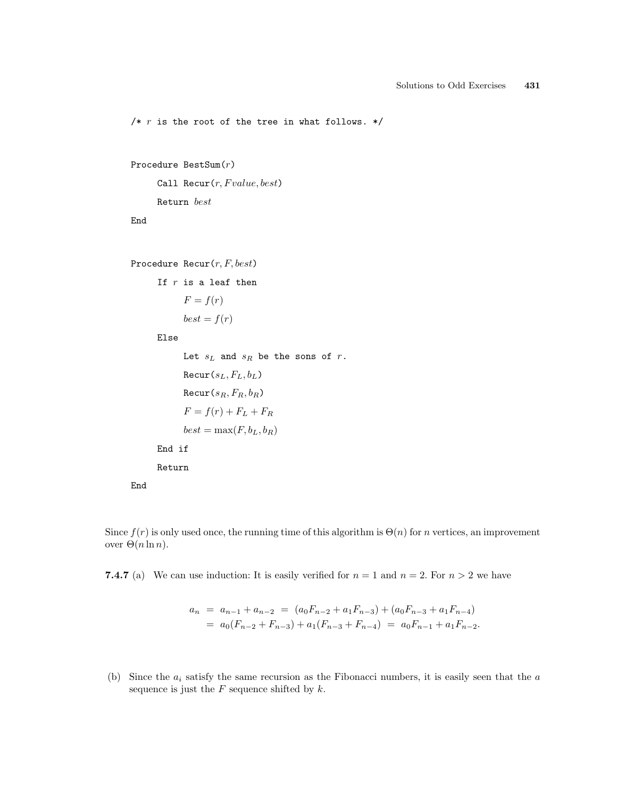/\*  $r$  is the root of the tree in what follows. \*/

```
Procedure BestSum(r)
```
Call Recur $(r, Fvalue, best)$ Return best

End

End

```
Procedure Recur(r, F, best)
```

```
If r is a leaf then
     F = f(r)best = f(r)Else
     Let s_L and s_R be the sons of r.
```

```
\text{Recur}(s_L, F_L, b_L)\text{Recur}(s_R, F_R, b_R)F = f(r) + F_L + F_Rbest = max(F, b_L, b_R)End if
Return
```
Since  $f(r)$  is only used once, the running time of this algorithm is  $\Theta(n)$  for n vertices, an improvement over  $Θ(n \ln n)$ .

**7.4.7** (a) We can use induction: It is easily verified for  $n = 1$  and  $n = 2$ . For  $n > 2$  we have

$$
a_n = a_{n-1} + a_{n-2} = (a_0 F_{n-2} + a_1 F_{n-3}) + (a_0 F_{n-3} + a_1 F_{n-4})
$$
  
=  $a_0 (F_{n-2} + F_{n-3}) + a_1 (F_{n-3} + F_{n-4}) = a_0 F_{n-1} + a_1 F_{n-2}.$ 

(b) Since the  $a_i$  satisfy the same recursion as the Fibonacci numbers, it is easily seen that the  $a$ sequence is just the  $F$  sequence shifted by  $k$ .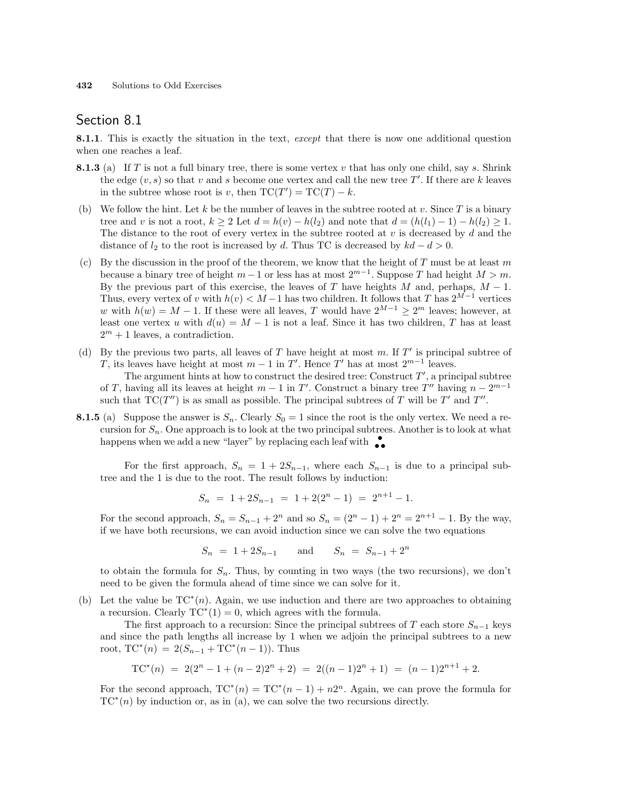## Section 8.1

8.1.1. This is exactly the situation in the text, except that there is now one additional question when one reaches a leaf.

- **8.1.3** (a) If T is not a full binary tree, there is some vertex v that has only one child, say s. Shrink the edge  $(v, s)$  so that v and s become one vertex and call the new tree T'. If there are k leaves in the subtree whose root is v, then  $TC(T') = TC(T) - k$ .
- (b) We follow the hint. Let k be the number of leaves in the subtree rooted at v. Since  $T$  is a binary tree and v is not a root,  $k \ge 2$  Let  $d = h(v) - h(l_2)$  and note that  $d = (h(l_1) - 1) - h(l_2) \ge 1$ . The distance to the root of every vertex in the subtree rooted at  $v$  is decreased by  $d$  and the distance of  $l_2$  to the root is increased by d. Thus TC is decreased by  $kd - d > 0$ .
- (c) By the discussion in the proof of the theorem, we know that the height of T must be at least m because a binary tree of height  $m-1$  or less has at most  $2^{m-1}$ . Suppose T had height  $M > m$ . By the previous part of this exercise, the leaves of T have heights M and, perhaps,  $M - 1$ . Thus, every vertex of v with  $h(v) < M-1$  has two children. It follows that T has  $2^{M-1}$  vertices w with  $h(w) = M - 1$ . If these were all leaves, T would have  $2^{M-1} \geq 2^m$  leaves; however, at least one vertex u with  $d(u) = M - 1$  is not a leaf. Since it has two children, T has at least  $2^m + 1$  leaves, a contradiction.
- (d) By the previous two parts, all leaves of T have height at most m. If  $T'$  is principal subtree of T, its leaves have height at most  $m-1$  in T'. Hence T' has at most  $2^{m-1}$  leaves.

The argument hints at how to construct the desired tree: Construct  $T'$ , a principal subtree of T, having all its leaves at height  $m-1$  in T'. Construct a binary tree T'' having  $n-2^{m-1}$ such that  $TC(T'')$  is as small as possible. The principal subtrees of T will be T' and T''.

**8.1.5** (a) Suppose the answer is  $S_n$ . Clearly  $S_0 = 1$  since the root is the only vertex. We need a recursion for  $S_n$ . One approach is to look at the two principal subtrees. Another is to look at what happens when we add a new "layer" by replacing each leaf with  $\bullet$ 

For the first approach,  $S_n = 1 + 2S_{n-1}$ , where each  $S_{n-1}$  is due to a principal subtree and the 1 is due to the root. The result follows by induction:

$$
S_n = 1 + 2S_{n-1} = 1 + 2(2^n - 1) = 2^{n+1} - 1.
$$

For the second approach,  $S_n = S_{n-1} + 2^n$  and so  $S_n = (2^n - 1) + 2^n = 2^{n+1} - 1$ . By the way, if we have both recursions, we can avoid induction since we can solve the two equations

 $S_n = 1 + 2S_{n-1}$  and  $S_n = S_{n-1} + 2^n$ 

to obtain the formula for  $S_n$ . Thus, by counting in two ways (the two recursions), we don't need to be given the formula ahead of time since we can solve for it.

(b) Let the value be  $TC^*(n)$ . Again, we use induction and there are two approaches to obtaining a recursion. Clearly  $TC^*(1) = 0$ , which agrees with the formula.

The first approach to a recursion: Since the principal subtrees of T each store  $S_{n-1}$  keys and since the path lengths all increase by 1 when we adjoin the principal subtrees to a new root,  $TC^*(n) = 2(S_{n-1} + TC^*(n-1))$ . Thus

$$
TC^*(n) = 2(2^n - 1 + (n-2)2^n + 2) = 2((n-1)2^n + 1) = (n-1)2^{n+1} + 2.
$$

For the second approach,  $TC^*(n) = TC^*(n-1) + n2^n$ . Again, we can prove the formula for  $TC^*(n)$  by induction or, as in (a), we can solve the two recursions directly.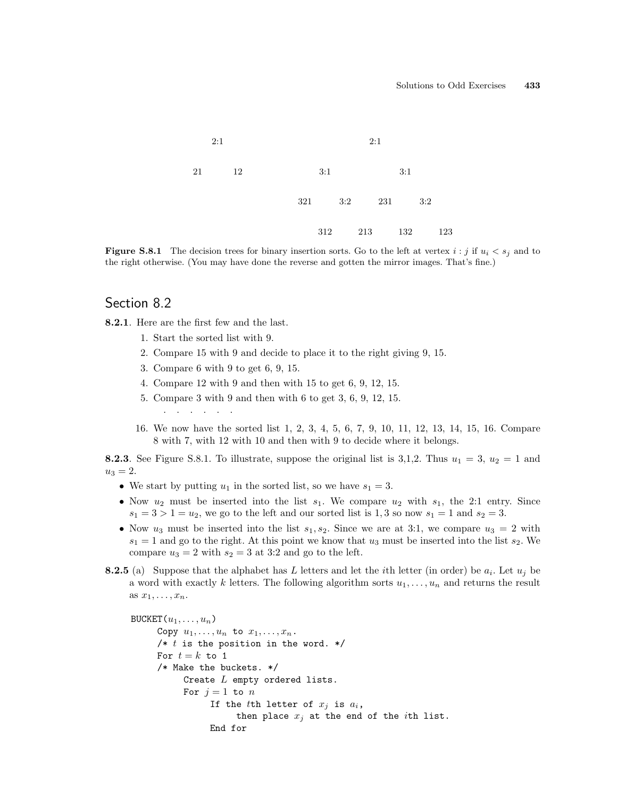

**Figure S.8.1** The decision trees for binary insertion sorts. Go to the left at vertex  $i : j$  if  $u_i < s_j$  and to the right otherwise. (You may have done the reverse and gotten the mirror images. That's fine.)

### Section 8.2

8.2.1. Here are the first few and the last.

- 1. Start the sorted list with 9.
- 2. Compare 15 with 9 and decide to place it to the right giving 9, 15.
- 3. Compare 6 with 9 to get 6, 9, 15.
- 4. Compare 12 with 9 and then with 15 to get 6, 9, 12, 15.
- 5. Compare 3 with 9 and then with 6 to get 3, 6, 9, 12, 15. . . . . . .
- 16. We now have the sorted list 1, 2, 3, 4, 5, 6, 7, 9, 10, 11, 12, 13, 14, 15, 16. Compare 8 with 7, with 12 with 10 and then with 9 to decide where it belongs.

**8.2.3**. See Figure S.8.1. To illustrate, suppose the original list is 3,1,2. Thus  $u_1 = 3$ ,  $u_2 = 1$  and  $u_3 = 2.$ 

- We start by putting  $u_1$  in the sorted list, so we have  $s_1 = 3$ .
- Now  $u_2$  must be inserted into the list  $s_1$ . We compare  $u_2$  with  $s_1$ , the 2:1 entry. Since  $s_1 = 3 > 1 = u_2$ , we go to the left and our sorted list is 1, 3 so now  $s_1 = 1$  and  $s_2 = 3$ .
- Now  $u_3$  must be inserted into the list  $s_1, s_2$ . Since we are at 3:1, we compare  $u_3 = 2$  with  $s_1 = 1$  and go to the right. At this point we know that  $u_3$  must be inserted into the list  $s_2$ . We compare  $u_3 = 2$  with  $s_2 = 3$  at 3:2 and go to the left.
- **8.2.5** (a) Suppose that the alphabet has L letters and let the *i*th letter (in order) be  $a_i$ . Let  $u_j$  be a word with exactly k letters. The following algorithm sorts  $u_1, \ldots, u_n$  and returns the result as  $x_1, \ldots, x_n$ .

```
BUCKET(u_1, \ldots, u_n)Copy u_1, \ldots, u_n to x_1, \ldots, x_n.
     /* t is the position in the word. */
     For t = k to 1
     /* Make the buckets. */
           Create L empty ordered lists.
           For j=1 to nIf the tth letter of x_j is a_i,
                      then place x_j at the end of the ith list.
                 End for
```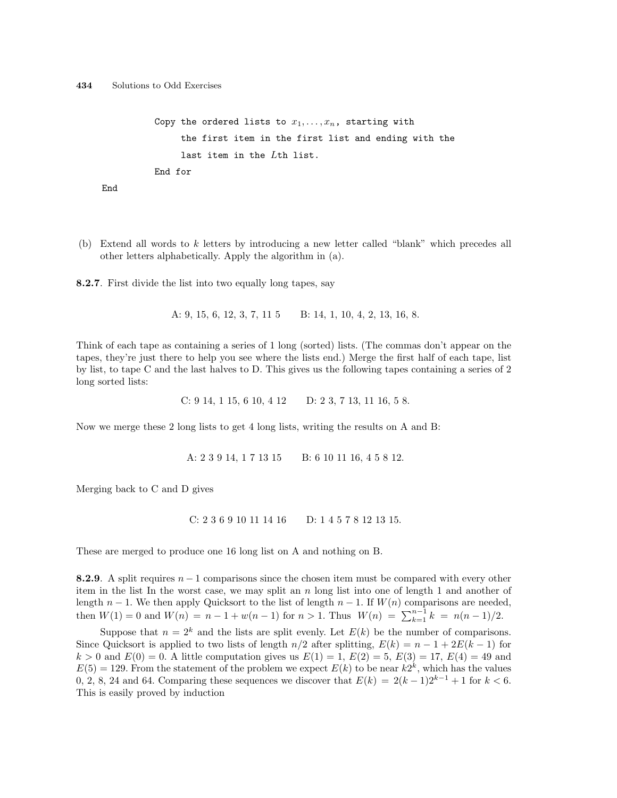```
Copy the ordered lists to x_1, \ldots, x_n, starting with
     the first item in the first list and ending with the
     last item in the Lth list.
End for
```
End

(b) Extend all words to k letters by introducing a new letter called "blank" which precedes all other letters alphabetically. Apply the algorithm in (a).

8.2.7. First divide the list into two equally long tapes, say

A: 9, 15, 6, 12, 3, 7, 11 5 B: 14, 1, 10, 4, 2, 13, 16, 8.

Think of each tape as containing a series of 1 long (sorted) lists. (The commas don't appear on the tapes, they're just there to help you see where the lists end.) Merge the first half of each tape, list by list, to tape C and the last halves to D. This gives us the following tapes containing a series of 2 long sorted lists:

C: 9 14, 1 15, 6 10, 4 12 D: 2 3, 7 13, 11 16, 5 8.

Now we merge these 2 long lists to get 4 long lists, writing the results on A and B:

A: 2 3 9 14, 1 7 13 15 B: 6 10 11 16, 4 5 8 12.

Merging back to C and D gives

```
C: 2 3 6 9 10 11 14 16 D: 1 4 5 7 8 12 13 15.
```
These are merged to produce one 16 long list on A and nothing on B.

8.2.9. A split requires  $n-1$  comparisons since the chosen item must be compared with every other item in the list In the worst case, we may split an  $n \times n$  long list into one of length 1 and another of length  $n-1$ . We then apply Quicksort to the list of length  $n-1$ . If  $W(n)$  comparisons are needed, then  $W(1) = 0$  and  $W(n) = n - 1 + w(n - 1)$  for  $n > 1$ . Thus  $W(n) = \sum_{k=1}^{n-1} k = n(n-1)/2$ .

Suppose that  $n = 2^k$  and the lists are split evenly. Let  $E(k)$  be the number of comparisons. Since Quicksort is applied to two lists of length  $n/2$  after splitting,  $E(k) = n - 1 + 2E(k - 1)$  for  $k > 0$  and  $E(0) = 0$ . A little computation gives us  $E(1) = 1, E(2) = 5, E(3) = 17, E(4) = 49$  and  $E(5) = 129$ . From the statement of the problem we expect  $E(k)$  to be near  $k2^k$ , which has the values 0, 2, 8, 24 and 64. Comparing these sequences we discover that  $E(k) = 2(k-1)2^{k-1} + 1$  for  $k < 6$ . This is easily proved by induction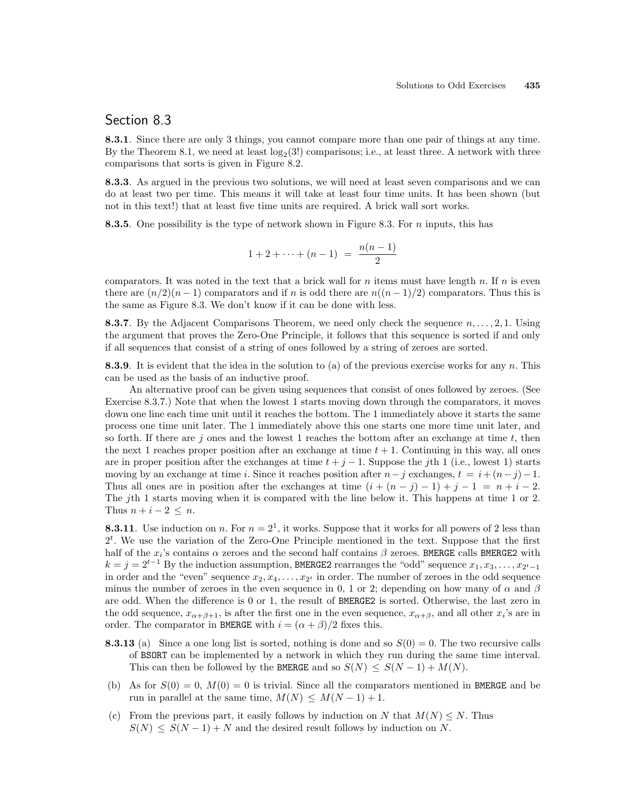### Section 8.3

8.3.1. Since there are only 3 things, you cannot compare more than one pair of things at any time. By the Theorem 8.1, we need at least  $log_2(3!)$  comparisons; i.e., at least three. A network with three comparisons that sorts is given in Figure 8.2.

8.3.3. As argued in the previous two solutions, we will need at least seven comparisons and we can do at least two per time. This means it will take at least four time units. It has been shown (but not in this text!) that at least five time units are required. A brick wall sort works.

**8.3.5.** One possibility is the type of network shown in Figure 8.3. For n inputs, this has

$$
1 + 2 + \cdots + (n - 1) = \frac{n(n - 1)}{2}
$$

comparators. It was noted in the text that a brick wall for n items must have length n. If n is even there are  $(n/2)(n-1)$  comparators and if n is odd there are  $n((n-1)/2)$  comparators. Thus this is the same as Figure 8.3. We don't know if it can be done with less.

**8.3.7.** By the Adjacent Comparisons Theorem, we need only check the sequence  $n, \ldots, 2, 1$ . Using the argument that proves the Zero-One Principle, it follows that this sequence is sorted if and only if all sequences that consist of a string of ones followed by a string of zeroes are sorted.

**8.3.9.** It is evident that the idea in the solution to (a) of the previous exercise works for any  $n$ . This can be used as the basis of an inductive proof.

An alternative proof can be given using sequences that consist of ones followed by zeroes. (See Exercise 8.3.7.) Note that when the lowest 1 starts moving down through the comparators, it moves down one line each time unit until it reaches the bottom. The 1 immediately above it starts the same process one time unit later. The 1 immediately above this one starts one more time unit later, and so forth. If there are j ones and the lowest 1 reaches the bottom after an exchange at time  $t$ , then the next 1 reaches proper position after an exchange at time  $t + 1$ . Continuing in this way, all ones are in proper position after the exchanges at time  $t + j - 1$ . Suppose the jth 1 (i.e., lowest 1) starts moving by an exchange at time i. Since it reaches position after  $n-j$  exchanges,  $t = i + (n-j)-1$ . Thus all ones are in position after the exchanges at time  $(i + (n - j) - 1) + j - 1 = n + i - 2$ . The jth 1 starts moving when it is compared with the line below it. This happens at time 1 or 2. Thus  $n + i - 2 \leq n$ .

**8.3.11**. Use induction on n. For  $n = 2<sup>1</sup>$ , it works. Suppose that it works for all powers of 2 less than  $2<sup>t</sup>$ . We use the variation of the Zero-One Principle mentioned in the text. Suppose that the first half of the  $x_i$ 's contains  $\alpha$  zeroes and the second half contains  $\beta$  zeroes. BMERGE calls BMERGE2 with  $k = j = 2^{t-1}$  By the induction assumption, BMERGE2 rearranges the "odd" sequence  $x_1, x_3, \ldots, x_{2^t-1}$ in order and the "even" sequence  $x_2, x_4, \ldots, x_{2^t}$  in order. The number of zeroes in the odd sequence minus the number of zeroes in the even sequence in 0, 1 or 2; depending on how many of  $\alpha$  and  $\beta$ are odd. When the difference is 0 or 1, the result of BMERGE2 is sorted. Otherwise, the last zero in the odd sequence,  $x_{\alpha+\beta+1}$ , is after the first one in the even sequence,  $x_{\alpha+\beta}$ , and all other  $x_i$ 's are in order. The comparator in BMERGE with  $i = (\alpha + \beta)/2$  fixes this.

- **8.3.13** (a) Since a one long list is sorted, nothing is done and so  $S(0) = 0$ . The two recursive calls of BSORT can be implemented by a network in which they run during the same time interval. This can then be followed by the BMERGE and so  $S(N) \leq S(N-1) + M(N)$ .
- (b) As for  $S(0) = 0$ ,  $M(0) = 0$  is trivial. Since all the comparators mentioned in BMERGE and be run in parallel at the same time,  $M(N) \leq M(N-1) + 1$ .
- (c) From the previous part, it easily follows by induction on N that  $M(N) \leq N$ . Thus  $S(N) \leq S(N-1) + N$  and the desired result follows by induction on N.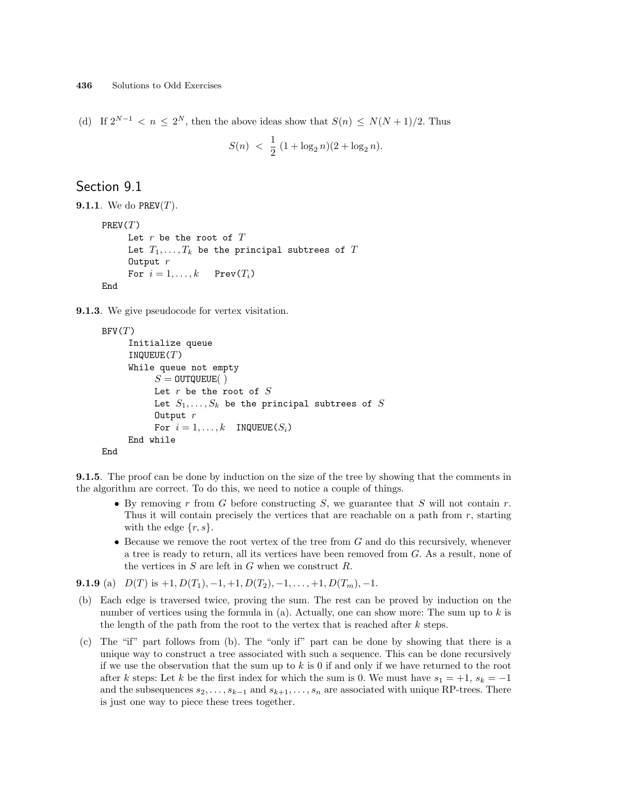(d) If  $2^{N-1} < n \leq 2^N$ , then the above ideas show that  $S(n) \leq N(N+1)/2$ . Thus

$$
S(n) \; < \; \frac{1}{2} \; (1 + \log_2 n)(2 + \log_2 n).
$$

# Section 9.1

```
9.1.1. We do PREV(T).
     PREV(T)Let r be the root of TLet T_1, \ldots, T_k be the principal subtrees of TOutput rFor i = 1, \ldots, k Prev(T_i)End
```
9.1.3. We give pseudocode for vertex visitation.

```
BFV(T)Initialize queue
     INQUEUE(T)While queue not empty
          S = 0UTQUEUE( )Let r be the root of SLet S_1, \ldots, S_k be the principal subtrees of S
          Output rFor i = 1, ..., k INQUEUE(S_i)End while
End
```
**9.1.5.** The proof can be done by induction on the size of the tree by showing that the comments in the algorithm are correct. To do this, we need to notice a couple of things.

- By removing r from G before constructing S, we guarantee that S will not contain r. Thus it will contain precisely the vertices that are reachable on a path from  $r$ , starting with the edge  $\{r, s\}.$
- Because we remove the root vertex of the tree from  $G$  and do this recursively, whenever a tree is ready to return, all its vertices have been removed from G. As a result, none of the vertices in  $S$  are left in  $G$  when we construct  $R$ .

**9.1.9** (a)  $D(T)$  is  $+1$ ,  $D(T_1)$ ,  $-1$ ,  $+1$ ,  $D(T_2)$ ,  $-1$ ,  $\ldots$ ,  $+1$ ,  $D(T_m)$ ,  $-1$ .

- (b) Each edge is traversed twice, proving the sum. The rest can be proved by induction on the number of vertices using the formula in (a). Actually, one can show more: The sum up to  $k$  is the length of the path from the root to the vertex that is reached after  $k$  steps.
- (c) The "if" part follows from (b). The "only if" part can be done by showing that there is a unique way to construct a tree associated with such a sequence. This can be done recursively if we use the observation that the sum up to  $k$  is 0 if and only if we have returned to the root after k steps: Let k be the first index for which the sum is 0. We must have  $s_1 = +1$ ,  $s_k = -1$ and the subsequences  $s_2, \ldots, s_{k-1}$  and  $s_{k+1}, \ldots, s_n$  are associated with unique RP-trees. There is just one way to piece these trees together.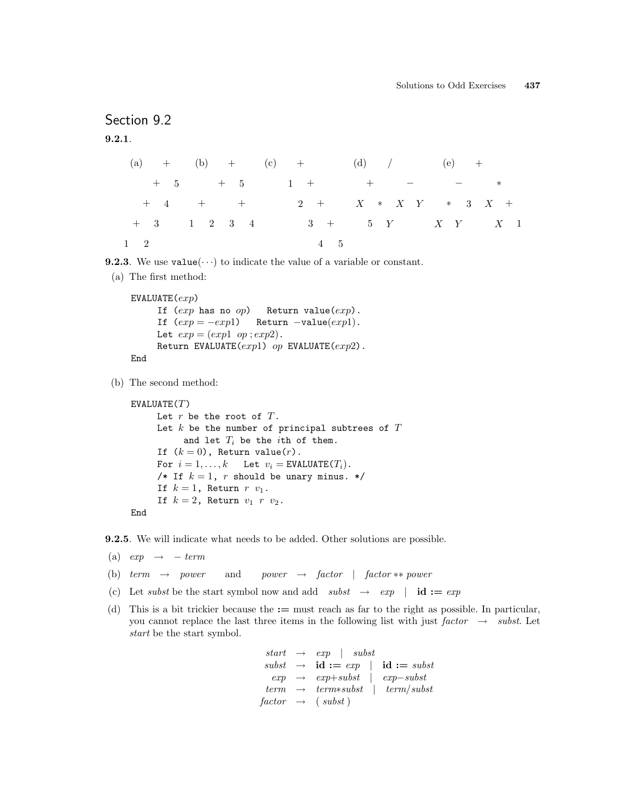# Section 9.2

9.2.1.

```
(a) ++ 5
  + 4+ 3
1 2
        (b) ++ 5
         + +
        1 2 3 4
                 (c) +1 +2 +3 +4 5
                            (d) / (e) ++X \quad * \quad X \quad Y5 Y
                                         − ∗
                                        X +
∗ 3
                                              X \quad 1X Y
```
**9.2.3**. We use  $value(\cdots)$  to indicate the value of a variable or constant.

(a) The first method:

```
EVALUATE(exp)If (exp \text{ has no } op) Return value(exp).
     If (exp = -exp1) Return -value(exp1).
     Let exp = (exp1 \text{ op} ; exp2).Return EVALUATE(exp1) op EVALUATE(exp2).
End
```
(b) The second method:

```
EVALUATE(T)Let r be the root of T.
     Let k be the number of principal subtrees of Tand let T_i be the ith of them.
     If (k = 0), Return value(r).
     For i = 1, ..., k Let v_i = EVALUATE(T_i).
     /* If k = 1, r should be unary minus. */
     If k = 1, Return r v_1.
     If k = 2, Return v_1 r v_2.
End
```
9.2.5. We will indicate what needs to be added. Other solutions are possible.

- (a)  $exp \rightarrow term$
- (b) term  $\rightarrow$  power and power  $\rightarrow$  factor | factor \*\* power
- (c) Let subst be the start symbol now and add subst  $\rightarrow$  exp | id := exp
- (d) This is a bit trickier because the := must reach as far to the right as possible. In particular, you cannot replace the last three items in the following list with just factor  $\rightarrow$  subst. Let start be the start symbol.

```
start \rightarrow exp \mid subsetsubset \rightarrow id := exp \mid id := subsetexp \rightarrow exp+subst | exp-substterm \rightarrow terms subset \mid term/subsetfactor \rightarrow (subset)
```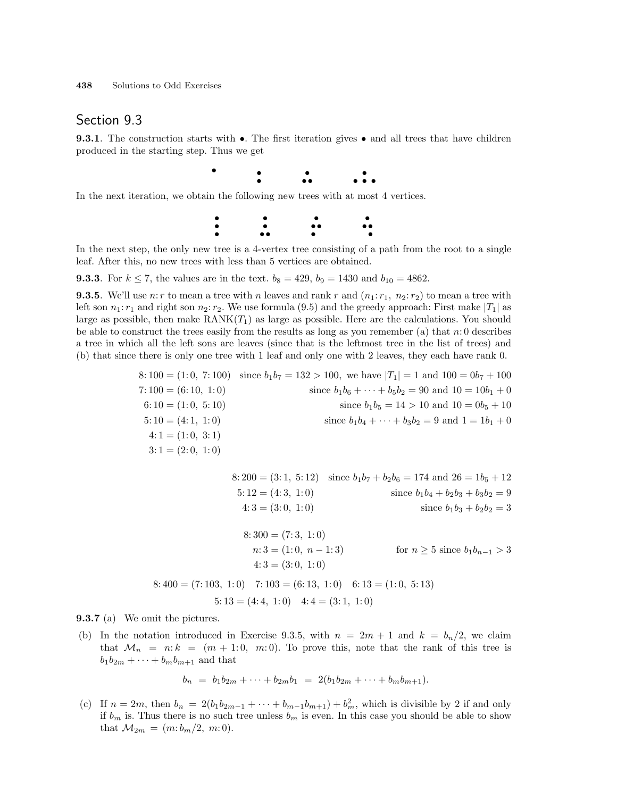### Section 9.3

**9.3.1**. The construction starts with  $\bullet$ . The first iteration gives  $\bullet$  and all trees that have children produced in the starting step. Thus we get

•

• •

• • •

• •

In the next iteration, we obtain the following new trees with at most 4 vertices.

• •



In the next step, the only new tree is a 4-vertex tree consisting of a path from the root to a single leaf. After this, no new trees with less than 5 vertices are obtained.

**9.3.3**. For  $k \le 7$ , the values are in the text.  $b_8 = 429$ ,  $b_9 = 1430$  and  $b_{10} = 4862$ .

**9.3.5.** We'll use n: r to mean a tree with n leaves and rank r and  $(n_1: r_1, n_2: r_2)$  to mean a tree with left son  $n_1: r_1$  and right son  $n_2: r_2$ . We use formula (9.5) and the greedy approach: First make  $|T_1|$  as large as possible, then make  $\text{RANK}(T_1)$  as large as possible. Here are the calculations. You should be able to construct the trees easily from the results as long as you remember (a) that  $n:0$  describes a tree in which all the left sons are leaves (since that is the leftmost tree in the list of trees) and (b) that since there is only one tree with 1 leaf and only one with 2 leaves, they each have rank 0.

|                       | $8:100 = (1:0, 7:100)$ since $b_1b_7 = 132 > 100$ , we have $ T_1  = 1$ and $100 = 0b_7 + 100$ |
|-----------------------|------------------------------------------------------------------------------------------------|
| $7:100 = (6:10, 1:0)$ | since $b_1b_6 + \cdots + b_5b_2 = 90$ and $10 = 10b_1 + 0$                                     |
| $6:10 = (1:0, 5:10)$  | since $b_1b_5 = 14 > 10$ and $10 = 0b_5 + 10$                                                  |
| $5:10 = (4:1, 1:0)$   | since $b_1b_4 + \cdots + b_3b_2 = 9$ and $1 = 1b_1 + 0$                                        |
| $4:1 = (1:0, 3:1)$    |                                                                                                |
| $3:1 = (2:0, 1:0)$    |                                                                                                |

|                                                                   | 8: 200 = (3:1, 5:12) since $b_1b_7 + b_2b_6 = 174$ and $26 = 1b_5 + 12$ |
|-------------------------------------------------------------------|-------------------------------------------------------------------------|
| $5:12=(4:3, 1:0)$                                                 | since $b_1b_4 + b_2b_3 + b_3b_2 = 9$                                    |
| $4:3 = (3:0, 1:0)$                                                | since $b_1b_3 + b_2b_2 = 3$                                             |
|                                                                   |                                                                         |
| $8:300 = (7:3, 1:0)$                                              |                                                                         |
| $n:3=(1:0, n-1:3)$                                                | for $n > 5$ since $b_1 b_{n-1} > 3$                                     |
| $4:3 = (3:0, 1:0)$                                                |                                                                         |
| $8:400 = (7:103, 1:0)$ $7:103 = (6:13, 1:0)$ $6:13 = (1:0, 5:13)$ |                                                                         |
| $5:13 = (4:4, 1:0)$ $4:4 = (3:1, 1:0)$                            |                                                                         |

9.3.7 (a) We omit the pictures.

(b) In the notation introduced in Exercise 9.3.5, with  $n = 2m + 1$  and  $k = b_n/2$ , we claim that  $\mathcal{M}_n = n: k = (m + 1: 0, m: 0)$ . To prove this, note that the rank of this tree is  $b_1b_{2m} + \cdots + b_mb_{m+1}$  and that

$$
b_n = b_1b_{2m} + \cdots + b_{2m}b_1 = 2(b_1b_{2m} + \cdots + b_mb_{m+1}).
$$

(c) If  $n = 2m$ , then  $b_n = 2(b_1b_{2m-1} + \cdots + b_{m-1}b_{m+1}) + b_m^2$ , which is divisible by 2 if and only if  $b_m$  is. Thus there is no such tree unless  $b_m$  is even. In this case you should be able to show that  $M_{2m} = (m:b_m/2, m:0)$ .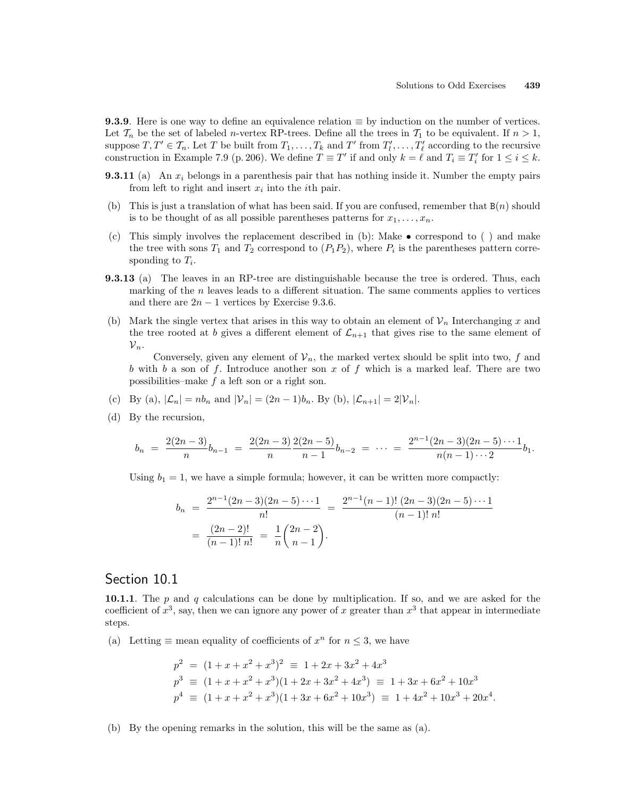9.3.9. Here is one way to define an equivalence relation  $\equiv$  by induction on the number of vertices. Let  $\mathcal{T}_n$  be the set of labeled *n*-vertex RP-trees. Define all the trees in  $\mathcal{T}_1$  to be equivalent. If  $n > 1$ , suppose  $T, T' \in \mathcal{T}_n$ . Let T be built from  $T_1, \ldots, T_k$  and T' from  $T'_l, \ldots, T'_\ell$  according to the recursive construction in Example 7.9 (p. 206). We define  $T \equiv T'$  if and only  $k = \ell$  and  $T_i \equiv T'_i$  for  $1 \le i \le k$ .

- **9.3.11** (a) An  $x_i$  belongs in a parenthesis pair that has nothing inside it. Number the empty pairs from left to right and insert  $x_i$  into the *i*<sup>th</sup> pair.
- (b) This is just a translation of what has been said. If you are confused, remember that  $B(n)$  should is to be thought of as all possible parentheses patterns for  $x_1, \ldots, x_n$ .
- (c) This simply involves the replacement described in (b): Make correspond to ( ) and make the tree with sons  $T_1$  and  $T_2$  correspond to  $(P_1P_2)$ , where  $P_i$  is the parentheses pattern corresponding to  $T_i$ .
- **9.3.13** (a) The leaves in an RP-tree are distinguishable because the tree is ordered. Thus, each marking of the  $n$  leaves leads to a different situation. The same comments applies to vertices and there are  $2n-1$  vertices by Exercise 9.3.6.
- (b) Mark the single vertex that arises in this way to obtain an element of  $\mathcal{V}_n$  Interchanging x and the tree rooted at b gives a different element of  $\mathcal{L}_{n+1}$  that gives rise to the same element of  ${\cal V}_n$ .

Conversely, given any element of  $\mathcal{V}_n$ , the marked vertex should be split into two, f and b with b a son of f. Introduce another son x of f which is a marked leaf. There are two possibilities–make  $f$  a left son or a right son.

(c) By (a), 
$$
|\mathcal{L}_n| = nb_n
$$
 and  $|\mathcal{V}_n| = (2n - 1)b_n$ . By (b),  $|\mathcal{L}_{n+1}| = 2|\mathcal{V}_n|$ .

(d) By the recursion,

$$
b_n = \frac{2(2n-3)}{n}b_{n-1} = \frac{2(2n-3)}{n} \frac{2(2n-5)}{n-1} b_{n-2} = \cdots = \frac{2^{n-1}(2n-3)(2n-5)\cdots 1}{n(n-1)\cdots 2} b_1.
$$

Using  $b_1 = 1$ , we have a simple formula; however, it can be written more compactly:

$$
b_n = \frac{2^{n-1}(2n-3)(2n-5)\cdots 1}{n!} = \frac{2^{n-1}(n-1)! (2n-3)(2n-5)\cdots 1}{(n-1)! n!}
$$
  
= 
$$
\frac{(2n-2)!}{(n-1)! n!} = \frac{1}{n} {2n-2 \choose n-1}.
$$

### Section 10.1

10.1.1. The  $p$  and  $q$  calculations can be done by multiplication. If so, and we are asked for the coefficient of  $x^3$ , say, then we can ignore any power of x greater than  $x^3$  that appear in intermediate steps.

(a) Letting  $\equiv$  mean equality of coefficients of  $x^n$  for  $n \leq 3$ , we have

$$
p2 = (1 + x + x2 + x3)2 \equiv 1 + 2x + 3x2 + 4x3
$$
  
\n
$$
p3 \equiv (1 + x + x2 + x3)(1 + 2x + 3x2 + 4x3) \equiv 1 + 3x + 6x2 + 10x3
$$
  
\n
$$
p4 \equiv (1 + x + x2 + x3)(1 + 3x + 6x2 + 10x3) \equiv 1 + 4x2 + 10x3 + 20x4.
$$

(b) By the opening remarks in the solution, this will be the same as (a).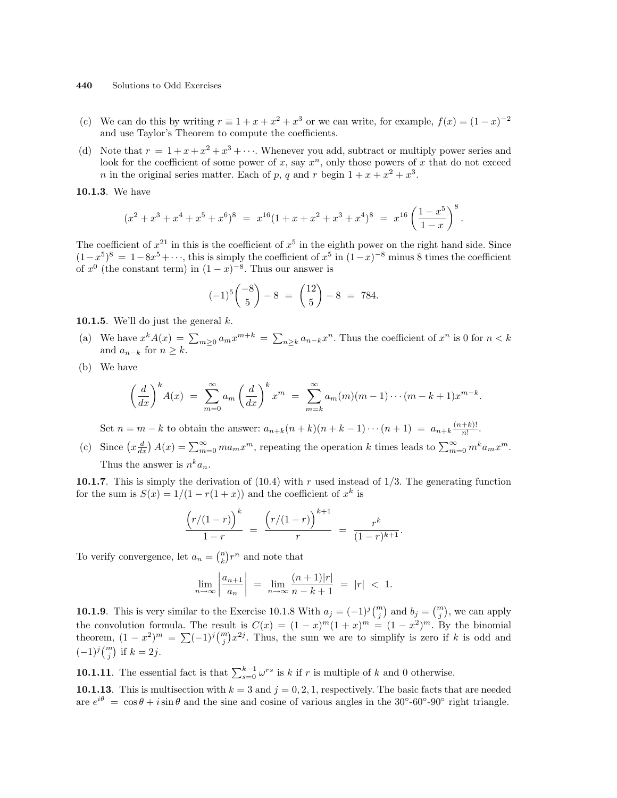- (c) We can do this by writing  $r \equiv 1 + x + x^2 + x^3$  or we can write, for example,  $f(x) = (1 x)^{-2}$ and use Taylor's Theorem to compute the coefficients.
- (d) Note that  $r = 1 + x + x^2 + x^3 + \cdots$ . Whenever you add, subtract or multiply power series and look for the coefficient of some power of x, say  $x^n$ , only those powers of x that do not exceed *n* in the original series matter. Each of *p*, *q* and *r* begin  $1 + x + x^2 + x^3$ .

10.1.3. We have

$$
(x^{2} + x^{3} + x^{4} + x^{5} + x^{6})^{8} = x^{16}(1 + x + x^{2} + x^{3} + x^{4})^{8} = x^{16} \left(\frac{1 - x^{5}}{1 - x}\right)^{8}.
$$

The coefficient of  $x^{21}$  in this is the coefficient of  $x^5$  in the eighth power on the right hand side. Since  $(1-x^5)^8 = 1-8x^5+\cdots$ , this is simply the coefficient of  $x^5$  in  $(1-x)^{-8}$  minus 8 times the coefficient of  $x^0$  (the constant term) in  $(1-x)^{-8}$ . Thus our answer is

$$
(-1)^5 \binom{-8}{5} - 8 = \binom{12}{5} - 8 = 784.
$$

10.1.5. We'll do just the general  $k$ .

- (a) We have  $x^k A(x) = \sum_{m\geq 0} a_m x^{m+k} = \sum$  $n \geq k a_{n-k} x^n$ . Thus the coefficient of  $x^n$  is 0 for  $n < k$ and  $a_{n-k}$  for  $n \geq k$ .
- (b) We have

$$
\left(\frac{d}{dx}\right)^k A(x) = \sum_{m=0}^{\infty} a_m \left(\frac{d}{dx}\right)^k x^m = \sum_{m=k}^{\infty} a_m(m)(m-1)\cdots(m-k+1)x^{m-k}.
$$

Set  $n = m - k$  to obtain the answer:  $a_{n+k}(n+k)(n+k-1)\cdots(n+1) = a_{n+k}\frac{(n+k)!}{n!}$  $\frac{+k)!}{n!}$ .

(c) Since  $\left(x \frac{d}{dx}\right) A(x) = \sum_{m=0}^{\infty} m a_m x^m$ , repeating the operation k times leads to  $\sum_{m=0}^{\infty} m^k a_m x^m$ . Thus the answer is  $n^k a_n$ .

10.1.7. This is simply the derivation of  $(10.4)$  with r used instead of 1/3. The generating function for the sum is  $S(x) = 1/(1 - r(1 + x))$  and the coefficient of  $x^k$  is

$$
\frac{(r/(1-r))^{k}}{1-r} = \frac{(r/(1-r))^{k+1}}{r} = \frac{r^{k}}{(1-r)^{k+1}}.
$$

To verify convergence, let  $a_n = \binom{n}{k}$ ¢  $r^n$  and note that

$$
\lim_{n \to \infty} \left| \frac{a_{n+1}}{a_n} \right| \ = \ \lim_{n \to \infty} \frac{(n+1)|r|}{n-k+1} \ = \ |r| \ < \ 1.
$$

**10.1.9**. This is very similar to the Exercise 10.1.8 With  $a_j = (-1)^j {m \choose j}$ ¢ and  $b_j = \binom{m}{j}$ ¢ , we can apply the convolution formula. The result is  $C(x) = (1-x)^m(1+x)^m = (1-x^2)^m$ . By the binomial theorem  $(1-x^2)^m = \sum_{k=1}^{\infty} (1)^k {m \choose k} x^2$ . Thus, the sum we spe to simplify is zone if h is add and theorem,  $(1-x^2)^m = \sum (-1)^j {m \choose j} x^{2j}$ . Thus, the sum we are to simplify is zero if k is odd and  $(1-x^2)^m = \sum (-1)^j {m \choose j} x^{2j}$ . Thus, the sum we are to simplify is zero if k is odd and  $(-1)^j \binom{m}{j}$  if  $k = 2j$ .

**10.1.11**. The essential fact is that  $\sum_{s=0}^{k-1} \omega^{rs}$  is k if r is multiple of k and 0 otherwise.

10.1.13. This is multisection with  $k = 3$  and  $j = 0, 2, 1$ , respectively. The basic facts that are needed are  $e^{i\theta} = \cos \theta + i \sin \theta$  and the sine and cosine of various angles in the 30°-60°-90° right triangle.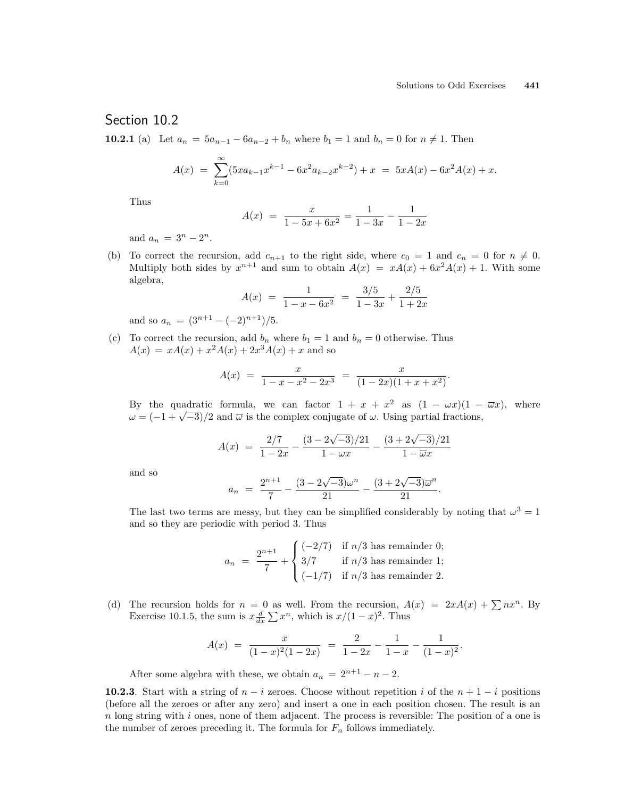.

### Section 10.2

**10.2.1** (a) Let  $a_n = 5a_{n-1} - 6a_{n-2} + b_n$  where  $b_1 = 1$  and  $b_n = 0$  for  $n \neq 1$ . Then

$$
A(x) = \sum_{k=0}^{\infty} (5x a_{k-1} x^{k-1} - 6x^2 a_{k-2} x^{k-2}) + x = 5x A(x) - 6x^2 A(x) + x.
$$

Thus

$$
A(x) = \frac{x}{1 - 5x + 6x^2} = \frac{1}{1 - 3x} - \frac{1}{1 - 2x}
$$

and  $a_n = 3^n - 2^n$ .

(b) To correct the recursion, add  $c_{n+1}$  to the right side, where  $c_0 = 1$  and  $c_n = 0$  for  $n \neq 0$ . Multiply both sides by  $x^{n+1}$  and sum to obtain  $A(x) = xA(x) + 6x^2A(x) + 1$ . With some algebra,

$$
A(x) = \frac{1}{1 - x - 6x^2} = \frac{3/5}{1 - 3x} + \frac{2/5}{1 + 2x}
$$

and so  $a_n = (3^{n+1} - (-2)^{n+1})/5$ .

(c) To correct the recursion, add  $b_n$  where  $b_1 = 1$  and  $b_n = 0$  otherwise. Thus  $A(x) = xA(x) + x^2A(x) + 2x^3A(x) + x$  and so

$$
A(x) = \frac{x}{1 - x - x^2 - 2x^3} = \frac{x}{(1 - 2x)(1 + x + x^2)}.
$$

By the quadratic formula, we can factor  $1 + x + x^2$  as  $(1 - \omega x)(1 - \overline{\omega}x)$ , where By the quadratic formula, we can factor  $1 + x + x^2$  as  $(1 - \omega x)(1 - \omega = (-1 + \sqrt{-3})/2$  and  $\overline{\omega}$  is the complex conjugate of  $\omega$ . Using partial fractions,

$$
A(x) = \frac{2/7}{1 - 2x} - \frac{(3 - 2\sqrt{-3})/21}{1 - \omega x} - \frac{(3 + 2\sqrt{-3})/21}{1 - \overline{\omega}x}
$$

and so

$$
a_n = \frac{2^{n+1}}{7} - \frac{(3 - 2\sqrt{-3})\omega^n}{21} - \frac{(3 + 2\sqrt{-3})\overline{\omega}^n}{21}.
$$

The last two terms are messy, but they can be simplified considerably by noting that  $\omega^3 = 1$ and so they are periodic with period 3. Thus

$$
a_n = \frac{2^{n+1}}{7} + \begin{cases} (-2/7) & \text{if } n/3 \text{ has remainder 0;} \\ 3/7 & \text{if } n/3 \text{ has remainder 1;} \\ (-1/7) & \text{if } n/3 \text{ has remainder 2.} \end{cases}
$$

(d) The recursion holds for  $n = 0$  as well. From the recursion,  $A(x) = 2xA(x) + \sum nx^n$ . By The recursion holds for  $n = 0$  as well. From the recursion, A<br>Exercise 10.1.5, the sum is  $x \frac{d}{dx} \sum x^n$ , which is  $x/(1-x)^2$ . Thus

$$
A(x) = \frac{x}{(1-x)^2(1-2x)} = \frac{2}{1-2x} - \frac{1}{1-x} - \frac{1}{(1-x)^2}
$$

After some algebra with these, we obtain  $a_n = 2^{n+1} - n - 2$ .

**10.2.3**. Start with a string of  $n - i$  zeroes. Choose without repetition i of the  $n + 1 - i$  positions (before all the zeroes or after any zero) and insert a one in each position chosen. The result is an  $n \text{ long string with } i \text{ ones, none of them adjacent. The process is reversible: The position of a one is }$ the number of zeroes preceding it. The formula for  $F_n$  follows immediately.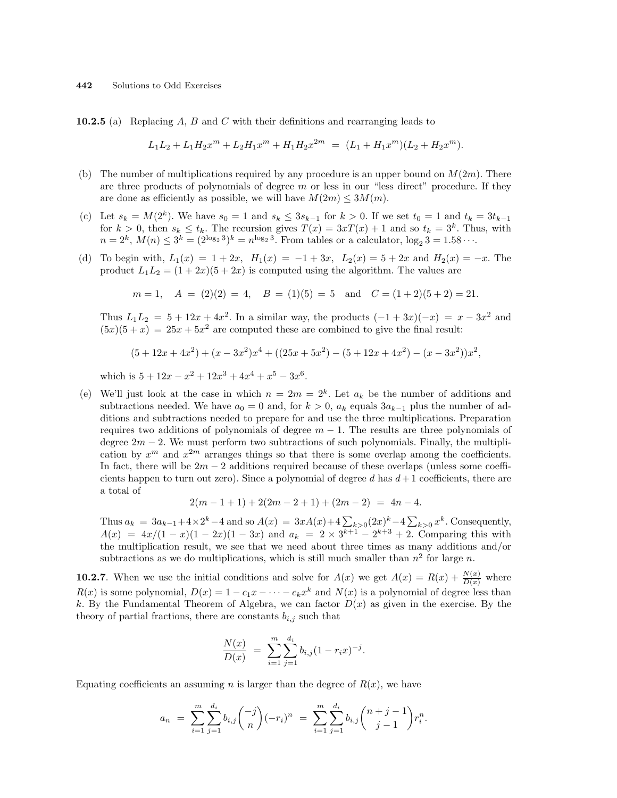**10.2.5** (a) Replacing  $A$ ,  $B$  and  $C$  with their definitions and rearranging leads to

$$
L_1L_2 + L_1H_2x^m + L_2H_1x^m + H_1H_2x^{2m} = (L_1 + H_1x^m)(L_2 + H_2x^m).
$$

- (b) The number of multiplications required by any procedure is an upper bound on  $M(2m)$ . There are three products of polynomials of degree  $m$  or less in our "less direct" procedure. If they are done as efficiently as possible, we will have  $M(2m) \leq 3M(m)$ .
- (c) Let  $s_k = M(2^k)$ . We have  $s_0 = 1$  and  $s_k \le 3s_{k-1}$  for  $k > 0$ . If we set  $t_0 = 1$  and  $t_k = 3t_{k-1}$ for  $k > 0$ , then  $s_k \le t_k$ . The recursion gives  $T(x) = 3xT(x) + 1$  and so  $t_k = 3^k$ . Thus, with  $n = 2^k$ ,  $M(n) \leq 3^k = (2^{\log_2 3})^k = n^{\log_2 3}$ . From tables or a calculator,  $\log_2 3 = 1.58 \cdots$ .
- (d) To begin with,  $L_1(x) = 1 + 2x$ ,  $H_1(x) = -1 + 3x$ ,  $L_2(x) = 5 + 2x$  and  $H_2(x) = -x$ . The product  $L_1L_2 = (1 + 2x)(5 + 2x)$  is computed using the algorithm. The values are

$$
m = 1
$$
,  $A = (2)(2) = 4$ ,  $B = (1)(5) = 5$  and  $C = (1 + 2)(5 + 2) = 21$ .

Thus  $L_1L_2 = 5 + 12x + 4x^2$ . In a similar way, the products  $(-1+3x)(-x) = x - 3x^2$  and  $(5x)(5 + x) = 25x + 5x^2$  are computed these are combined to give the final result:

$$
(5+12x+4x2)+(x-3x2)x4+((25x+5x2)-(5+12x+4x2)-(x-3x2))x2,
$$

which is  $5 + 12x - x^2 + 12x^3 + 4x^4 + x^5 - 3x^6$ .

(e) We'll just look at the case in which  $n = 2m = 2<sup>k</sup>$ . Let  $a_k$  be the number of additions and subtractions needed. We have  $a_0 = 0$  and, for  $k > 0$ ,  $a_k$  equals  $3a_{k-1}$  plus the number of additions and subtractions needed to prepare for and use the three multiplications. Preparation requires two additions of polynomials of degree  $m - 1$ . The results are three polynomials of degree  $2m - 2$ . We must perform two subtractions of such polynomials. Finally, the multiplication by  $x^m$  and  $x^{2m}$  arranges things so that there is some overlap among the coefficients. In fact, there will be  $2m - 2$  additions required because of these overlaps (unless some coefficients happen to turn out zero). Since a polynomial of degree d has  $d+1$  coefficients, there are a total of

$$
2(m-1+1)+2(2m-2+1)+(2m-2) = 4n-4.
$$

Thus  $a_k = 3a_{k-1} + 4 \times 2^k - 4$  and so  $A(x) = 3xA(x) + 4\sum_{k>0} (2x)^k - 4\sum_{k>0}$  $_{k>0} x^k$ . Consequently,  $A(x) = 4x/(1-x)(1-2x)(1-3x)$  and  $a_k = 2 \times 3^{k+1} - 2^{k+3} + 2$ . Comparing this with the multiplication result, we see that we need about three times as many additions and/or subtractions as we do multiplications, which is still much smaller than  $n^2$  for large n.

**10.2.7.** When we use the initial conditions and solve for  $A(x)$  we get  $A(x) = R(x) + \frac{N(x)}{D(x)}$  where  $R(x)$  is some polynomial,  $D(x) = 1 - c_1 x - \cdots - c_k x^k$  and  $N(x)$  is a polynomial of degree less than k. By the Fundamental Theorem of Algebra, we can factor  $D(x)$  as given in the exercise. By the theory of partial fractions, there are constants  $b_{i,j}$  such that

$$
\frac{N(x)}{D(x)} = \sum_{i=1}^{m} \sum_{j=1}^{d_i} b_{i,j} (1 - r_i x)^{-j}.
$$

Equating coefficients an assuming n is larger than the degree of  $R(x)$ , we have

$$
a_n = \sum_{i=1}^m \sum_{j=1}^{d_i} b_{i,j} \binom{-j}{n} (-r_i)^n = \sum_{i=1}^m \sum_{j=1}^{d_i} b_{i,j} \binom{n+j-1}{j-1} r_i^n.
$$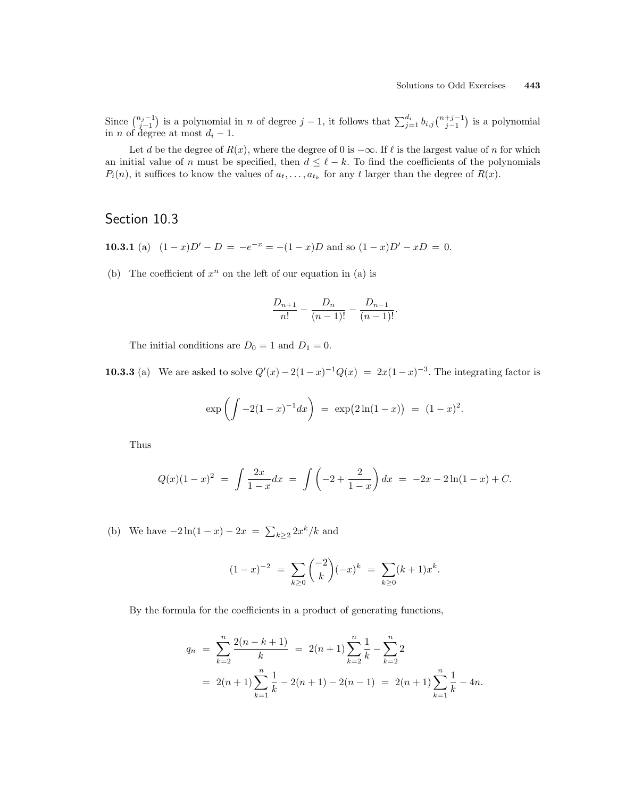Since  $\binom{n_j-1}{j-1}$ f is a polynomial in n of degree  $j-1$ , it follows that  $\sum_{j=1}^{d_i} b_{i,j} \binom{n+j-1}{j-1}$ ¢ is a polynomial in *n* of degree at most  $d_i - 1$ .

Let d be the degree of  $R(x)$ , where the degree of 0 is  $-\infty$ . If  $\ell$  is the largest value of n for which an initial value of n must be specified, then  $d \leq \ell - k$ . To find the coefficients of the polynomials  $P_i(n)$ , it suffices to know the values of  $a_t, \ldots, a_{t_k}$  for any t larger than the degree of  $R(x)$ .

# Section 10.3

- **10.3.1** (a)  $(1-x)D' D = -e^{-x} = -(1-x)D$  and so  $(1-x)D' xD = 0$ .
- (b) The coefficient of  $x^n$  on the left of our equation in (a) is

$$
\frac{D_{n+1}}{n!} - \frac{D_n}{(n-1)!} - \frac{D_{n-1}}{(n-1)!}.
$$

The initial conditions are  $D_0 = 1$  and  $D_1 = 0$ .

**10.3.3** (a) We are asked to solve  $Q'(x) - 2(1-x)^{-1}Q(x) = 2x(1-x)^{-3}$ . The integrating factor is

$$
\exp\left(\int -2(1-x)^{-1}dx\right) = \exp(2\ln(1-x)) = (1-x)^2.
$$

Thus

$$
Q(x)(1-x)^2 = \int \frac{2x}{1-x} dx = \int \left(-2 + \frac{2}{1-x}\right) dx = -2x - 2\ln(1-x) + C.
$$

(b) We have  $-2\ln(1-x) - 2x = \sum$  $_{k\geq 2} 2x^{k}/k$  and

$$
(1-x)^{-2} = \sum_{k\geq 0} \binom{-2}{k} (-x)^k = \sum_{k\geq 0} (k+1)x^k.
$$

By the formula for the coefficients in a product of generating functions,

$$
q_n = \sum_{k=2}^n \frac{2(n-k+1)}{k} = 2(n+1) \sum_{k=2}^n \frac{1}{k} - \sum_{k=2}^n 2
$$
  
= 2(n+1)  $\sum_{k=1}^n \frac{1}{k} - 2(n+1) - 2(n-1) = 2(n+1) \sum_{k=1}^n \frac{1}{k} - 4n.$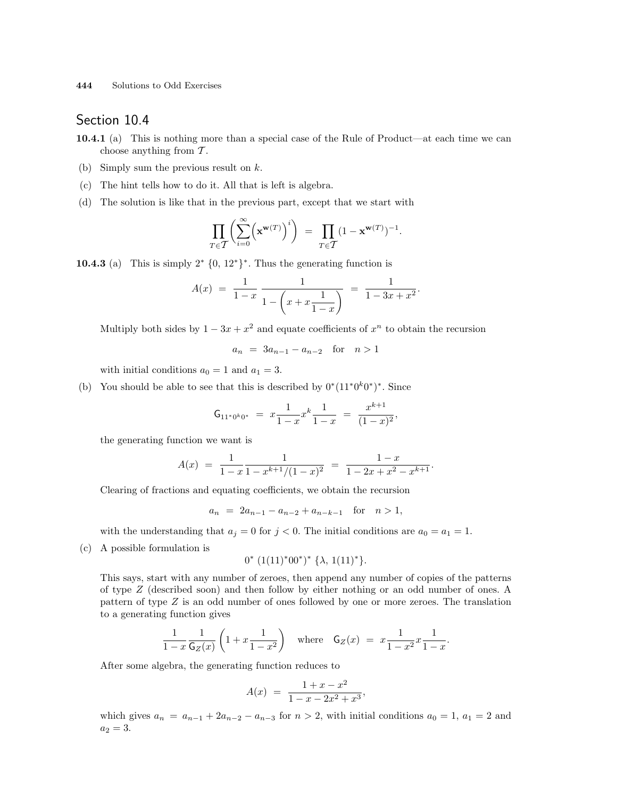## Section 10.4

- 10.4.1 (a) This is nothing more than a special case of the Rule of Product—at each time we can choose anything from  $\mathcal T$ .
- (b) Simply sum the previous result on k.
- (c) The hint tells how to do it. All that is left is algebra.
- (d) The solution is like that in the previous part, except that we start with

$$
\prod_{T\in\mathcal{T}}\biggl(\sum_{i=0}^\infty \Bigl(\mathbf{x}^{\mathbf{w}(T)}\Bigr)^i\biggr)\ =\ \prod_{T\in\mathcal{T}}(1-\mathbf{x}^{\mathbf{w}(T)})^{-1}.
$$

**10.4.3** (a) This is simply  $2^* \{0, 12^*\}^*$ . Thus the generating function is

$$
A(x) = \frac{1}{1-x} \frac{1}{1-\left(x+x\frac{1}{1-x}\right)} = \frac{1}{1-3x+x^2}.
$$

Multiply both sides by  $1 - 3x + x^2$  and equate coefficients of  $x^n$  to obtain the recursion

$$
a_n = 3a_{n-1} - a_{n-2}
$$
 for  $n > 1$ 

with initial conditions  $a_0 = 1$  and  $a_1 = 3$ .

(b) You should be able to see that this is described by  $0^*(11^*0^k0^*)^*$ . Since

$$
\mathsf{G}_{11^*0^k0^*} \ = \ x \frac{1}{1-x} x^k \frac{1}{1-x} \ = \ \frac{x^{k+1}}{(1-x)^2},
$$

the generating function we want is

$$
A(x) = \frac{1}{1-x} \frac{1}{1-x^{k+1}/(1-x)^2} = \frac{1-x}{1-2x+x^2-x^{k+1}}.
$$

Clearing of fractions and equating coefficients, we obtain the recursion

 $a_n = 2a_{n-1} - a_{n-2} + a_{n-k-1}$  for  $n > 1$ ,

with the understanding that  $a_j = 0$  for  $j < 0$ . The initial conditions are  $a_0 = a_1 = 1$ .

(c) A possible formulation is

$$
0^* (1(11)^* 00^*)^* \{\lambda, 1(11)^*\}.
$$

This says, start with any number of zeroes, then append any number of copies of the patterns of type Z (described soon) and then follow by either nothing or an odd number of ones. A pattern of type Z is an odd number of ones followed by one or more zeroes. The translation to a generating function gives

$$
\frac{1}{1-x} \frac{1}{\mathsf{G}_Z(x)} \left( 1 + x \frac{1}{1-x^2} \right) \quad \text{where} \quad \mathsf{G}_Z(x) \ = \ x \frac{1}{1-x^2} x \frac{1}{1-x}.
$$

After some algebra, the generating function reduces to

$$
A(x) = \frac{1+x-x^2}{1-x-2x^2+x^3},
$$

which gives  $a_n = a_{n-1} + 2a_{n-2} - a_{n-3}$  for  $n > 2$ , with initial conditions  $a_0 = 1$ ,  $a_1 = 2$  and  $a_2 = 3.$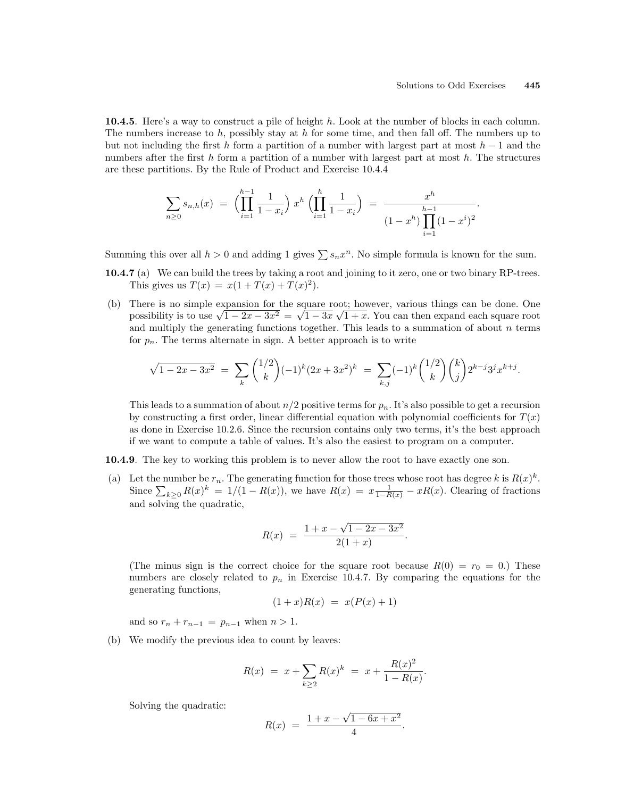10.4.5. Here's a way to construct a pile of height h. Look at the number of blocks in each column. The numbers increase to  $h$ , possibly stay at  $h$  for some time, and then fall off. The numbers up to but not including the first h form a partition of a number with largest part at most  $h-1$  and the numbers after the first  $h$  form a partition of a number with largest part at most  $h$ . The structures are these partitions. By the Rule of Product and Exercise 10.4.4

$$
\sum_{n\geq 0} s_{n,h}(x) = \left(\prod_{i=1}^{h-1} \frac{1}{1-x_i}\right) x^h \left(\prod_{i=1}^h \frac{1}{1-x_i}\right) = \frac{x^h}{(1-x^h)\prod_{i=1}^{h-1} (1-x^i)^2}.
$$

Summing this over all  $h > 0$  and adding 1 gives  $\sum s_n x^n$ . No simple formula is known for the sum.

- 10.4.7 (a) We can build the trees by taking a root and joining to it zero, one or two binary RP-trees. This gives us  $T(x) = x(1 + T(x) + T(x)^2)$ .
- (b) There is no simple expansion for the square root; however, various things can be done. One There is no simple expansion for the square root; however, various things can be done. One possibility is to use  $\sqrt{1-2x-3x^2} = \sqrt{1-3x}\sqrt{1+x}$ . You can then expand each square root and multiply the generating functions together. This leads to a summation of about  $n$  terms for  $p_n$ . The terms alternate in sign. A better approach is to write

$$
\sqrt{1-2x-3x^2} \ = \ \sum_{k} \binom{1/2}{k} (-1)^k (2x+3x^2)^k \ = \ \sum_{k,j} (-1)^k \binom{1/2}{k} \binom{k}{j} 2^{k-j} 3^j x^{k+j}.
$$

This leads to a summation of about  $n/2$  positive terms for  $p_n$ . It's also possible to get a recursion by constructing a first order, linear differential equation with polynomial coefficients for  $T(x)$ as done in Exercise 10.2.6. Since the recursion contains only two terms, it's the best approach if we want to compute a table of values. It's also the easiest to program on a computer.

- 10.4.9. The key to working this problem is to never allow the root to have exactly one son.
- (a) Let the number be  $r_n$ . The generating function for those trees whose root has degree k is  $R(x)^k$ . Let the number be  $r_n$ . The generating function for those trees whose root has degree  $\kappa$  is  $R(x)$ .<br>Since  $\sum_{k\geq 0} R(x)^k = 1/(1 - R(x))$ , we have  $R(x) = x \frac{1}{1-R(x)} - xR(x)$ . Clearing of fractions and solving the quadratic,

$$
R(x) = \frac{1 + x - \sqrt{1 - 2x - 3x^2}}{2(1 + x)}.
$$

(The minus sign is the correct choice for the square root because  $R(0) = r_0 = 0$ .) These numbers are closely related to  $p_n$  in Exercise 10.4.7. By comparing the equations for the generating functions,

$$
(1+x)R(x) = x(P(x)+1)
$$

and so  $r_n + r_{n-1} = p_{n-1}$  when  $n > 1$ .

(b) We modify the previous idea to count by leaves:

$$
R(x) = x + \sum_{k \ge 2} R(x)^k = x + \frac{R(x)^2}{1 - R(x)}.
$$

Solving the quadratic:

$$
R(x) = \frac{1 + x - \sqrt{1 - 6x + x^2}}{4}
$$

.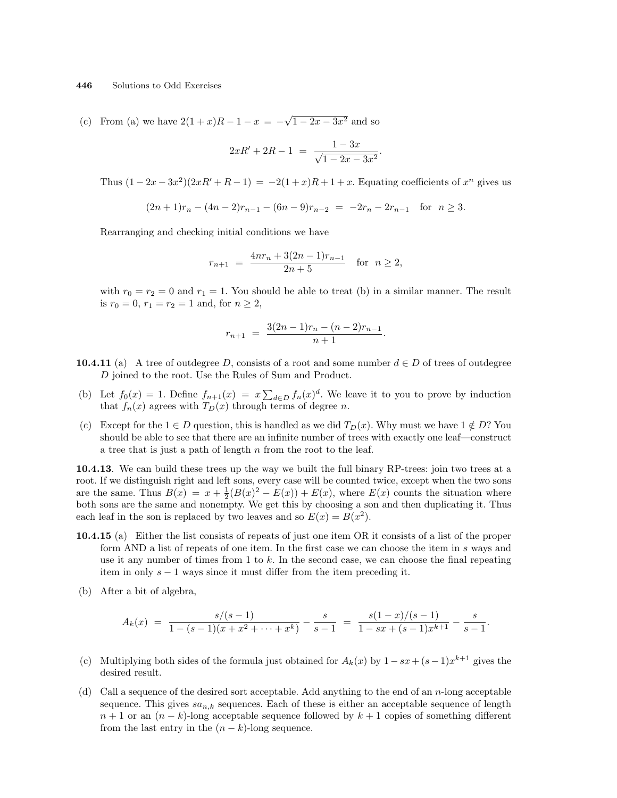(c) From (a) we have  $2(1+x)R-1-x = -$ √  $\overline{1-2x-3x^2}$  and so

$$
2xR' + 2R - 1 = \frac{1 - 3x}{\sqrt{1 - 2x - 3x^2}}.
$$

Thus  $(1 - 2x - 3x^2)(2xR' + R - 1) = -2(1 + x)R + 1 + x$ . Equating coefficients of  $x^n$  gives us

$$
(2n+1)r_n - (4n-2)r_{n-1} - (6n-9)r_{n-2} = -2r_n - 2r_{n-1} \text{ for } n \ge 3.
$$

Rearranging and checking initial conditions we have

$$
r_{n+1} = \frac{4nr_n + 3(2n-1)r_{n-1}}{2n+5} \quad \text{for} \ \ n \ge 2,
$$

with  $r_0 = r_2 = 0$  and  $r_1 = 1$ . You should be able to treat (b) in a similar manner. The result is  $r_0 = 0$ ,  $r_1 = r_2 = 1$  and, for  $n \ge 2$ ,

$$
r_{n+1} = \frac{3(2n-1)r_n - (n-2)r_{n-1}}{n+1}.
$$

- **10.4.11** (a) A tree of outdegree D, consists of a root and some number  $d \in D$  of trees of outdegree D joined to the root. Use the Rules of Sum and Product.
- (b) Let  $f_0(x) = 1$ . Define  $f_{n+1}(x) = x \sum_{d \in D} f_n(x)^d$ . We leave it to you to prove by induction that  $f_n(x)$  agrees with  $T_D(x)$  through terms of degree n.
- (c) Except for the  $1 \in D$  question, this is handled as we did  $T_D(x)$ . Why must we have  $1 \notin D$ ? You should be able to see that there are an infinite number of trees with exactly one leaf—construct a tree that is just a path of length  $n$  from the root to the leaf.

10.4.13. We can build these trees up the way we built the full binary RP-trees: join two trees at a root. If we distinguish right and left sons, every case will be counted twice, except when the two sons are the same. Thus  $B(x) = x + \frac{1}{2}(B(x)^2 - E(x)) + E(x)$ , where  $E(x)$  counts the situation where both sons are the same and nonempty. We get this by choosing a son and then duplicating it. Thus each leaf in the son is replaced by two leaves and so  $E(x) = B(x^2)$ .

- 10.4.15 (a) Either the list consists of repeats of just one item OR it consists of a list of the proper form AND a list of repeats of one item. In the first case we can choose the item in s ways and use it any number of times from 1 to k. In the second case, we can choose the final repeating item in only  $s - 1$  ways since it must differ from the item preceding it.
- (b) After a bit of algebra,

$$
A_k(x) = \frac{s/(s-1)}{1-(s-1)(x+x^2+\cdots+x^k)} - \frac{s}{s-1} = \frac{s(1-x)/(s-1)}{1-sx+(s-1)x^{k+1}} - \frac{s}{s-1}.
$$

- (c) Multiplying both sides of the formula just obtained for  $A_k(x)$  by  $1-sx+(s-1)x^{k+1}$  gives the desired result.
- (d) Call a sequence of the desired sort acceptable. Add anything to the end of an  $n$ -long acceptable sequence. This gives  $sa_{n,k}$  sequences. Each of these is either an acceptable sequence of length  $n+1$  or an  $(n-k)$ -long acceptable sequence followed by  $k+1$  copies of something different from the last entry in the  $(n - k)$ -long sequence.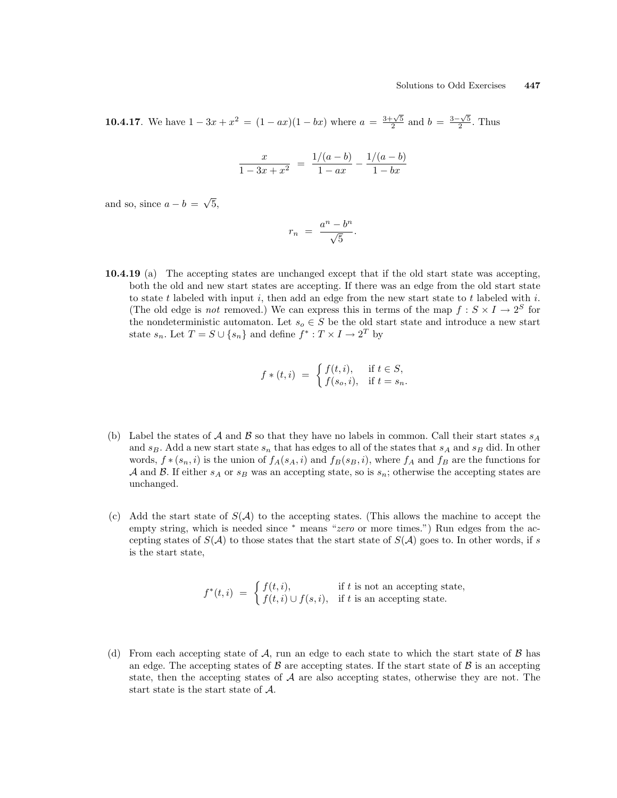**10.4.17**. We have  $1 - 3x + x^2 = (1 - ax)(1 - bx)$  where  $a = \frac{3 + \sqrt{5}}{2}$  and  $b = \frac{3 - \sqrt{5}}{2}$ . Thus

$$
\frac{x}{1-3x+x^2} = \frac{1/(a-b)}{1-ax} - \frac{1/(a-b)}{1-bx}
$$

and so, since  $a - b =$ √ 5,

$$
r_n = \frac{a^n - b^n}{\sqrt{5}}.
$$

10.4.19 (a) The accepting states are unchanged except that if the old start state was accepting, both the old and new start states are accepting. If there was an edge from the old start state to state  $t$  labeled with input  $i$ , then add an edge from the new start state to  $t$  labeled with  $i$ . (The old edge is *not* removed.) We can express this in terms of the map  $f : S \times I \to 2^S$  for the nondeterministic automaton. Let  $s_o \in S$  be the old start state and introduce a new start state  $s_n$ . Let  $T = S \cup \{s_n\}$  and define  $f^* : T \times I \to 2^T$  by

$$
f * (t, i) = \begin{cases} f(t, i), & \text{if } t \in S, \\ f(s_o, i), & \text{if } t = s_n. \end{cases}
$$

- (b) Label the states of A and B so that they have no labels in common. Call their start states  $s_A$ and  $s_B$ . Add a new start state  $s_n$  that has edges to all of the states that  $s_A$  and  $s_B$  did. In other words,  $f * (s_n, i)$  is the union of  $f_A(s_A, i)$  and  $f_B(s_B, i)$ , where  $f_A$  and  $f_B$  are the functions for A and B. If either  $s_A$  or  $s_B$  was an accepting state, so is  $s_n$ ; otherwise the accepting states are unchanged.
- (c) Add the start state of  $S(\mathcal{A})$  to the accepting states. (This allows the machine to accept the empty string, which is needed since <sup>∗</sup> means "*zero* or more times.") Run edges from the accepting states of  $S(\mathcal{A})$  to those states that the start state of  $S(\mathcal{A})$  goes to. In other words, if s is the start state,

$$
f^*(t,i) = \begin{cases} f(t,i), & \text{if } t \text{ is not an accepting state,} \\ f(t,i) \cup f(s,i), & \text{if } t \text{ is an accepting state.} \end{cases}
$$

(d) From each accepting state of  $A$ , run an edge to each state to which the start state of  $B$  has an edge. The accepting states of  $\beta$  are accepting states. If the start state of  $\beta$  is an accepting state, then the accepting states of  $A$  are also accepting states, otherwise they are not. The start state is the start state of A.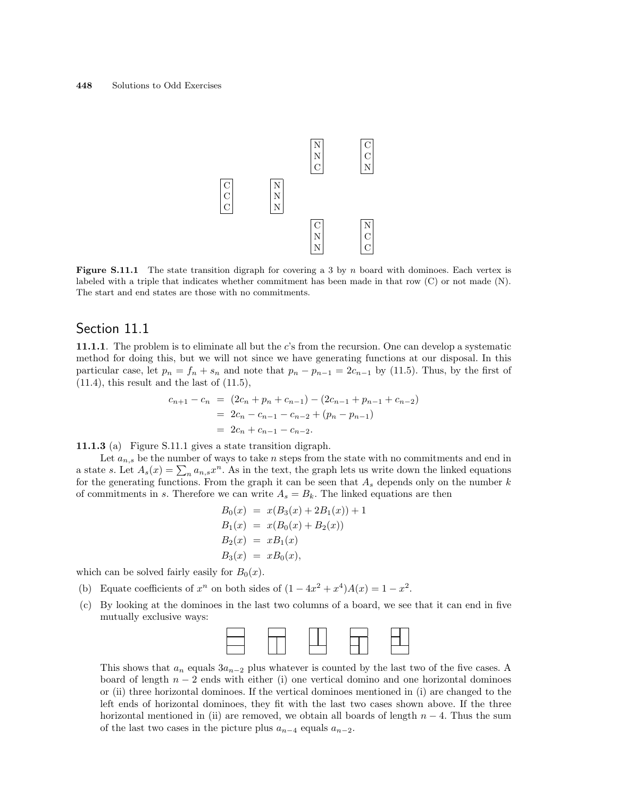

**Figure S.11.1** The state transition digraph for covering a 3 by n board with dominoes. Each vertex is labeled with a triple that indicates whether commitment has been made in that row (C) or not made (N). The start and end states are those with no commitments.

# Section 11.1

11.1.1. The problem is to eliminate all but the c's from the recursion. One can develop a systematic method for doing this, but we will not since we have generating functions at our disposal. In this particular case, let  $p_n = f_n + s_n$  and note that  $p_n - p_{n-1} = 2c_{n-1}$  by (11.5). Thus, by the first of  $(11.4)$ , this result and the last of  $(11.5)$ ,

$$
c_{n+1} - c_n = (2c_n + p_n + c_{n-1}) - (2c_{n-1} + p_{n-1} + c_{n-2})
$$
  
= 2c\_n - c\_{n-1} - c\_{n-2} + (p\_n - p\_{n-1})  
= 2c\_n + c\_{n-1} - c\_{n-2}.

11.1.3 (a) Figure S.11.1 gives a state transition digraph.

Let  $a_{n,s}$  be the number of ways to take n steps from the state with no commitments and end in Let  $a_{n,s}$  be the number of ways to take *n* steps from the state with no communents and end in<br>a state *s*. Let  $A_s(x) = \sum_n a_{n,s}x^n$ . As in the text, the graph lets us write down the linked equations for the generating functions. From the graph it can be seen that  $A_s$  depends only on the number  $k$ of commitments in s. Therefore we can write  $A_s = B_k$ . The linked equations are then

$$
B_0(x) = x(B_3(x) + 2B_1(x)) + 1
$$
  
\n
$$
B_1(x) = x(B_0(x) + B_2(x))
$$
  
\n
$$
B_2(x) = xB_1(x)
$$
  
\n
$$
B_3(x) = xB_0(x),
$$

which can be solved fairly easily for  $B_0(x)$ .

- (b) Equate coefficients of  $x^n$  on both sides of  $(1-4x^2+x^4)A(x)=1-x^2$ .
- (c) By looking at the dominoes in the last two columns of a board, we see that it can end in five mutually exclusive ways:



This shows that  $a_n$  equals  $3a_{n-2}$  plus whatever is counted by the last two of the five cases. A board of length  $n - 2$  ends with either (i) one vertical domino and one horizontal dominoes or (ii) three horizontal dominoes. If the vertical dominoes mentioned in (i) are changed to the left ends of horizontal dominoes, they fit with the last two cases shown above. If the three horizontal mentioned in (ii) are removed, we obtain all boards of length  $n-4$ . Thus the sum of the last two cases in the picture plus  $a_{n-4}$  equals  $a_{n-2}$ .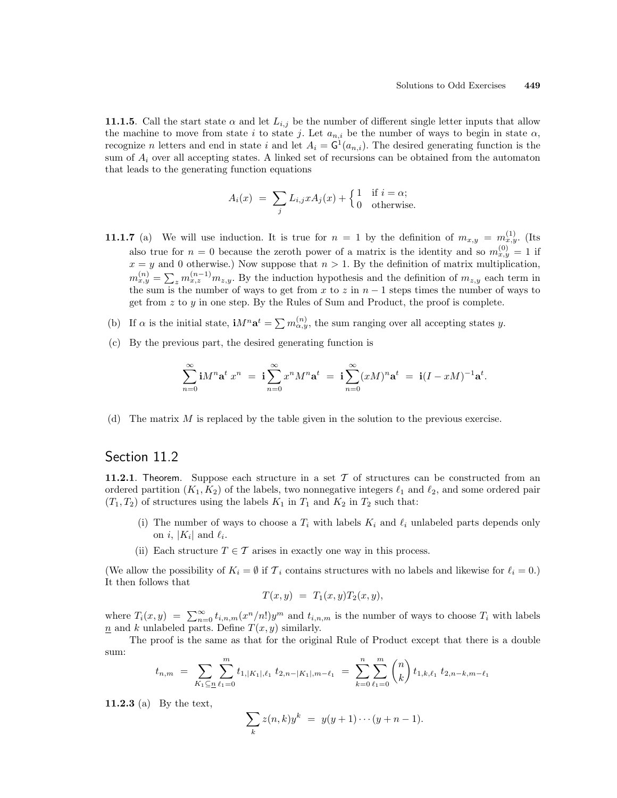**11.1.5.** Call the start state  $\alpha$  and let  $L_{i,j}$  be the number of different single letter inputs that allow the machine to move from state i to state j. Let  $a_{n,i}$  be the number of ways to begin in state  $\alpha$ , recognize n letters and end in state i and let  $A_i = G^1(a_{n,i})$ . The desired generating function is the sum of  $A_i$  over all accepting states. A linked set of recursions can be obtained from the automaton that leads to the generating function equations

$$
A_i(x) = \sum_j L_{i,j} x A_j(x) + \begin{cases} 1 & \text{if } i = \alpha; \\ 0 & \text{otherwise.} \end{cases}
$$

- **11.1.7** (a) We will use induction. It is true for  $n = 1$  by the definition of  $m_{x,y} = m_{x,y}^{(1)}$ . (Its also true for  $n = 0$  because the zeroth power of a matrix is the identity and so  $m_{x,y}^{(0)} = 1$  if  $x = y$  and 0 otherwise.) Now suppose that  $n > 1$ . By the definition of matrix multiplication,  $m_{x,y}^{(n)} = \sum_{z} m_{x,z}^{(n-1)} m_{z,y}$ . By the induction hypothesis and the definition of  $m_{z,y}$  each term in the sum is the number of ways to get from x to z in  $n-1$  steps times the number of ways to get from  $z$  to  $y$  in one step. By the Rules of Sum and Product, the proof is complete.
- (b) If  $\alpha$  is the initial state,  $\mathbf{i}M^n\mathbf{a}^t = \sum m_{\alpha,y}^{(n)}$ , the sum ranging over all accepting states y.
- (c) By the previous part, the desired generating function is

$$
\sum_{n=0}^{\infty} \mathbf{i} M^n \mathbf{a}^t x^n = \mathbf{i} \sum_{n=0}^{\infty} x^n M^n \mathbf{a}^t = \mathbf{i} \sum_{n=0}^{\infty} (x M)^n \mathbf{a}^t = \mathbf{i} (I - x M)^{-1} \mathbf{a}^t.
$$

(d) The matrix  $M$  is replaced by the table given in the solution to the previous exercise.

#### Section 11.2

11.2.1. Theorem. Suppose each structure in a set  $\mathcal T$  of structures can be constructed from an ordered partition  $(K_1, K_2)$  of the labels, two nonnegative integers  $\ell_1$  and  $\ell_2$ , and some ordered pair  $(T_1, T_2)$  of structures using the labels  $K_1$  in  $T_1$  and  $K_2$  in  $T_2$  such that:

- (i) The number of ways to choose a  $T_i$  with labels  $K_i$  and  $\ell_i$  unlabeled parts depends only on *i*,  $|K_i|$  and  $\ell_i$ .
- (ii) Each structure  $T \in \mathcal{T}$  arises in exactly one way in this process.

(We allow the possibility of  $K_i = \emptyset$  if  $\mathcal{T}_i$  contains structures with no labels and likewise for  $\ell_i = 0$ .) It then follows that

$$
T(x,y) = T_1(x,y)T_2(x,y),
$$

where  $T_i(x, y) = \sum_{n=0}^{\infty} t_{i,n,m}(x^n/n!)y^m$  and  $t_{i,n,m}$  is the number of ways to choose  $T_i$  with labels n and k unlabeled parts. Define  $T(x, y)$  similarly.

The proof is the same as that for the original Rule of Product except that there is a double sum:  $\overline{a}$  $\mathbf{r}$ 

$$
t_{n,m} = \sum_{K_1 \subseteq n} \sum_{\ell_1=0}^m t_{1,|K_1|,\ell_1} t_{2,n-|K_1|,m-\ell_1} = \sum_{k=0}^n \sum_{\ell_1=0}^m \binom{n}{k} t_{1,k,\ell_1} t_{2,n-k,m-\ell_1}
$$

11.2.3 (a) By the text,

$$
\sum_{k} z(n,k)y^{k} = y(y+1)\cdots(y+n-1).
$$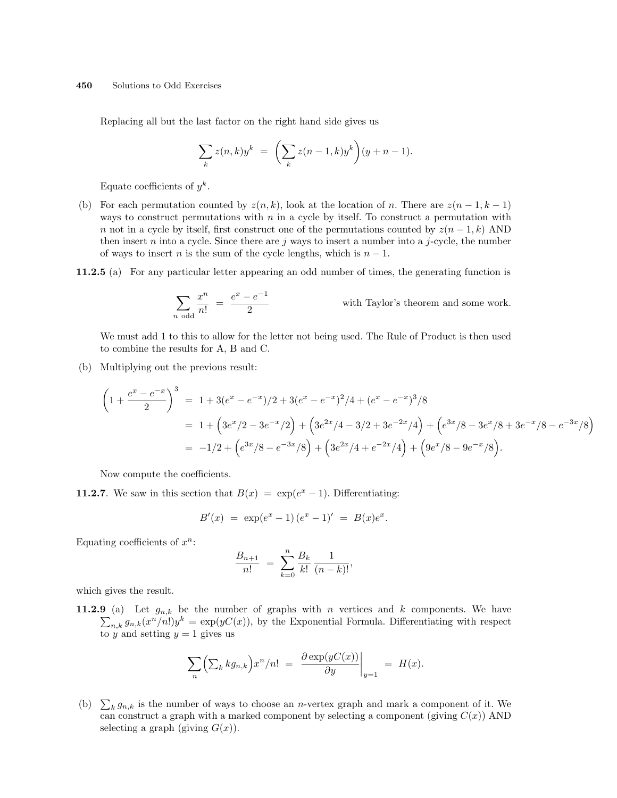Replacing all but the last factor on the right hand side gives us

$$
\sum_{k} z(n,k)y^{k} = \left(\sum_{k} z(n-1,k)y^{k}\right)(y+n-1).
$$

Equate coefficients of  $y^k$ .

- (b) For each permutation counted by  $z(n, k)$ , look at the location of n. There are  $z(n 1, k 1)$ ways to construct permutations with  $n$  in a cycle by itself. To construct a permutation with n not in a cycle by itself, first construct one of the permutations counted by  $z(n-1,k)$  AND then insert n into a cycle. Since there are j ways to insert a number into a j-cycle, the number of ways to insert *n* is the sum of the cycle lengths, which is  $n - 1$ .
- 11.2.5 (a) For any particular letter appearing an odd number of times, the generating function is

$$
\sum_{n \text{ odd}} \frac{x^n}{n!} = \frac{e^x - e^{-1}}{2}
$$
 with Taylor's theorem and some work.

We must add 1 to this to allow for the letter not being used. The Rule of Product is then used to combine the results for A, B and C.

(b) Multiplying out the previous result:

$$
\left(1+\frac{e^x-e^{-x}}{2}\right)^3 = 1+3(e^x-e^{-x})/2+3(e^x-e^{-x})^2/4+(e^x-e^{-x})^3/8
$$
  
=  $1+\left(3e^x/2-3e^{-x}/2\right)+\left(3e^{2x}/4-3/2+3e^{-2x}/4\right)+\left(e^{3x}/8-3e^x/8+3e^{-x}/8-e^{-3x}/8\right)$   
=  $-1/2+\left(e^{3x}/8-e^{-3x}/8\right)+\left(3e^{2x}/4+e^{-2x}/4\right)+\left(9e^x/8-9e^{-x}/8\right).$ 

Now compute the coefficients.

**11.2.7**. We saw in this section that  $B(x) = \exp(e^x - 1)$ . Differentiating:

$$
B'(x) = \exp(e^x - 1)(e^x - 1)' = B(x)e^x.
$$

Equating coefficients of  $x^n$ :

$$
\frac{B_{n+1}}{n!} = \sum_{k=0}^{n} \frac{B_k}{k!} \frac{1}{(n-k)!},
$$

which gives the result.

11.2.9 (a) Let  $g_{n,k}$  be the number of graphs with n vertices and k components. We have  $n_k g_{n,k}(x^n/n!)y^k = \exp(yC(x))$ , by the Exponential Formula. Differentiating with respect to y and setting  $y = 1$  gives us

$$
\sum_{n} \left( \sum_{k} k g_{n,k} \right) x^{n} / n! = \left. \frac{\partial \exp(yC(x))}{\partial y} \right|_{y=1} = H(x).
$$

(b)  $\sum_{k} g_{n,k}$  is the number of ways to choose an *n*-vertex graph and mark a component of it. We can construct a graph with a marked component by selecting a component (giving  $C(x)$ ) AND selecting a graph (giving  $G(x)$ ).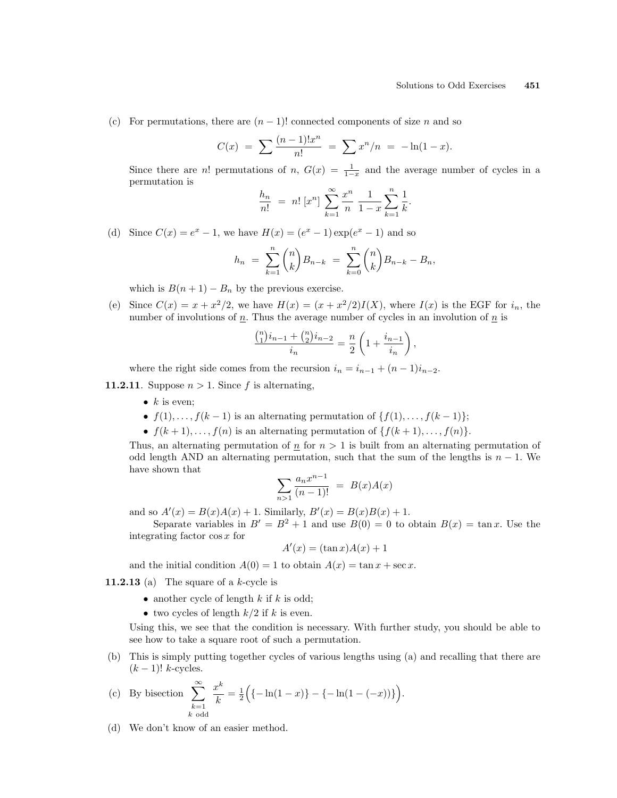(c) For permutations, there are  $(n-1)!$  connected components of size n and so

$$
C(x) = \sum \frac{(n-1)!x^n}{n!} = \sum x^n/n = -\ln(1-x).
$$

Since there are n! permutations of n,  $G(x) = \frac{1}{1-x}$  and the average number of cycles in a permutation is

$$
\frac{h_n}{n!} = n! [x^n] \sum_{k=1}^{\infty} \frac{x^n}{n} \frac{1}{1-x} \sum_{k=1}^n \frac{1}{k}.
$$

(d) Since  $C(x) = e^x - 1$ , we have  $H(x) = (e^x - 1) \exp(e^x - 1)$  and so

$$
h_n = \sum_{k=1}^n \binom{n}{k} B_{n-k} = \sum_{k=0}^n \binom{n}{k} B_{n-k} - B_n,
$$

which is  $B(n + 1) - B_n$  by the previous exercise.

(e) Since  $C(x) = x + x^2/2$ , we have  $H(x) = (x + x^2/2)I(X)$ , where  $I(x)$  is the EGF for  $i_n$ , the number of involutions of  $n$ . Thus the average number of cycles in an involution of  $n$  is

$$
\frac{\binom{n}{1}i_{n-1} + \binom{n}{2}i_{n-2}}{i_n} = \frac{n}{2} \left( 1 + \frac{i_{n-1}}{i_n} \right),
$$

where the right side comes from the recursion  $i_n = i_{n-1} + (n-1)i_{n-2}$ .

**11.2.11**. Suppose  $n > 1$ . Since f is alternating,

- $k$  is even:
- $f(1), \ldots, f(k-1)$  is an alternating permutation of  $\{f(1), \ldots, f(k-1)\}\;$ ;
- $f(k+1), \ldots, f(n)$  is an alternating permutation of  $\{f(k+1), \ldots, f(n)\}.$

Thus, an alternating permutation of  $n \geq 1$  is built from an alternating permutation of odd length AND an alternating permutation, such that the sum of the lengths is  $n-1$ . We have shown that

$$
\sum_{n>1} \frac{a_n x^{n-1}}{(n-1)!} = B(x)A(x)
$$

and so  $A'(x) = B(x)A(x) + 1$ . Similarly,  $B'(x) = B(x)B(x) + 1$ .

Separate variables in  $B' = B^2 + 1$  and use  $B(0) = 0$  to obtain  $B(x) = \tan x$ . Use the integrating factor cos x for

$$
A'(x) = (\tan x)A(x) + 1
$$

and the initial condition  $A(0) = 1$  to obtain  $A(x) = \tan x + \sec x$ .

11.2.13 (a) The square of a  $k$ -cycle is

- another cycle of length  $k$  if  $k$  is odd;
- two cycles of length  $k/2$  if k is even.

Using this, we see that the condition is necessary. With further study, you should be able to see how to take a square root of such a permutation.

(b) This is simply putting together cycles of various lengths using (a) and recalling that there are  $(k-1)!$  k-cycles.

(c) By bisection 
$$
\sum_{\substack{k=1 \ k \text{ odd}}}^{\infty} \frac{x^k}{k} = \frac{1}{2} \Big( \{-\ln(1-x) \} - \{-\ln(1-(-x)) \} \Big).
$$

(d) We don't know of an easier method.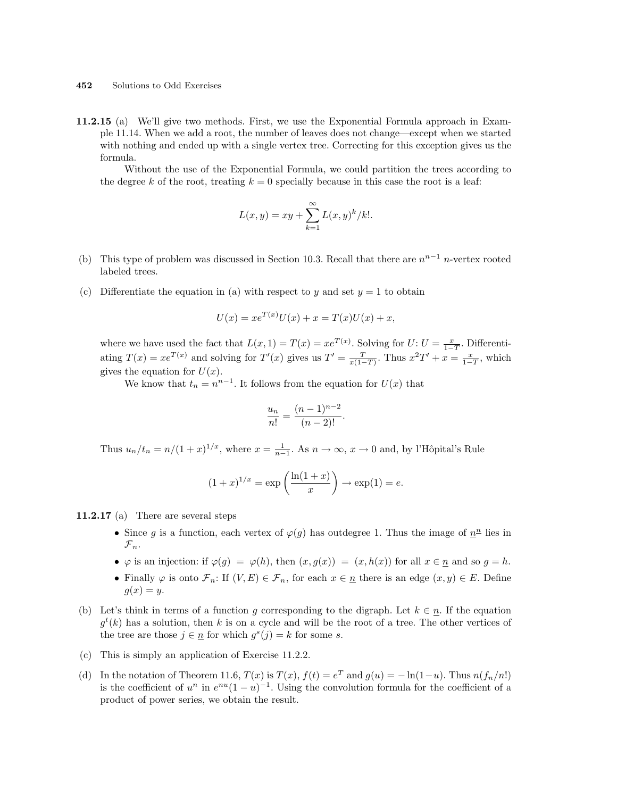11.2.15 (a) We'll give two methods. First, we use the Exponential Formula approach in Example 11.14. When we add a root, the number of leaves does not change—except when we started with nothing and ended up with a single vertex tree. Correcting for this exception gives us the formula.

Without the use of the Exponential Formula, we could partition the trees according to the degree k of the root, treating  $k = 0$  specially because in this case the root is a leaf:

$$
L(x,y) = xy + \sum_{k=1}^{\infty} L(x,y)^k / k!.
$$

- (b) This type of problem was discussed in Section 10.3. Recall that there are  $n^{n-1}$  n-vertex rooted labeled trees.
- (c) Differentiate the equation in (a) with respect to y and set  $y = 1$  to obtain

$$
U(x) = xe^{T(x)}U(x) + x = T(x)U(x) + x,
$$

where we have used the fact that  $L(x, 1) = T(x) = xe^{T(x)}$ . Solving for  $U: U = \frac{x}{1-T}$ . Differentiating  $T(x) = xe^{T(x)}$  and solving for  $T'(x)$  gives us  $T' = \frac{T}{x(1-T)}$ . Thus  $x^2T' + x = \frac{x}{1-T}$ , which gives the equation for  $U(x)$ .

We know that  $t_n = n^{n-1}$ . It follows from the equation for  $U(x)$  that

$$
\frac{u_n}{n!} = \frac{(n-1)^{n-2}}{(n-2)!}.
$$

Thus  $u_n/t_n = n/(1+x)^{1/x}$ , where  $x = \frac{1}{n-1}$ . As  $n \to \infty$ ,  $x \to 0$  and, by l'Hôpital's Rule

$$
(1+x)^{1/x} = \exp\left(\frac{\ln(1+x)}{x}\right) \to \exp(1) = e.
$$

11.2.17 (a) There are several steps

- Since g is a function, each vertex of  $\varphi(g)$  has outdegree 1. Thus the image of  $n^{\underline{n}}$  lies in  $\mathcal{F}_n$ .
- $\varphi$  is an injection: if  $\varphi(g) = \varphi(h)$ , then  $(x, g(x)) = (x, h(x))$  for all  $x \in \underline{n}$  and so  $g = h$ .
- Finally  $\varphi$  is onto  $\mathcal{F}_n$ : If  $(V, E) \in \mathcal{F}_n$ , for each  $x \in n$  there is an edge  $(x, y) \in E$ . Define  $g(x) = y$ .
- (b) Let's think in terms of a function g corresponding to the digraph. Let  $k \in n$ . If the equation  $g^t(k)$  has a solution, then k is on a cycle and will be the root of a tree. The other vertices of the tree are those  $j \in \underline{n}$  for which  $g^s(j) = k$  for some s.
- (c) This is simply an application of Exercise 11.2.2.
- (d) In the notation of Theorem 11.6,  $T(x)$  is  $T(x)$ ,  $f(t) = e^T$  and  $g(u) = -\ln(1-u)$ . Thus  $n(f_n/n!)$ is the coefficient of  $u^n$  in  $e^{nu}(1-u)^{-1}$ . Using the convolution formula for the coefficient of a product of power series, we obtain the result.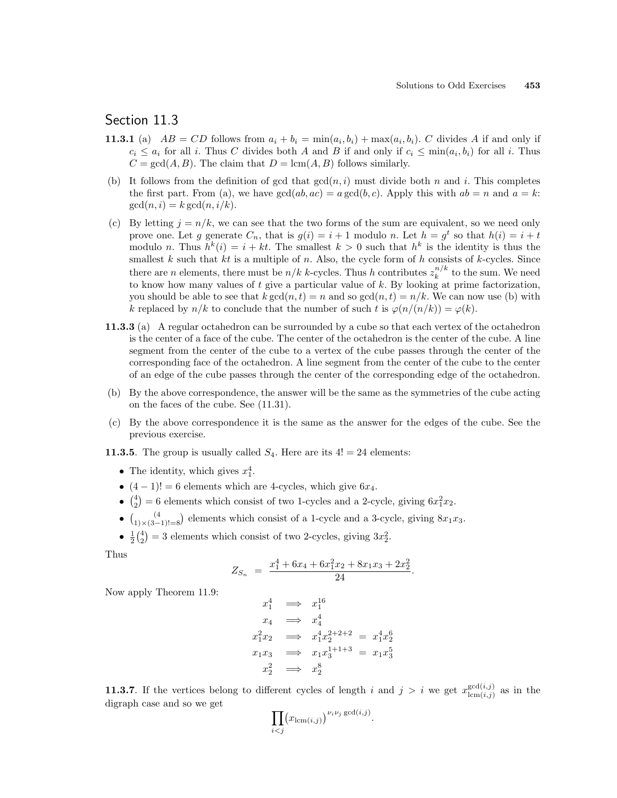# Section 11.3

- **11.3.1** (a)  $AB = CD$  follows from  $a_i + b_i = min(a_i, b_i) + max(a_i, b_i)$ . C divides A if and only if  $c_i \leq a_i$  for all i. Thus C divides both A and B if and only if  $c_i \leq \min(a_i, b_i)$  for all i. Thus  $C = \gcd(A, B)$ . The claim that  $D = \text{lcm}(A, B)$  follows similarly.
- (b) It follows from the definition of gcd that  $gcd(n, i)$  must divide both n and i. This completes the first part. From (a), we have  $gcd(ab, ac) = a gcd(b, c)$ . Apply this with  $ab = n$  and  $a = k$ :  $gcd(n, i) = k gcd(n, i/k).$
- (c) By letting  $j = n/k$ , we can see that the two forms of the sum are equivalent, so we need only prove one. Let g generate  $C_n$ , that is  $g(i) = i + 1$  modulo n. Let  $h = g<sup>t</sup>$  so that  $h(i) = i + t$ modulo *n*. Thus  $h^k(i) = i + kt$ . The smallest  $k > 0$  such that  $h^k$  is the identity is thus the smallest k such that kt is a multiple of n. Also, the cycle form of h consists of k-cycles. Since there are *n* elements, there must be  $n/k$  *k*-cycles. Thus *h* contributes  $z_k^{n/k}$  $\binom{n}{k}^k$  to the sum. We need to know how many values of  $t$  give a particular value of  $k$ . By looking at prime factorization, you should be able to see that  $k \gcd(n, t) = n$  and so  $\gcd(n, t) = n/k$ . We can now use (b) with k replaced by  $n/k$  to conclude that the number of such t is  $\varphi(n/(n/k)) = \varphi(k)$ .
- 11.3.3 (a) A regular octahedron can be surrounded by a cube so that each vertex of the octahedron is the center of a face of the cube. The center of the octahedron is the center of the cube. A line segment from the center of the cube to a vertex of the cube passes through the center of the corresponding face of the octahedron. A line segment from the center of the cube to the center of an edge of the cube passes through the center of the corresponding edge of the octahedron.
- (b) By the above correspondence, the answer will be the same as the symmetries of the cube acting on the faces of the cube. See (11.31).
- (c) By the above correspondence it is the same as the answer for the edges of the cube. See the previous exercise.
- **11.3.5**. The group is usually called  $S_4$ . Here are its  $4! = 24$  elements:
	- The identity, which gives  $x_1^4$ .
	- $(4-1)! = 6$  elements which are 4-cycles, which give  $6x_4$ . ¢
	- $\begin{pmatrix} 4 \\ 2 \end{pmatrix}$ = 6 elements which consist of two 1-cycles and a 2-cycle, giving  $6x_1^2x_2$ .
	- $\begin{pmatrix} 2 \\ 1 \end{pmatrix}$  (4  $1)\times(3-1)! = 8$ ¢ elements which consist of a 1-cycle and a 3-cycle, giving  $8x_1x_3$ .
	- $\frac{1}{2} \binom{4}{2} = 3$  elements which consist of two 2-cycles, giving  $3x_2^2$ . יינו $\frac{1}{2}$

Thus

$$
Z_{S_n} = \frac{x_1^4 + 6x_4 + 6x_1^2x_2 + 8x_1x_3 + 2x_2^2}{24}.
$$

Now apply Theorem 11.9:

$$
x_1^4 \implies x_1^{16}
$$
  
\n
$$
x_4 \implies x_4^4
$$
  
\n
$$
x_1^2 x_2 \implies x_1^4 x_2^{2+2+2} = x_1^4 x_2^6
$$
  
\n
$$
x_1 x_3 \implies x_1 x_3^{1+1+3} = x_1 x_3^5
$$
  
\n
$$
x_2^2 \implies x_2^8
$$

**11.3.7.** If the vertices belong to different cycles of length i and  $j > i$  we get  $x_{\text{lem}(i,i)}^{\gcd(i,j)}$  $\sum_{lcm(i,j)}^{gca(i,j)}$  as in the digraph case and so we get  $\overline{y}$ 

$$
\prod_{i
$$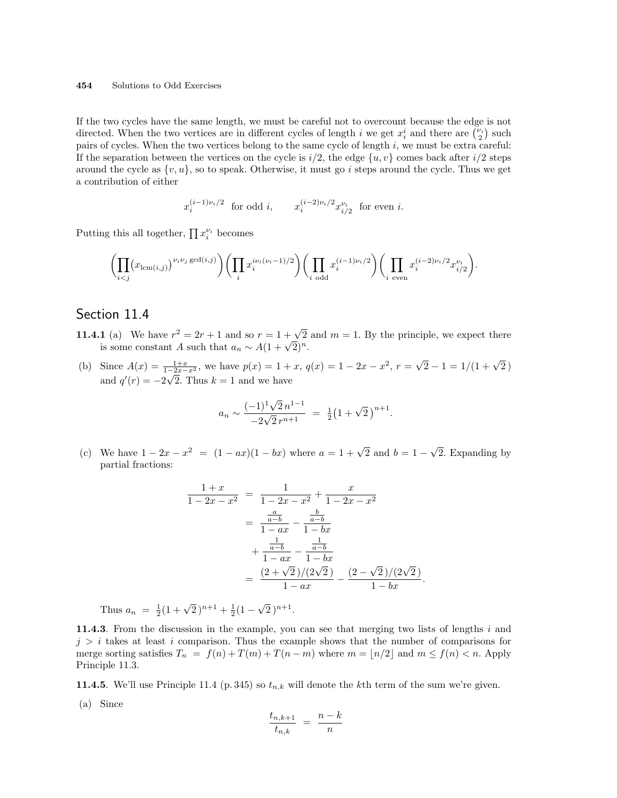If the two cycles have the same length, we must be careful not to overcount because the edge is not If the two cycles have the same length, we must be careful not to overcount because the edge is not<br>directed. When the two vertices are in different cycles of length i we get  $x_i^i$  and there are  $\binom{\nu_i}{2}$  such pairs of cycles. When the two vertices belong to the same cycle of length  $i$ , we must be extra careful: If the separation between the vertices on the cycle is  $i/2$ , the edge  $\{u, v\}$  comes back after  $i/2$  steps around the cycle as  $\{v, u\}$ , so to speak. Otherwise, it must go i steps around the cycle. Thus we get a contribution of either

 $x_i^{(i-1)\nu_i/2}$  for odd i,  $x_i^{(i-2)\nu_i/2} x_{i/2}^{\nu_i}$  for even i.

Putting this all together,  $\prod x_i^{\nu_i}$  becomes

$$
\biggl(\prod_{i
$$

## Section 11.4

- **11.4.1** (a) We have  $r^2 = 2r + 1$  and so  $r = 1 + \sqrt{2}$  and  $m = 1$ . By the principle, we expect there **i** (a) we nave  $r^2 = 2r + 1$  and so  $r = 1 + \sqrt{2}$ <br>is some constant A such that  $a_n \sim A(1 + \sqrt{2})^n$ .
- (b) Since  $A(x) = \frac{1+x}{1-2x-x^2}$ , we have  $p(x) = 1 + x$ ,  $q(x) = 1 2x x^2$ ,  $r =$  $\frac{1+x}{2x-x^2}$ , we have  $p(x) = 1 + x$ ,  $q(x) = 1 - 2x - x^2$ ,  $r = \sqrt{2} - 1 = 1/(1 + \sqrt{2})$ and  $q'(r) = -2\sqrt{2}$ . Thus  $k = 1$  and we have

$$
a_n \sim \frac{(-1)^1 \sqrt{2} n^{1-1}}{-2\sqrt{2} r^{n+1}} = \frac{1}{2} (1 + \sqrt{2})^{n+1}.
$$

(c) We have  $1 - 2x - x^2 = (1 - ax)(1 - bx)$  where  $a = 1 + \sqrt{2}$  and  $b = 1 -$ √ 2. Expanding by partial fractions:

$$
\frac{1+x}{1-2x-x^2} = \frac{1}{1-2x-x^2} + \frac{x}{1-2x-x^2}
$$

$$
= \frac{\frac{a}{a-b}}{1-ax} - \frac{\frac{b}{a-b}}{1-bx}
$$

$$
+ \frac{\frac{1}{a-b}}{1-ax} - \frac{\frac{1}{a-b}}{1-bx}
$$

$$
= \frac{(2+\sqrt{2})/(2\sqrt{2})}{1-ax} - \frac{(2-\sqrt{2})/(2\sqrt{2})}{1-bx}.
$$

Thus  $a_n = \frac{1}{2}(1+\sqrt{2})^{n+1} + \frac{1}{2}(1-\sqrt{2})^{n+1}$  $\sqrt{2}$ )<sup>n+1</sup>.

11.4.3. From the discussion in the example, you can see that merging two lists of lengths i and  $j > i$  takes at least i comparison. Thus the example shows that the number of comparisons for merge sorting satisfies  $T_n = f(n) + T(m) + T(n-m)$  where  $m = \lfloor n/2 \rfloor$  and  $m \le f(n) < n$ . Apply Principle 11.3.

11.4.5. We'll use Principle 11.4 (p. 345) so  $t_{n,k}$  will denote the kth term of the sum we're given.

(a) Since

$$
\frac{t_{n,k+1}}{t_{n,k}}\ =\ \frac{n-k}{n}
$$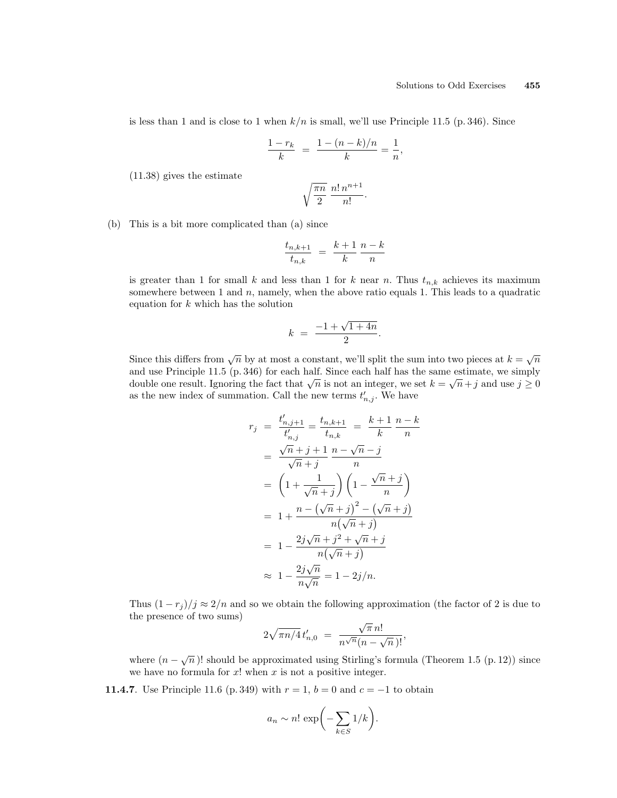is less than 1 and is close to 1 when  $k/n$  is small, we'll use Principle 11.5 (p. 346). Since

$$
\frac{1-r_k}{k} = \frac{1-(n-k)/n}{k} = \frac{1}{n},
$$

(11.38) gives the estimate

$$
\sqrt{\frac{\pi n}{2}} \; \frac{n! \, n^{n+1}}{n!}.
$$

(b) This is a bit more complicated than (a) since

$$
\frac{t_{n,k+1}}{t_{n,k}} = \frac{k+1}{k} \frac{n-k}{n}
$$

is greater than 1 for small k and less than 1 for k near n. Thus  $t_{n,k}$  achieves its maximum somewhere between 1 and  $n$ , namely, when the above ratio equals 1. This leads to a quadratic equation for  $k$  which has the solution

$$
k = \frac{-1 + \sqrt{1 + 4n}}{2}.
$$

Since this differs from  $\sqrt{n}$  by at most a constant, we'll split the sum into two pieces at  $k = \sqrt{n}$ and use Principle 11.5 (p. 346) for each half. Since each half has the same estimate, we simply double one result. Ignoring the fact that  $\sqrt{n}$  is not an integer, we set  $k = \sqrt{n} + j$  and use  $j \ge 0$ as the new index of summation. Call the new terms  $t'_{n,j}$ . We have

$$
r_j = \frac{t'_{n,j+1}}{t'_{n,j}} = \frac{t_{n,k+1}}{t_{n,k}} = \frac{k+1}{k} \frac{n-k}{n}
$$
  
=  $\frac{\sqrt{n} + j + 1}{\sqrt{n} + j} \frac{n - \sqrt{n} - j}{n}$   
=  $\left(1 + \frac{1}{\sqrt{n} + j}\right) \left(1 - \frac{\sqrt{n} + j}{n}\right)$   
=  $1 + \frac{n - (\sqrt{n} + j)^2 - (\sqrt{n} + j)}{n(\sqrt{n} + j)}$   
=  $1 - \frac{2j\sqrt{n} + j^2 + \sqrt{n} + j}{n(\sqrt{n} + j)}$   
 $\approx 1 - \frac{2j\sqrt{n}}{n\sqrt{n}} = 1 - 2j/n.$ 

Thus  $(1 - r_j)/j \approx 2/n$  and so we obtain the following approximation (the factor of 2 is due to the presence of two sums) √

$$
2\sqrt{\pi n/4} t'_{n,0} = \frac{\sqrt{\pi} n!}{n^{\sqrt{n}} (n - \sqrt{n})!},
$$

where  $(n - \sqrt{n})!$  should be approximated using Stirling's formula (Theorem 1.5 (p. 12)) since we have no formula for  $x!$  when  $x$  is not a positive integer.

**11.4.7**. Use Principle 11.6 (p. 349) with  $r = 1$ ,  $b = 0$  and  $c = -1$  to obtain

$$
a_n \sim n! \exp\biggl(-\sum_{k \in S} 1/k\biggr).
$$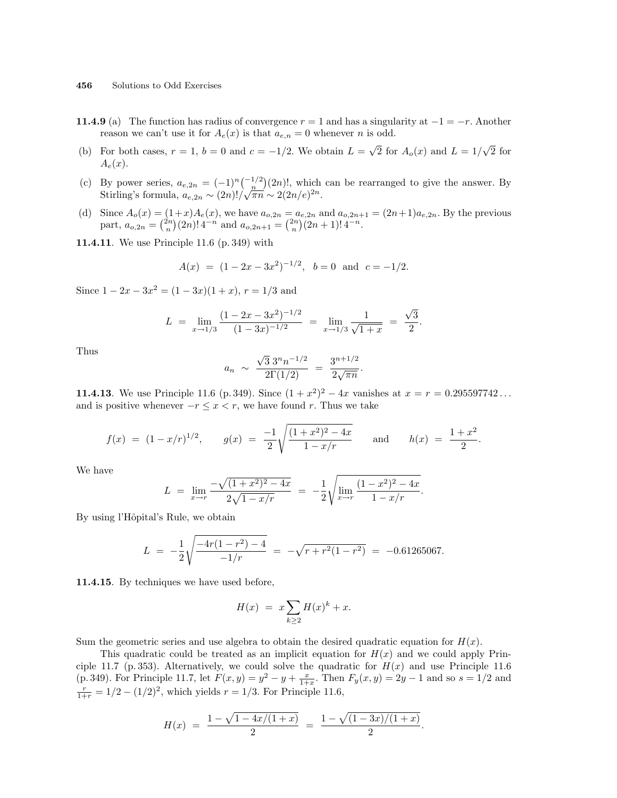- 11.4.9 (a) The function has radius of convergence  $r = 1$  and has a singularity at  $-1 = -r$ . Another reason we can't use it for  $A_e(x)$  is that  $a_{e,n} = 0$  whenever n is odd.
- (b) For both cases,  $r = 1$ ,  $b = 0$  and  $c = -1/2$ . We obtain  $L =$ √  $\overline{2}$  for  $A_o(x)$  and  $L = 1/$ √  $\overline{2}$  for  $A_e(x)$ .
- (c) By power series,  $a_{e,2n} = (-1)^n \binom{-1/2}{n}$ ¢  $(2n)!$ , which can be rearranged to give the answer. By By power series,  $u_{e,2n} = (-1)^n \left(\frac{n}{n}\right) (2n)!$ , which<br>Stirling's formula,  $a_{e,2n} \sim (2n)!/\sqrt{\pi n} \sim 2(2n/e)^{2n}$ .
- (d) Since  $A_o(x) = (1+x)A_e(x)$ , we have  $a_{o,2n} = a_{e,2n}$  and  $a_{o,2n+1} = (2n+1)a_{e,2n}$ . By the previous part,  $a_{o,2n} =$  $\begin{pmatrix} 1 \\ n \end{pmatrix}$  $(x+1)A_e(x)$ , we nave  $a_{o,2n} = a$ <br>  $(x+1)A_e(x)$ , we nave  $a_{o,2n+1} = {2n \choose n}$  $a_{e,2n}$  and  $a_{o,2n+1}$ <br> $)(2n+1)!$  4<sup>-n</sup>.
- 11.4.11. We use Principle 11.6 (p. 349) with

$$
A(x) = (1 - 2x - 3x^2)^{-1/2}
$$
,  $b = 0$  and  $c = -1/2$ .

Since  $1 - 2x - 3x^2 = (1 - 3x)(1 + x)$ ,  $r = 1/3$  and

$$
L = \lim_{x \to 1/3} \frac{(1 - 2x - 3x^2)^{-1/2}}{(1 - 3x)^{-1/2}} = \lim_{x \to 1/3} \frac{1}{\sqrt{1 + x}} = \frac{\sqrt{3}}{2}.
$$

Thus

$$
a_n \sim \frac{\sqrt{3} 3^n n^{-1/2}}{2\Gamma(1/2)} = \frac{3^{n+1/2}}{2\sqrt{\pi n}}.
$$

**11.4.13**. We use Principle 11.6 (p. 349). Since  $(1 + x^2)^2 - 4x$  vanishes at  $x = r = 0.295597742...$ and is positive whenever  $-r \leq x < r$ , we have found r. Thus we take

$$
f(x) = (1 - x/r)^{1/2}
$$
,  $g(x) = \frac{-1}{2} \sqrt{\frac{(1 + x^2)^2 - 4x}{1 - x/r}}$  and  $h(x) = \frac{1 + x^2}{2}$ .

We have

$$
L = \lim_{x \to r} \frac{-\sqrt{(1+x^2)^2 - 4x}}{2\sqrt{1-x/r}} = -\frac{1}{2} \sqrt{\lim_{x \to r} \frac{(1-x^2)^2 - 4x}{1-x/r}}.
$$

By using l'Hôpital's Rule, we obtain

$$
L = -\frac{1}{2} \sqrt{\frac{-4r(1-r^2)-4}{-1/r}} = -\sqrt{r+r^2(1-r^2)} = -0.61265067.
$$

11.4.15. By techniques we have used before,

$$
H(x) = x \sum_{k \ge 2} H(x)^k + x.
$$

Sum the geometric series and use algebra to obtain the desired quadratic equation for  $H(x)$ .

This quadratic could be treated as an implicit equation for  $H(x)$  and we could apply Principle 11.7 (p. 353). Alternatively, we could solve the quadratic for  $H(x)$  and use Principle 11.6 (p. 349). For Principle 11.7, let  $F(x, y) = y^2 - y + \frac{x}{1+x}$ . Then  $F_y(x, y) = 2y - 1$  and so  $s = 1/2$  and  $\frac{r}{1+r} = 1/2 - (1/2)^2$ , which yields  $r = 1/3$ . For Principle 11.6,

$$
H(x) = \frac{1 - \sqrt{1 - \frac{4x}{1 + x}}}{2} = \frac{1 - \sqrt{(1 - 3x)} / (1 + x)}{2}.
$$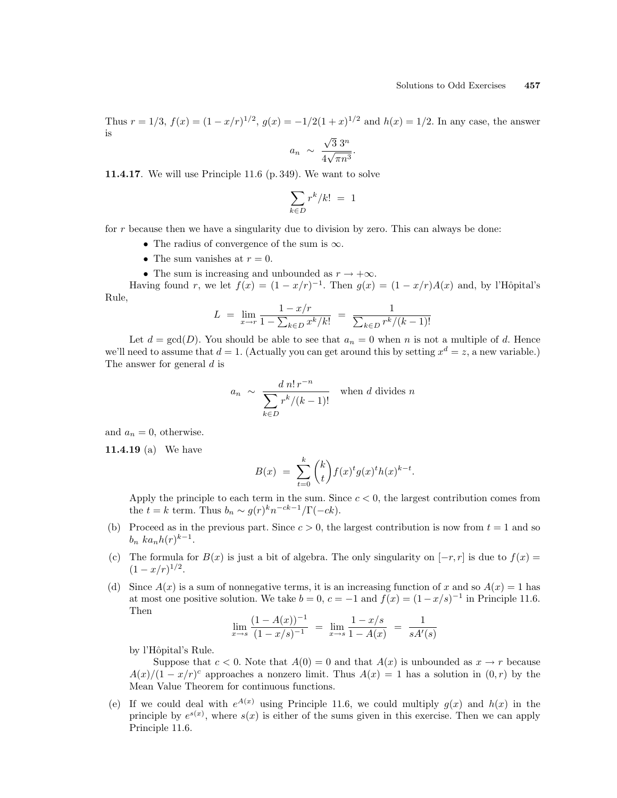Thus  $r = 1/3$ ,  $f(x) = (1 - x/r)^{1/2}$ ,  $g(x) = -1/2(1+x)^{1/2}$  and  $h(x) = 1/2$ . In any case, the answer is √

$$
a_n \sim \frac{\sqrt{3} 3^n}{4\sqrt{\pi n^3}}.
$$

11.4.17. We will use Principle 11.6 (p. 349). We want to solve

$$
\sum_{k \in D} r^k / k! = 1
$$

for r because then we have a singularity due to division by zero. This can always be done:

- The radius of convergence of the sum is  $\infty$ .
- The sum vanishes at  $r = 0$ .
- The sum is increasing and unbounded as  $r \to +\infty$ .

Having found r, we let  $f(x) = (1 - x/r)^{-1}$ . Then  $g(x) = (1 - x/r)A(x)$  and, by l'Hôpital's Rule,

$$
L = \lim_{x \to r} \frac{1 - x/r}{1 - \sum_{k \in D} x^k / k!} = \frac{1}{\sum_{k \in D} r^k / (k - 1)!}
$$

Let  $d = \gcd(D)$ . You should be able to see that  $a_n = 0$  when n is not a multiple of d. Hence we'll need to assume that  $d = 1$ . (Actually you can get around this by setting  $x^d = z$ , a new variable.) The answer for general d is

$$
a_n \sim \frac{d \, n! \, r^{-n}}{\sum_{k \in D} r^k / (k-1)!} \quad \text{when } d \text{ divides } n
$$

and  $a_n = 0$ , otherwise.

11.4.19 (a) We have

$$
B(x) = \sum_{t=0}^{k} {k \choose t} f(x)^{t} g(x)^{t} h(x)^{k-t}.
$$

Apply the principle to each term in the sum. Since  $c < 0$ , the largest contribution comes from the  $t = k$  term. Thus  $b_n \sim g(r)^k n^{-ck-1}/\Gamma(-ck)$ .

- (b) Proceed as in the previous part. Since  $c > 0$ , the largest contribution is now from  $t = 1$  and so  $b_n$  ka<sub>n</sub> $h(r)^{k-1}$ .
- (c) The formula for  $B(x)$  is just a bit of algebra. The only singularity on  $[-r, r]$  is due to  $f(x) =$  $(1-x/r)^{1/2}.$
- (d) Since  $A(x)$  is a sum of nonnegative terms, it is an increasing function of x and so  $A(x) = 1$  has at most one positive solution. We take  $b = 0$ ,  $c = -1$  and  $f(x) = (1 - x/s)^{-1}$  in Principle 11.6. Then

$$
\lim_{x \to s} \frac{(1 - A(x))^{-1}}{(1 - x/s)^{-1}} = \lim_{x \to s} \frac{1 - x/s}{1 - A(x)} = \frac{1}{sA'(s)}
$$

by l'Hôpital's Rule.

Suppose that  $c < 0$ . Note that  $A(0) = 0$  and that  $A(x)$  is unbounded as  $x \to r$  because  $A(x)/(1-x/r)^c$  approaches a nonzero limit. Thus  $A(x) = 1$  has a solution in  $(0, r)$  by the Mean Value Theorem for continuous functions.

(e) If we could deal with  $e^{A(x)}$  using Principle 11.6, we could multiply  $g(x)$  and  $h(x)$  in the principle by  $e^{s(x)}$ , where  $s(x)$  is either of the sums given in this exercise. Then we can apply Principle 11.6.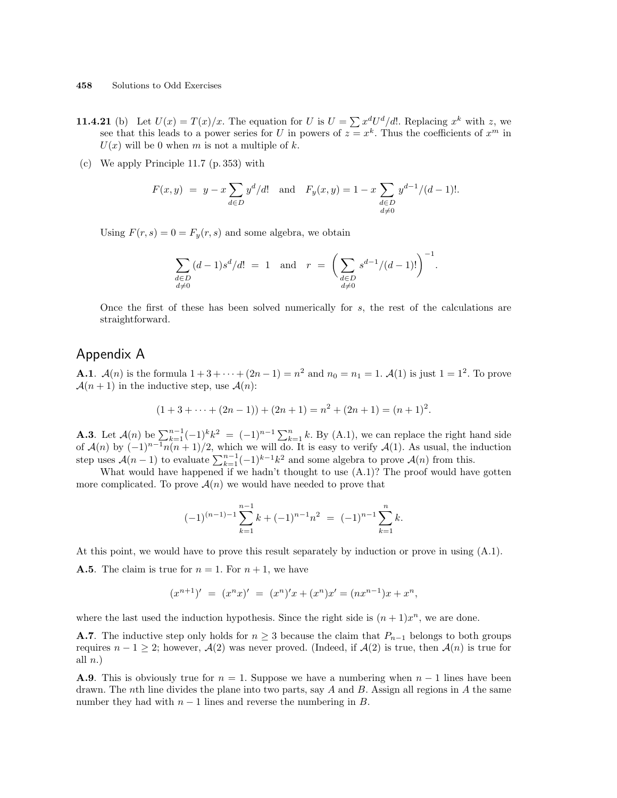- **11.4.21** (b) Let  $U(x) = T(x)/x$ . The equation for U is  $U = \sum x^d U^d/d!$ . Replacing  $x^k$  with z, we see that this leads to a power series for U in powers of  $z = x^k$ . Thus the coefficients of  $x^m$  in  $U(x)$  will be 0 when m is not a multiple of k.
- (c) We apply Principle 11.7 (p. 353) with

$$
F(x, y) = y - x \sum_{d \in D} y^d / d!
$$
 and  $F_y(x, y) = 1 - x \sum_{\substack{d \in D \\ d \neq 0}} y^{d-1} / (d-1)!$ .

Using  $F(r, s) = 0 = F_y(r, s)$  and some algebra, we obtain

$$
\sum_{\substack{d \in D \\ d \neq 0}} (d-1)s^d/d! = 1 \text{ and } r = \left(\sum_{\substack{d \in D \\ d \neq 0}} s^{d-1}/(d-1)!\right)^{-1}.
$$

Once the first of these has been solved numerically for s, the rest of the calculations are straightforward.

#### Appendix A

**A.1.**  $\mathcal{A}(n)$  is the formula  $1 + 3 + \cdots + (2n - 1) = n^2$  and  $n_0 = n_1 = 1$ .  $\mathcal{A}(1)$  is just  $1 = 1^2$ . To prove  $\mathcal{A}(n+1)$  in the inductive step, use  $\mathcal{A}(n)$ :

$$
(1+3+\cdots+(2n-1))+(2n+1)=n^2+(2n+1)=(n+1)^2.
$$

**A.3**. Let  $\mathcal{A}(n)$  be  $\sum_{k=1}^{n-1}(-1)^k k^2 = (-1)^{n-1}\sum_{k=1}^{n}k$ . By (A.1), we can replace the right hand side of  $\mathcal{A}(n)$  by  $(-1)^{n-1}n(n+1)/2$ , which we will do. It is easy to verify  $\mathcal{A}(1)$ . As usual, the induction step uses  $\mathcal{A}(n-1)$  to evaluate  $\sum_{k=1}^{n-1}(-1)^{k-1}k^2$  and some algebra to prove  $\mathcal{A}(n)$  from this.

What would have happened if we hadn't thought to use  $(A.1)$ ? The proof would have gotten more complicated. To prove  $\mathcal{A}(n)$  we would have needed to prove that

$$
(-1)^{(n-1)-1} \sum_{k=1}^{n-1} k + (-1)^{n-1} n^2 = (-1)^{n-1} \sum_{k=1}^n k.
$$

At this point, we would have to prove this result separately by induction or prove in using (A.1).

**A.5**. The claim is true for  $n = 1$ . For  $n + 1$ , we have

$$
(x^{n+1})' = (x^n x)' = (x^n)'x + (x^n)x' = (nx^{n-1})x + x^n,
$$

where the last used the induction hypothesis. Since the right side is  $(n+1)x^n$ , we are done.

**A.7**. The inductive step only holds for  $n \geq 3$  because the claim that  $P_{n-1}$  belongs to both groups requires  $n - 1 \geq 2$ ; however,  $\mathcal{A}(2)$  was never proved. (Indeed, if  $\mathcal{A}(2)$  is true, then  $\mathcal{A}(n)$  is true for all  $n.$ )

**A.9**. This is obviously true for  $n = 1$ . Suppose we have a numbering when  $n - 1$  lines have been drawn. The nth line divides the plane into two parts, say A and B. Assign all regions in A the same number they had with  $n-1$  lines and reverse the numbering in  $B$ .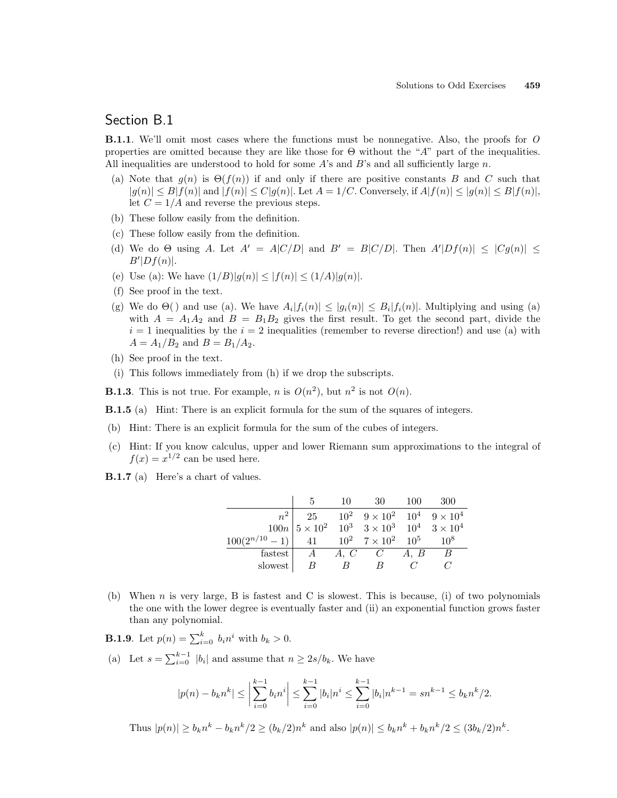### Section B.1

**B.1.1.** We'll omit most cases where the functions must be nonnegative. Also, the proofs for O properties are omitted because they are like those for  $\Theta$  without the "A" part of the inequalities. All inequalities are understood to hold for some  $A$ 's and  $B$ 's and all sufficiently large n.

- (a) Note that  $g(n)$  is  $\Theta(f(n))$  if and only if there are positive constants B and C such that  $|g(n)| \leq B |f(n)|$  and  $|f(n)| \leq C |g(n)|$ . Let  $A = 1/C$ . Conversely, if  $A |f(n)| \leq |g(n)| \leq B |f(n)|$ , let  $C = 1/A$  and reverse the previous steps.
- (b) These follow easily from the definition.
- (c) These follow easily from the definition.
- (d) We do  $\Theta$  using A. Let  $A' = A|C/D|$  and  $B' = B|C/D|$ . Then  $A'|Df(n)| \leq |Cg(n)| \leq$  $B'|Df(n)|.$
- (e) Use (a): We have  $(1/B)|g(n)| \le |f(n)| \le (1/A)|g(n)|$ .
- (f) See proof in the text.
- (g) We do  $\Theta$ () and use (a). We have  $A_i |f_i(n)| \leq |g_i(n)| \leq B_i |f_i(n)|$ . Multiplying and using (a) with  $A = A_1A_2$  and  $B = B_1B_2$  gives the first result. To get the second part, divide the  $i = 1$  inequalities by the  $i = 2$  inequalities (remember to reverse direction!) and use (a) with  $A = A_1/B_2$  and  $B = B_1/A_2$ .
- (h) See proof in the text.
- (i) This follows immediately from (h) if we drop the subscripts.
- **B.1.3**. This is not true. For example, *n* is  $O(n^2)$ , but  $n^2$  is not  $O(n)$ .
- B.1.5 (a) Hint: There is an explicit formula for the sum of the squares of integers.
- (b) Hint: There is an explicit formula for the sum of the cubes of integers.
- (c) Hint: If you know calculus, upper and lower Riemann sum approximations to the integral of  $f(x) = x^{1/2}$  can be used here.
- B.1.7 (a) Here's a chart of values.

|                                                             |                                                                                                 | 10             | - 30                                             | - 100 | -300 |
|-------------------------------------------------------------|-------------------------------------------------------------------------------------------------|----------------|--------------------------------------------------|-------|------|
|                                                             |                                                                                                 |                | 25 $10^2$ $9 \times 10^2$ $10^4$ $9 \times 10^4$ |       |      |
|                                                             | $100n\begin{vmatrix} 5 \times 10^2 & 10^3 & 3 \times 10^3 & 10^4 & 3 \times 10^4 \end{vmatrix}$ |                |                                                  |       |      |
| $100(2^{n/10} - 1)$ 41 $10^2$ $7 \times 10^2$ $10^5$ $10^8$ |                                                                                                 |                |                                                  |       |      |
| fastest                                                     |                                                                                                 |                | $A \quad A, C \quad C \quad A, B$                |       | B    |
| slowest                                                     |                                                                                                 | $\overline{B}$ | B                                                |       |      |

(b) When n is very large, B is fastest and C is slowest. This is because, (i) of two polynomials the one with the lower degree is eventually faster and (ii) an exponential function grows faster than any polynomial.

**B.1.9**. Let  $p(n) = \sum_{i=0}^{k} b_i n^i$  with  $b_k > 0$ .

(a) Let  $s = \sum_{i=0}^{k-1} |b_i|$  and assume that  $n \geq 2s/b_k$ . We have

$$
|p(n) - b_k n^k| \le \left| \sum_{i=0}^{k-1} b_i n^i \right| \le \sum_{i=0}^{k-1} |b_i| n^i \le \sum_{i=0}^{k-1} |b_i| n^{k-1} = sn^{k-1} \le b_k n^k/2.
$$

Thus  $|p(n)| \ge b_k n^k - b_k n^k/2 \ge (b_k/2) n^k$  and also  $|p(n)| \le b_k n^k + b_k n^k/2 \le (3b_k/2) n^k$ .